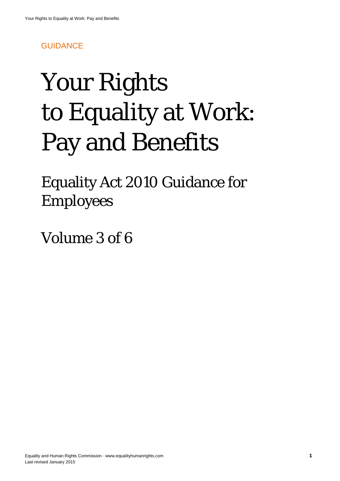# **GUIDANCE**

# Your Rights to Equality at Work: Pay and Benefits

Equality Act 2010 Guidance for Employees

Volume 3 of 6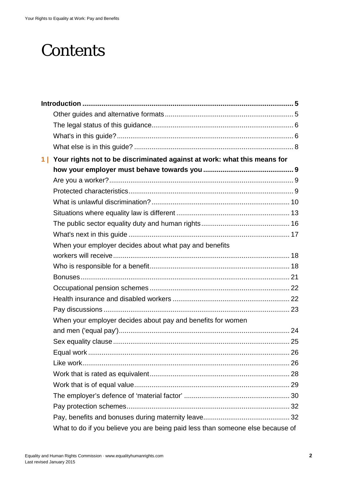# **Contents**

| 1 <sup>1</sup> | Your rights not to be discriminated against at work: what this means for       |  |  |  |
|----------------|--------------------------------------------------------------------------------|--|--|--|
|                |                                                                                |  |  |  |
|                |                                                                                |  |  |  |
|                |                                                                                |  |  |  |
|                |                                                                                |  |  |  |
|                |                                                                                |  |  |  |
|                |                                                                                |  |  |  |
|                |                                                                                |  |  |  |
|                | When your employer decides about what pay and benefits                         |  |  |  |
|                |                                                                                |  |  |  |
|                |                                                                                |  |  |  |
|                |                                                                                |  |  |  |
|                |                                                                                |  |  |  |
|                |                                                                                |  |  |  |
|                |                                                                                |  |  |  |
|                | When your employer decides about pay and benefits for women                    |  |  |  |
|                |                                                                                |  |  |  |
|                |                                                                                |  |  |  |
|                |                                                                                |  |  |  |
|                |                                                                                |  |  |  |
|                |                                                                                |  |  |  |
|                |                                                                                |  |  |  |
|                |                                                                                |  |  |  |
|                |                                                                                |  |  |  |
|                |                                                                                |  |  |  |
|                | What to do if you believe you are being paid less than someone else because of |  |  |  |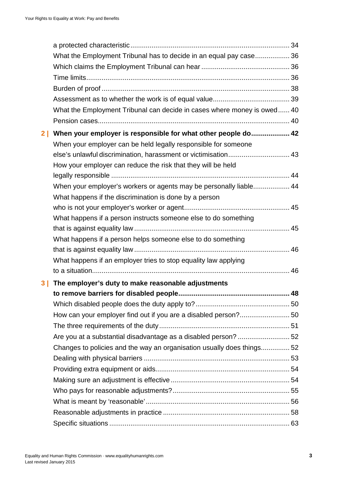|                | What the Employment Tribunal has to decide in an equal pay case 36      |  |
|----------------|-------------------------------------------------------------------------|--|
|                |                                                                         |  |
|                |                                                                         |  |
|                |                                                                         |  |
|                |                                                                         |  |
|                | What the Employment Tribunal can decide in cases where money is owed 40 |  |
|                |                                                                         |  |
| 2 <sub>1</sub> | When your employer is responsible for what other people do 42           |  |
|                | When your employer can be held legally responsible for someone          |  |
|                | else's unlawful discrimination, harassment or victimisation 43          |  |
|                | How your employer can reduce the risk that they will be held            |  |
|                |                                                                         |  |
|                | When your employer's workers or agents may be personally liable 44      |  |
|                | What happens if the discrimination is done by a person                  |  |
|                |                                                                         |  |
|                | What happens if a person instructs someone else to do something         |  |
|                |                                                                         |  |
|                | What happens if a person helps someone else to do something             |  |
|                |                                                                         |  |
|                | What happens if an employer tries to stop equality law applying         |  |
|                |                                                                         |  |
| 3 I            | The employer's duty to make reasonable adjustments                      |  |
|                |                                                                         |  |
|                |                                                                         |  |
|                | How can your employer find out if you are a disabled person?50          |  |
|                |                                                                         |  |
|                | Are you at a substantial disadvantage as a disabled person? 52          |  |
|                | Changes to policies and the way an organisation usually does things 52  |  |
|                |                                                                         |  |
|                |                                                                         |  |
|                |                                                                         |  |
|                |                                                                         |  |
|                |                                                                         |  |
|                |                                                                         |  |
|                |                                                                         |  |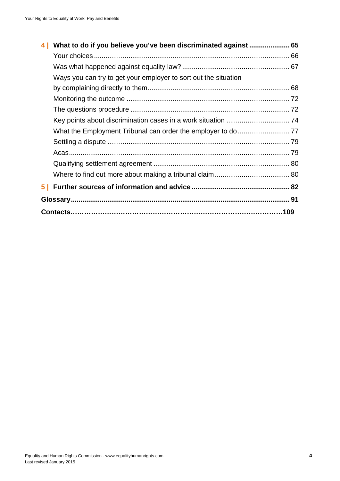<span id="page-3-0"></span>

|   | What to do if you believe you've been discriminated against  65 |  |
|---|-----------------------------------------------------------------|--|
|   |                                                                 |  |
|   |                                                                 |  |
|   | Ways you can try to get your employer to sort out the situation |  |
|   |                                                                 |  |
|   |                                                                 |  |
|   |                                                                 |  |
|   |                                                                 |  |
|   |                                                                 |  |
|   |                                                                 |  |
|   |                                                                 |  |
|   |                                                                 |  |
|   |                                                                 |  |
| 5 |                                                                 |  |
|   |                                                                 |  |
|   |                                                                 |  |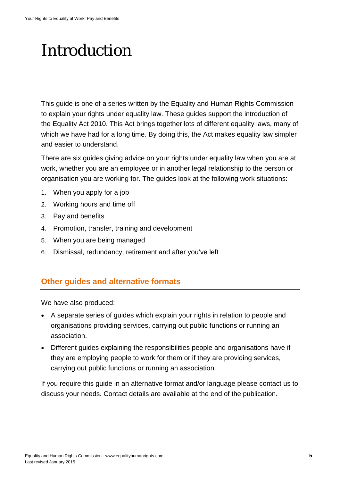# Introduction

This guide is one of a series written by the Equality and Human Rights Commission to explain your rights under equality law. These guides support the introduction of the Equality Act 2010. This Act brings together lots of different equality laws, many of which we have had for a long time. By doing this, the Act makes equality law simpler and easier to understand.

There are six guides giving advice on your rights under equality law when you are at work, whether you are an employee or in another legal relationship to the person or organisation you are working for. The guides look at the following work situations:

- 1. When you apply for a job
- 2. Working hours and time off
- 3. Pay and benefits
- 4. Promotion, transfer, training and development
- 5. When you are being managed
- 6. Dismissal, redundancy, retirement and after you've left

#### <span id="page-4-0"></span>**Other guides and alternative formats**

We have also produced:

- A separate series of guides which explain your rights in relation to people and organisations providing services, carrying out public functions or running an association.
- Different guides explaining the responsibilities people and organisations have if they are employing people to work for them or if they are providing services, carrying out public functions or running an association.

If you require this guide in an alternative format and/or language please contact us to discuss your needs. Contact details are available at the end of the publication.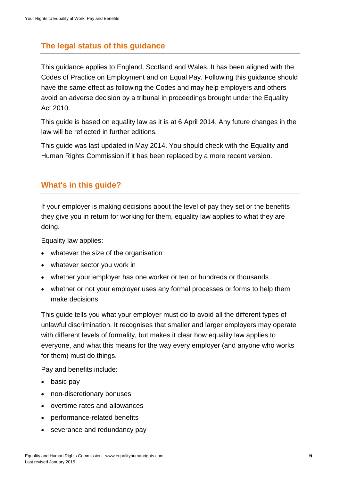# <span id="page-5-0"></span>**The legal status of this guidance**

This guidance applies to England, Scotland and Wales. It has been aligned with the Codes of Practice on Employment and on Equal Pay. Following this guidance should have the same effect as following the Codes and may help employers and others avoid an adverse decision by a tribunal in proceedings brought under the Equality Act 2010.

This guide is based on equality law as it is at 6 April 2014. Any future changes in the law will be reflected in further editions.

This guide was last updated in May 2014. You should check with the Equality and Human Rights Commission if it has been replaced by a more recent version.

# <span id="page-5-1"></span>**What's in this guide?**

If your employer is making decisions about the level of pay they set or the benefits they give you in return for working for them, equality law applies to what they are doing.

Equality law applies:

- whatever the size of the organisation
- whatever sector you work in
- whether your employer has one worker or ten or hundreds or thousands
- whether or not your employer uses any formal processes or forms to help them make decisions.

This guide tells you what your employer must do to avoid all the different types of unlawful discrimination. It recognises that smaller and larger employers may operate with different levels of formality, but makes it clear how equality law applies to everyone, and what this means for the way every employer (and anyone who works for them) must do things.

Pay and benefits include:

- basic pay
- non-discretionary bonuses
- overtime rates and allowances
- performance-related benefits
- severance and redundancy pay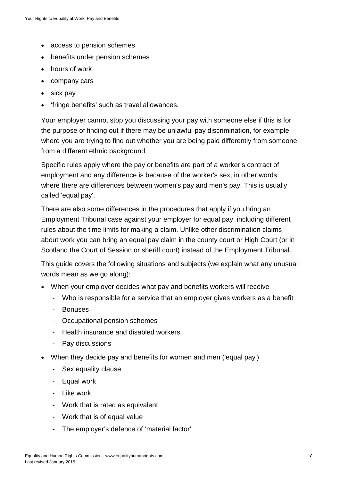- access to pension schemes
- benefits under pension schemes
- hours of work
- company cars
- sick pay
- 'fringe benefits' such as travel allowances.

Your employer cannot stop you discussing your pay with someone else if this is for the purpose of finding out if there may be unlawful pay discrimination, for example, where you are trying to find out whether you are being paid differently from someone from a different ethnic background.

Specific rules apply where the pay or benefits are part of a worker's contract of employment and any difference is because of the worker's sex, in other words, where there are differences between women's pay and men's pay. This is usually called 'equal pay'.

There are also some differences in the procedures that apply if you bring an Employment Tribunal case against your employer for equal pay, including different rules about the time limits for making a claim. Unlike other discrimination claims about work you can bring an equal pay claim in the county court or High Court (or in Scotland the Court of Session or sheriff court) instead of the Employment Tribunal.

This guide covers the following situations and subjects (we explain what any unusual words mean as we go along):

- When your employer decides what pay and benefits workers will receive
	- Who is responsible for a service that an employer gives workers as a benefit
	- Bonuses
	- Occupational pension schemes
	- Health insurance and disabled workers
	- Pay discussions
- When they decide pay and benefits for women and men ('equal pay')
	- Sex equality clause
	- Equal work
	- Like work
	- Work that is rated as equivalent
	- Work that is of equal value
	- The employer's defence of 'material factor'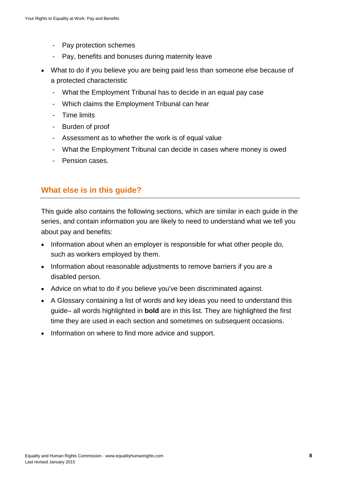- Pay protection schemes
- Pay, benefits and bonuses during maternity leave
- What to do if you believe you are being paid less than someone else because of a protected characteristic
	- What the Employment Tribunal has to decide in an equal pay case
	- Which claims the Employment Tribunal can hear
	- Time limits
	- Burden of proof
	- Assessment as to whether the work is of equal value
	- What the Employment Tribunal can decide in cases where money is owed
	- Pension cases.

# <span id="page-7-0"></span>**What else is in this guide?**

This guide also contains the following sections, which are similar in each guide in the series, and contain information you are likely to need to understand what we tell you about pay and benefits:

- Information about when an employer is responsible for what other people do, such as workers employed by them.
- Information about reasonable adjustments to remove barriers if you are a disabled person.
- Advice on what to do if you believe you've been discriminated against.
- A Glossary containing a list of words and key ideas you need to understand this guide– all words highlighted in **bold** are in this list. They are highlighted the first time they are used in each section and sometimes on subsequent occasions.
- Information on where to find more advice and support.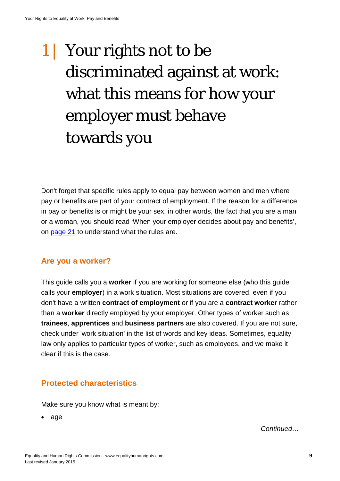# <span id="page-8-0"></span>1 Your rights not to be discriminated against at work: what this means for how your employer must behave towards you

Don't forget that specific rules apply to equal pay between women and men where pay or benefits are part of your contract of employment. If the reason for a difference in pay or benefits is or might be your sex, in other words, the fact that you are a man or a woman, you should read 'When your employer decides about pay and benefits', on [page 21](#page-23-0) to understand what the rules are.

#### <span id="page-8-1"></span>**Are you a worker?**

This guide calls you a **worker** if you are working for someone else (who this guide calls your **employer**) in a work situation. Most situations are covered, even if you don't have a written **contract of employment** or if you are a **contract worker** rather than a **worker** directly employed by your employer. Other types of worker such as **trainees**, **apprentices** and **business partners** are also covered. If you are not sure, check under 'work situation' in the list of words and key ideas. Sometimes, equality law only applies to particular types of worker, such as employees, and we make it clear if this is the case.

#### <span id="page-8-2"></span>**Protected characteristics**

Make sure you know what is meant by:

• age

*Continued…*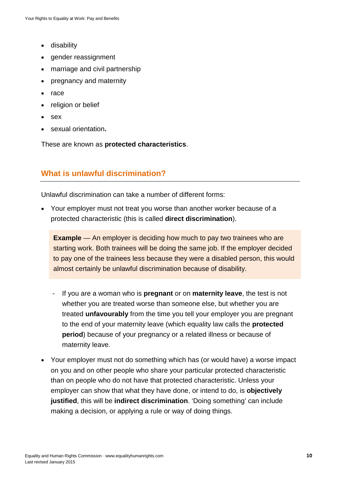- disability
- gender reassignment
- marriage and civil partnership
- pregnancy and maternity
- race
- religion or belief
- sex
- sexual orientation**.**

These are known as **protected characteristics**.

# <span id="page-9-0"></span>**What is unlawful discrimination?**

Unlawful discrimination can take a number of different forms:

• Your employer must not treat you worse than another worker because of a protected characteristic (this is called **direct discrimination**).

**Example** — An employer is deciding how much to pay two trainees who are starting work. Both trainees will be doing the same job. If the employer decided to pay one of the trainees less because they were a disabled person, this would almost certainly be unlawful discrimination because of disability.

- If you are a woman who is **pregnant** or on **maternity leave**, the test is not whether you are treated worse than someone else, but whether you are treated **unfavourably** from the time you tell your employer you are pregnant to the end of your maternity leave (which equality law calls the **protected period**) because of your pregnancy or a related illness or because of maternity leave.
- Your employer must not do something which has (or would have) a worse impact on you and on other people who share your particular protected characteristic than on people who do not have that protected characteristic. Unless your employer can show that what they have done, or intend to do, is **objectively justified**, this will be **indirect discrimination**. 'Doing something' can include making a decision, or applying a rule or way of doing things.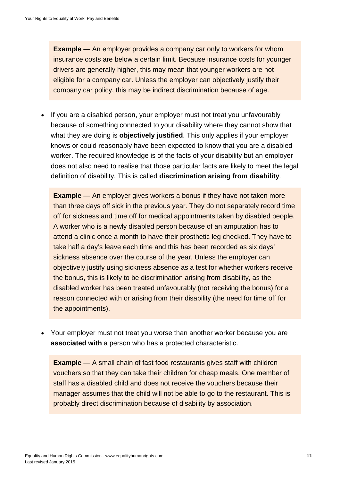**Example** — An employer provides a company car only to workers for whom insurance costs are below a certain limit. Because insurance costs for younger drivers are generally higher, this may mean that younger workers are not eligible for a company car. Unless the employer can objectively justify their company car policy, this may be indirect discrimination because of age.

• If you are a disabled person, your employer must not treat you unfavourably because of something connected to your disability where they cannot show that what they are doing is **objectively justified**. This only applies if your employer knows or could reasonably have been expected to know that you are a disabled worker. The required knowledge is of the facts of your disability but an employer does not also need to realise that those particular facts are likely to meet the legal definition of disability. This is called **discrimination arising from disability**.

**Example** — An employer gives workers a bonus if they have not taken more than three days off sick in the previous year. They do not separately record time off for sickness and time off for medical appointments taken by disabled people. A worker who is a newly disabled person because of an amputation has to attend a clinic once a month to have their prosthetic leg checked. They have to take half a day's leave each time and this has been recorded as six days' sickness absence over the course of the year. Unless the employer can objectively justify using sickness absence as a test for whether workers receive the bonus, this is likely to be discrimination arising from disability, as the disabled worker has been treated unfavourably (not receiving the bonus) for a reason connected with or arising from their disability (the need for time off for the appointments).

• Your employer must not treat you worse than another worker because you are **associated with** a person who has a protected characteristic.

**Example** — A small chain of fast food restaurants gives staff with children vouchers so that they can take their children for cheap meals. One member of staff has a disabled child and does not receive the vouchers because their manager assumes that the child will not be able to go to the restaurant. This is probably direct discrimination because of disability by association.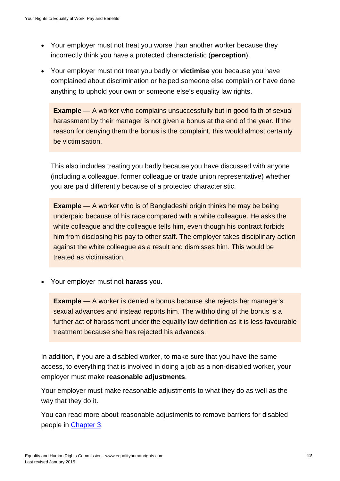- Your employer must not treat you worse than another worker because they incorrectly think you have a protected characteristic (**perception**).
- Your employer must not treat you badly or **victimise** you because you have complained about discrimination or helped someone else complain or have done anything to uphold your own or someone else's equality law rights.

**Example** — A worker who complains unsuccessfully but in good faith of sexual harassment by their manager is not given a bonus at the end of the year. If the reason for denying them the bonus is the complaint, this would almost certainly be victimisation.

This also includes treating you badly because you have discussed with anyone (including a colleague, former colleague or trade union representative) whether you are paid differently because of a protected characteristic.

**Example** — A worker who is of Bangladeshi origin thinks he may be being underpaid because of his race compared with a white colleague. He asks the white colleague and the colleague tells him, even though his contract forbids him from disclosing his pay to other staff. The employer takes disciplinary action against the white colleague as a result and dismisses him. This would be treated as victimisation.

• Your employer must not **harass** you.

**Example** — A worker is denied a bonus because she rejects her manager's sexual advances and instead reports him. The withholding of the bonus is a further act of harassment under the equality law definition as it is less favourable treatment because she has rejected his advances.

In addition, if you are a disabled worker, to make sure that you have the same access, to everything that is involved in doing a job as a non-disabled worker, your employer must make **reasonable adjustments**.

Your employer must make reasonable adjustments to what they do as well as the way that they do it.

You can read more about reasonable adjustments to remove barriers for disabled people in [Chapter 3.](#page-46-0)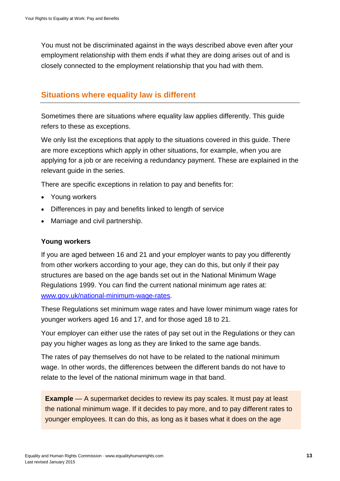You must not be discriminated against in the ways described above even after your employment relationship with them ends if what they are doing arises out of and is closely connected to the employment relationship that you had with them.

#### <span id="page-12-0"></span>**Situations where equality law is different**

Sometimes there are situations where equality law applies differently. This guide refers to these as exceptions.

We only list the exceptions that apply to the situations covered in this guide. There are more exceptions which apply in other situations, for example, when you are applying for a job or are receiving a redundancy payment. These are explained in the relevant guide in the series.

There are specific exceptions in relation to pay and benefits for:

- Young workers
- Differences in pay and benefits linked to length of service
- Marriage and civil partnership.

#### **Young workers**

If you are aged between 16 and 21 and your employer wants to pay you differently from other workers according to your age, they can do this, but only if their pay structures are based on the age bands set out in the National Minimum Wage Regulations 1999. You can find the current national minimum age rates at: [www.gov.uk/national-minimum-wage-rates.](https://www.gov.uk/national-minimum-wage-rates)

These Regulations set minimum wage rates and have lower minimum wage rates for younger workers aged 16 and 17, and for those aged 18 to 21.

Your employer can either use the rates of pay set out in the Regulations or they can pay you higher wages as long as they are linked to the same age bands.

The rates of pay themselves do not have to be related to the national minimum wage. In other words, the differences between the different bands do not have to relate to the level of the national minimum wage in that band.

**Example** — A supermarket decides to review its pay scales. It must pay at least the national minimum wage. If it decides to pay more, and to pay different rates to younger employees. It can do this, as long as it bases what it does on the age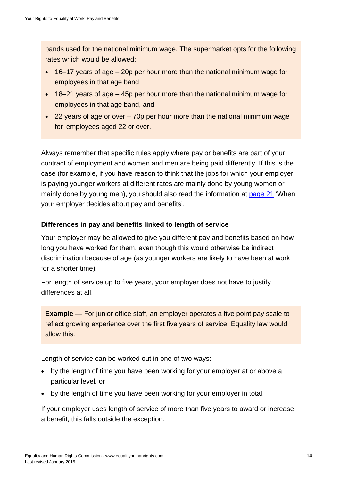bands used for the national minimum wage. The supermarket opts for the following rates which would be allowed:

- 16–17 years of age 20p per hour more than the national minimum wage for employees in that age band
- 18–21 years of age 45p per hour more than the national minimum wage for employees in that age band, and
- 22 years of age or over 70p per hour more than the national minimum wage for employees aged 22 or over.

Always remember that specific rules apply where pay or benefits are part of your contract of employment and women and men are being paid differently. If this is the case (for example, if you have reason to think that the jobs for which your employer is paying younger workers at different rates are mainly done by young women or mainly done by young men), you should also read the information at [page 21](#page-23-0) 'When your employer decides about pay and benefits'.

#### **Differences in pay and benefits linked to length of service**

Your employer may be allowed to give you different pay and benefits based on how long you have worked for them, even though this would otherwise be indirect discrimination because of age (as younger workers are likely to have been at work for a shorter time).

For length of service up to five years, your employer does not have to justify differences at all.

**Example** — For junior office staff, an employer operates a five point pay scale to reflect growing experience over the first five years of service. Equality law would allow this.

Length of service can be worked out in one of two ways:

- by the length of time you have been working for your employer at or above a particular level, or
- by the length of time you have been working for your employer in total.

If your employer uses length of service of more than five years to award or increase a benefit, this falls outside the exception.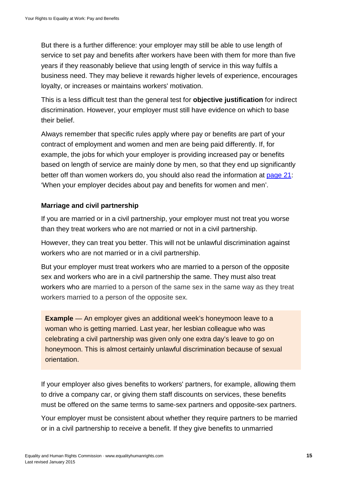But there is a further difference: your employer may still be able to use length of service to set pay and benefits after workers have been with them for more than five years if they reasonably believe that using length of service in this way fulfils a business need. They may believe it rewards higher levels of experience, encourages loyalty, or increases or maintains workers' motivation.

This is a less difficult test than the general test for **objective justification** for indirect discrimination. However, your employer must still have evidence on which to base their belief.

Always remember that specific rules apply where pay or benefits are part of your contract of employment and women and men are being paid differently. If, for example, the jobs for which your employer is providing increased pay or benefits based on length of service are mainly done by men, so that they end up significantly better off than women workers do, you should also read the information at [page 21:](#page-23-0) 'When your employer decides about pay and benefits for women and men'.

#### **Marriage and civil partnership**

If you are married or in a civil partnership, your employer must not treat you worse than they treat workers who are not married or not in a civil partnership.

However, they can treat you better. This will not be unlawful discrimination against workers who are not married or in a civil partnership.

But your employer must treat workers who are married to a person of the opposite sex and workers who are in a civil partnership the same. They must also treat workers who are married to a person of the same sex in the same way as they treat workers married to a person of the opposite sex.

**Example** — An employer gives an additional week's honeymoon leave to a woman who is getting married. Last year, her lesbian colleague who was celebrating a civil partnership was given only one extra day's leave to go on honeymoon. This is almost certainly unlawful discrimination because of sexual orientation.

If your employer also gives benefits to workers' partners, for example, allowing them to drive a company car, or giving them staff discounts on services, these benefits must be offered on the same terms to same-sex partners and opposite-sex partners.

Your employer must be consistent about whether they require partners to be married or in a civil partnership to receive a benefit. If they give benefits to unmarried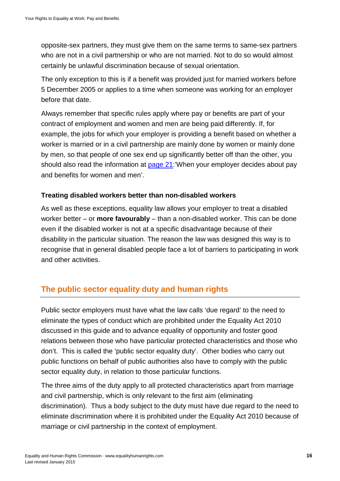opposite-sex partners, they must give them on the same terms to same-sex partners who are not in a civil partnership or who are not married. Not to do so would almost certainly be unlawful discrimination because of sexual orientation.

The only exception to this is if a benefit was provided just for married workers before 5 December 2005 or applies to a time when someone was working for an employer before that date.

Always remember that specific rules apply where pay or benefits are part of your contract of employment and women and men are being paid differently. If, for example, the jobs for which your employer is providing a benefit based on whether a worker is married or in a civil partnership are mainly done by women or mainly done by men, so that people of one sex end up significantly better off than the other, you should also read the information at [page 21:](#page-23-0)'When your employer decides about pay and benefits for women and men'.

#### **Treating disabled workers better than non-disabled workers**

As well as these exceptions, equality law allows your employer to treat a disabled worker better – or **more favourably** – than a non-disabled worker. This can be done even if the disabled worker is not at a specific disadvantage because of their disability in the particular situation. The reason the law was designed this way is to recognise that in general disabled people face a lot of barriers to participating in work and other activities.

#### <span id="page-15-0"></span>**The public sector equality duty and human rights**

Public sector employers must have what the law calls 'due regard' to the need to eliminate the types of conduct which are prohibited under the Equality Act 2010 discussed in this guide and to advance equality of opportunity and foster good relations between those who have particular protected characteristics and those who don't. This is called the 'public sector equality duty'. Other bodies who carry out public functions on behalf of public authorities also have to comply with the public sector equality duty, in relation to those particular functions.

The three aims of the duty apply to all protected characteristics apart from marriage and civil partnership, which is only relevant to the first aim (eliminating discrimination). Thus a body subject to the duty must have due regard to the need to eliminate discrimination where it is prohibited under the Equality Act 2010 because of marriage or civil partnership in the context of employment.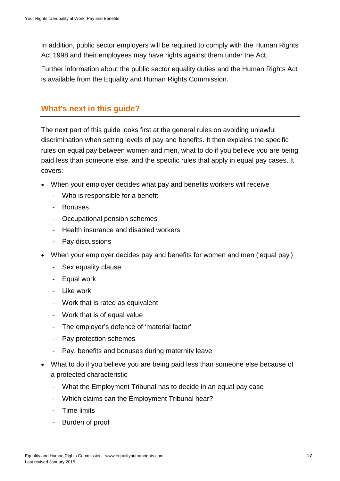In addition, public sector employers will be required to comply with the Human Rights Act 1998 and their employees may have rights against them under the Act.

Further information about the public sector equality duties and the Human Rights Act is available from the Equality and Human Rights Commission.

# <span id="page-16-0"></span>**What's next in this guide?**

The next part of this guide looks first at the general rules on avoiding unlawful discrimination when setting levels of pay and benefits. It then explains the specific rules on equal pay between women and men, what to do if you believe you are being paid less than someone else, and the specific rules that apply in equal pay cases. It covers:

- When your employer decides what pay and benefits workers will receive
	- Who is responsible for a benefit
	- Bonuses
	- Occupational pension schemes
	- Health insurance and disabled workers
	- Pay discussions
- When your employer decides pay and benefits for women and men ('equal pay')
	- Sex equality clause
	- Equal work
	- Like work
	- Work that is rated as equivalent
	- Work that is of equal value
	- The employer's defence of 'material factor'
	- Pay protection schemes
	- Pay, benefits and bonuses during maternity leave
- What to do if you believe you are being paid less than someone else because of a protected characteristic
	- What the Employment Tribunal has to decide in an equal pay case
	- Which claims can the Employment Tribunal hear?
	- Time limits
	- Burden of proof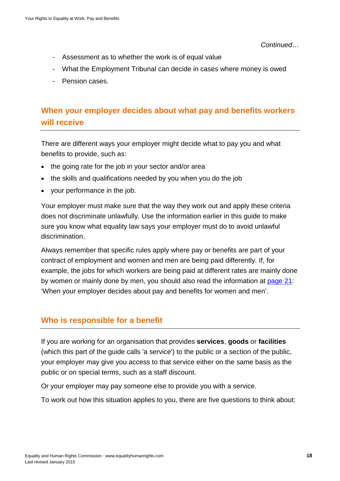*Continued*…

- Assessment as to whether the work is of equal value
- What the Employment Tribunal can decide in cases where money is owed
- Pension cases.

# <span id="page-17-0"></span>**When your employer decides about what pay and benefits workers will receive**

There are different ways your employer might decide what to pay you and what benefits to provide, such as:

- the going rate for the job in your sector and/or area
- the skills and qualifications needed by you when you do the job
- your performance in the job.

Your employer must make sure that the way they work out and apply these criteria does not discriminate unlawfully. Use the information earlier in this guide to make sure you know what equality law says your employer must do to avoid unlawful discrimination.

Always remember that specific rules apply where pay or benefits are part of your contract of employment and women and men are being paid differently. If, for example, the jobs for which workers are being paid at different rates are mainly done by women or mainly done by men, you should also read the information at [page 21:](#page-23-0) 'When your employer decides about pay and benefits for women and men'.

# <span id="page-17-1"></span>**Who is responsible for a benefit**

If you are working for an organisation that provides **services**, **goods** or **facilities**  (which this part of the guide calls 'a service') to the public or a section of the public, your employer may give you access to that service either on the same basis as the public or on special terms, such as a staff discount.

Or your employer may pay someone else to provide you with a service.

To work out how this situation applies to you, there are five questions to think about: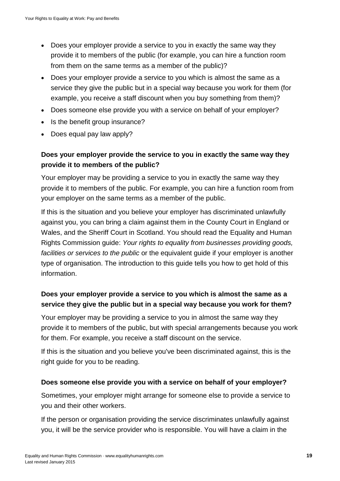- Does your employer provide a service to you in exactly the same way they provide it to members of the public (for example, you can hire a function room from them on the same terms as a member of the public)?
- Does your employer provide a service to you which is almost the same as a service they give the public but in a special way because you work for them (for example, you receive a staff discount when you buy something from them)?
- Does someone else provide you with a service on behalf of your employer?
- Is the benefit group insurance?
- Does equal pay law apply?

#### **Does your employer provide the service to you in exactly the same way they provide it to members of the public?**

Your employer may be providing a service to you in exactly the same way they provide it to members of the public. For example, you can hire a function room from your employer on the same terms as a member of the public.

If this is the situation and you believe your employer has discriminated unlawfully against you, you can bring a claim against them in the County Court in England or Wales, and the Sheriff Court in Scotland. You should read the Equality and Human Rights Commission guide: *Your rights to equality from businesses providing goods, facilities or services to the public* or the equivalent guide if your employer is another type of organisation. The introduction to this guide tells you how to get hold of this information.

#### **Does your employer provide a service to you which is almost the same as a service they give the public but in a special way because you work for them?**

Your employer may be providing a service to you in almost the same way they provide it to members of the public, but with special arrangements because you work for them. For example, you receive a staff discount on the service.

If this is the situation and you believe you've been discriminated against, this is the right guide for you to be reading.

#### **Does someone else provide you with a service on behalf of your employer?**

Sometimes, your employer might arrange for someone else to provide a service to you and their other workers.

If the person or organisation providing the service discriminates unlawfully against you, it will be the service provider who is responsible. You will have a claim in the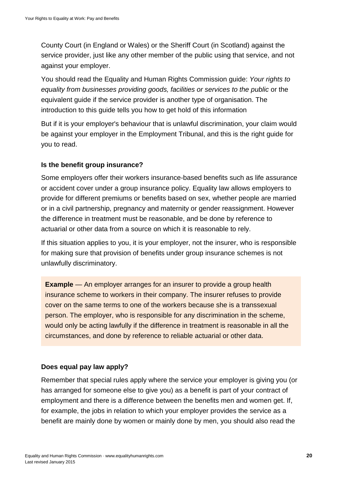County Court (in England or Wales) or the Sheriff Court (in Scotland) against the service provider, just like any other member of the public using that service, and not against your employer.

You should read the Equality and Human Rights Commission guide: *Your rights to equality from businesses providing goods, facilities or services to the public* or the equivalent guide if the service provider is another type of organisation. The introduction to this guide tells you how to get hold of this information

But if it is your employer's behaviour that is unlawful discrimination, your claim would be against your employer in the Employment Tribunal, and this is the right guide for you to read.

#### **Is the benefit group insurance?**

Some employers offer their workers insurance-based benefits such as life assurance or accident cover under a group insurance policy. Equality law allows employers to provide for different premiums or benefits based on sex, whether people are married or in a civil partnership, pregnancy and maternity or gender reassignment. However the difference in treatment must be reasonable, and be done by reference to actuarial or other data from a source on which it is reasonable to rely.

If this situation applies to you, it is your employer, not the insurer, who is responsible for making sure that provision of benefits under group insurance schemes is not unlawfully discriminatory.

**Example** — An employer arranges for an insurer to provide a group health insurance scheme to workers in their company. The insurer refuses to provide cover on the same terms to one of the workers because she is a transsexual person. The employer, who is responsible for any discrimination in the scheme, would only be acting lawfully if the difference in treatment is reasonable in all the circumstances, and done by reference to reliable actuarial or other data.

#### **Does equal pay law apply?**

Remember that special rules apply where the service your employer is giving you (or has arranged for someone else to give you) as a benefit is part of your contract of employment and there is a difference between the benefits men and women get. If, for example, the jobs in relation to which your employer provides the service as a benefit are mainly done by women or mainly done by men, you should also read the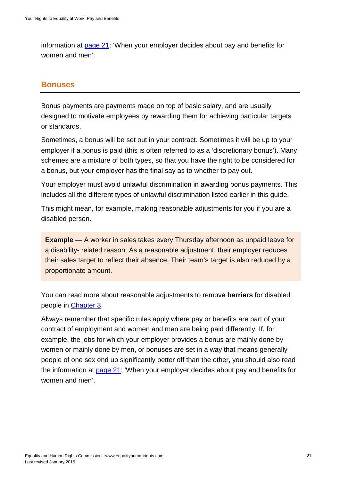information at [page 21:](#page-23-0) 'When your employer decides about pay and benefits for women and men'.

#### <span id="page-20-0"></span>**Bonuses**

Bonus payments are payments made on top of basic salary, and are usually designed to motivate employees by rewarding them for achieving particular targets or standards.

Sometimes, a bonus will be set out in your contract. Sometimes it will be up to your employer if a bonus is paid (this is often referred to as a 'discretionary bonus'). Many schemes are a mixture of both types, so that you have the right to be considered for a bonus, but your employer has the final say as to whether to pay out.

Your employer must avoid unlawful discrimination in awarding bonus payments. This includes all the different types of unlawful discrimination listed earlier in this guide.

This might mean, for example, making reasonable adjustments for you if you are a disabled person.

**Example** — A worker in sales takes every Thursday afternoon as unpaid leave for a disability- related reason. As a reasonable adjustment, their employer reduces their sales target to reflect their absence. Their team's target is also reduced by a proportionate amount.

You can read more about reasonable adjustments to remove **barriers** for disabled people in [Chapter 3.](#page-46-0)

Always remember that specific rules apply where pay or benefits are part of your contract of employment and women and men are being paid differently. If, for example, the jobs for which your employer provides a bonus are mainly done by women or mainly done by men, or bonuses are set in a way that means generally people of one sex end up significantly better off than the other, you should also read the information at [page 21:](#page-23-0) 'When your employer decides about pay and benefits for women and men'.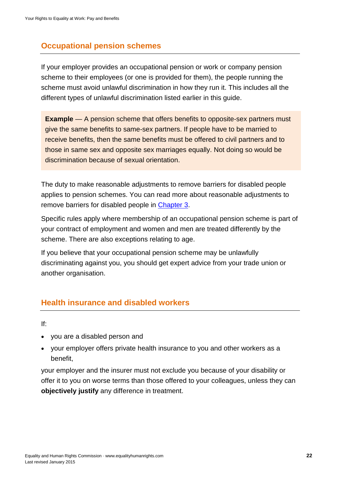# <span id="page-21-0"></span>**Occupational pension schemes**

If your employer provides an occupational pension or work or company pension scheme to their employees (or one is provided for them), the people running the scheme must avoid unlawful discrimination in how they run it. This includes all the different types of unlawful discrimination listed earlier in this guide.

**Example** — A pension scheme that offers benefits to opposite-sex partners must give the same benefits to same-sex partners. If people have to be married to receive benefits, then the same benefits must be offered to civil partners and to those in same sex and opposite sex marriages equally. Not doing so would be discrimination because of sexual orientation.

The duty to make reasonable adjustments to remove barriers for disabled people applies to pension schemes. You can read more about reasonable adjustments to remove barriers for disabled people in [Chapter 3.](#page-46-0)

Specific rules apply where membership of an occupational pension scheme is part of your contract of employment and women and men are treated differently by the scheme. There are also exceptions relating to age.

If you believe that your occupational pension scheme may be unlawfully discriminating against you, you should get expert advice from your trade union or another organisation.

#### <span id="page-21-1"></span>**Health insurance and disabled workers**

If:

- you are a disabled person and
- your employer offers private health insurance to you and other workers as a benefit,

your employer and the insurer must not exclude you because of your disability or offer it to you on worse terms than those offered to your colleagues, unless they can **objectively justify** any difference in treatment.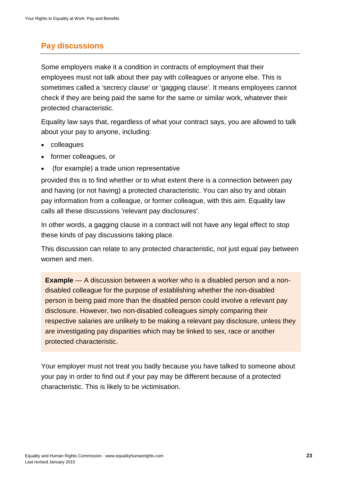# <span id="page-22-0"></span>**Pay discussions**

Some employers make it a condition in contracts of employment that their employees must not talk about their pay with colleagues or anyone else. This is sometimes called a 'secrecy clause' or 'gagging clause'. It means employees cannot check if they are being paid the same for the same or similar work, whatever their protected characteristic.

Equality law says that, regardless of what your contract says, you are allowed to talk about your pay to anyone, including:

- colleagues
- former colleagues, or
- (for example) a trade union representative

provided this is to find whether or to what extent there is a connection between pay and having (or not having) a protected characteristic. You can also try and obtain pay information from a colleague, or former colleague, with this aim. Equality law calls all these discussions 'relevant pay disclosures'.

In other words, a gagging clause in a contract will not have any legal effect to stop these kinds of pay discussions taking place.

This discussion can relate to any protected characteristic, not just equal pay between women and men.

**Example** — A discussion between a worker who is a disabled person and a nondisabled colleague for the purpose of establishing whether the non-disabled person is being paid more than the disabled person could involve a relevant pay disclosure. However, two non-disabled colleagues simply comparing their respective salaries are unlikely to be making a relevant pay disclosure, unless they are investigating pay disparities which may be linked to sex, race or another protected characteristic.

Your employer must not treat you badly because you have talked to someone about your pay in order to find out if your pay may be different because of a protected characteristic. This is likely to be victimisation.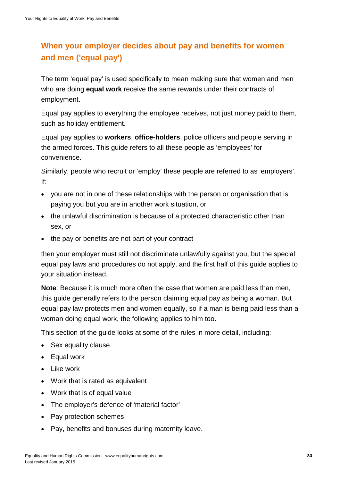# <span id="page-23-0"></span>**When your employer decides about pay and benefits for women and men ('equal pay')**

The term 'equal pay' is used specifically to mean making sure that women and men who are doing **equal work** receive the same rewards under their contracts of employment.

Equal pay applies to everything the employee receives, not just money paid to them, such as holiday entitlement.

Equal pay applies to **workers**, **office-holders**, police officers and people serving in the armed forces. This guide refers to all these people as 'employees' for convenience.

Similarly, people who recruit or 'employ' these people are referred to as 'employers'. If:

- you are not in one of these relationships with the person or organisation that is paying you but you are in another work situation, or
- the unlawful discrimination is because of a protected characteristic other than sex, or
- the pay or benefits are not part of your contract

then your employer must still not discriminate unlawfully against you, but the special equal pay laws and procedures do not apply, and the first half of this guide applies to your situation instead.

**Note**: Because it is much more often the case that women are paid less than men, this guide generally refers to the person claiming equal pay as being a woman. But equal pay law protects men and women equally, so if a man is being paid less than a woman doing equal work, the following applies to him too.

This section of the guide looks at some of the rules in more detail, including:

- Sex equality clause
- Equal work
- Like work
- Work that is rated as equivalent
- Work that is of equal value
- The employer's defence of 'material factor'
- Pay protection schemes
- Pay, benefits and bonuses during maternity leave.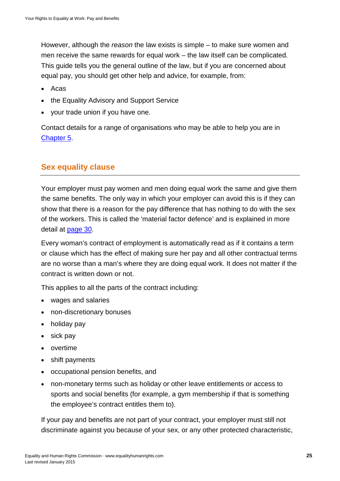However, although the *reason* the law exists is simple – to make sure women and men receive the same rewards for equal work – the law itself can be complicated. This guide tells you the general outline of the law, but if you are concerned about equal pay, you should get other help and advice, for example, from:

- Acas
- the Equality Advisory and Support Service
- your trade union if you have one.

Contact details for a range of organisations who may be able to help you are in [Chapter 5.](#page-80-0)

# <span id="page-24-0"></span>**Sex equality clause**

Your employer must pay women and men doing equal work the same and give them the same benefits. The only way in which your employer can avoid this is if they can show that there is a reason for the pay difference that has nothing to do with the sex of the workers. This is called the 'material factor defence' and is explained in more detail at [page 30.](#page-29-1)

Every woman's contract of employment is automatically read as if it contains a term or clause which has the effect of making sure her pay and all other contractual terms are no worse than a man's where they are doing equal work. It does not matter if the contract is written down or not.

This applies to all the parts of the contract including:

- wages and salaries
- non-discretionary bonuses
- holiday pay
- sick pay
- overtime
- shift payments
- occupational pension benefits, and
- non-monetary terms such as holiday or other leave entitlements or access to sports and social benefits (for example, a gym membership if that is something the employee's contract entitles them to).

If your pay and benefits are not part of your contract, your employer must still not discriminate against you because of your sex, or any other protected characteristic,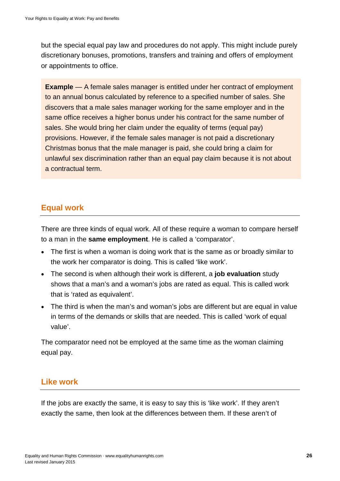but the special equal pay law and procedures do not apply. This might include purely discretionary bonuses, promotions, transfers and training and offers of employment or appointments to office.

**Example** — A female sales manager is entitled under her contract of employment to an annual bonus calculated by reference to a specified number of sales. She discovers that a male sales manager working for the same employer and in the same office receives a higher bonus under his contract for the same number of sales. She would bring her claim under the equality of terms (equal pay) provisions. However, if the female sales manager is not paid a discretionary Christmas bonus that the male manager is paid, she could bring a claim for unlawful sex discrimination rather than an equal pay claim because it is not about a contractual term.

#### <span id="page-25-0"></span>**Equal work**

There are three kinds of equal work. All of these require a woman to compare herself to a man in the **same employment**. He is called a 'comparator'.

- The first is when a woman is doing work that is the same as or broadly similar to the work her comparator is doing. This is called 'like work'.
- The second is when although their work is different, a **job evaluation** study shows that a man's and a woman's jobs are rated as equal. This is called work that is 'rated as equivalent'.
- The third is when the man's and woman's jobs are different but are equal in value in terms of the demands or skills that are needed. This is called 'work of equal value'.

The comparator need not be employed at the same time as the woman claiming equal pay.

#### <span id="page-25-1"></span>**Like work**

If the jobs are exactly the same, it is easy to say this is 'like work'. If they aren't exactly the same, then look at the differences between them. If these aren't of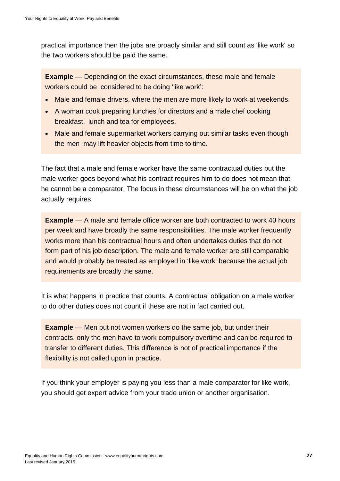practical importance then the jobs are broadly similar and still count as 'like work' so the two workers should be paid the same.

**Example** — Depending on the exact circumstances, these male and female workers could be considered to be doing 'like work':

- Male and female drivers, where the men are more likely to work at weekends.
- A woman cook preparing lunches for directors and a male chef cooking breakfast, lunch and tea for employees.
- Male and female supermarket workers carrying out similar tasks even though the men may lift heavier objects from time to time.

The fact that a male and female worker have the same contractual duties but the male worker goes beyond what his contract requires him to do does not mean that he cannot be a comparator. The focus in these circumstances will be on what the job actually requires.

**Example** — A male and female office worker are both contracted to work 40 hours per week and have broadly the same responsibilities. The male worker frequently works more than his contractual hours and often undertakes duties that do not form part of his job description. The male and female worker are still comparable and would probably be treated as employed in 'like work' because the actual job requirements are broadly the same.

It is what happens in practice that counts. A contractual obligation on a male worker to do other duties does not count if these are not in fact carried out.

**Example** — Men but not women workers do the same job, but under their contracts, only the men have to work compulsory overtime and can be required to transfer to different duties. This difference is not of practical importance if the flexibility is not called upon in practice.

If you think your employer is paying you less than a male comparator for like work, you should get expert advice from your trade union or another organisation.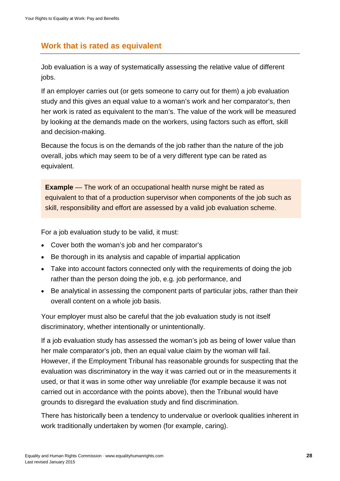# <span id="page-27-0"></span>**Work that is rated as equivalent**

Job evaluation is a way of systematically assessing the relative value of different jobs.

If an employer carries out (or gets someone to carry out for them) a job evaluation study and this gives an equal value to a woman's work and her comparator's, then her work is rated as equivalent to the man's. The value of the work will be measured by looking at the demands made on the workers, using factors such as effort, skill and decision-making.

Because the focus is on the demands of the job rather than the nature of the job overall, jobs which may seem to be of a very different type can be rated as equivalent.

**Example** — The work of an occupational health nurse might be rated as equivalent to that of a production supervisor when components of the job such as skill, responsibility and effort are assessed by a valid job evaluation scheme.

For a job evaluation study to be valid, it must:

- Cover both the woman's job and her comparator's
- Be thorough in its analysis and capable of impartial application
- Take into account factors connected only with the requirements of doing the job rather than the person doing the job, e.g. job performance, and
- Be analytical in assessing the component parts of particular jobs, rather than their overall content on a whole job basis.

Your employer must also be careful that the job evaluation study is not itself discriminatory, whether intentionally or unintentionally.

If a job evaluation study has assessed the woman's job as being of lower value than her male comparator's job, then an equal value claim by the woman will fail. However, if the Employment Tribunal has reasonable grounds for suspecting that the evaluation was discriminatory in the way it was carried out or in the measurements it used, or that it was in some other way unreliable (for example because it was not carried out in accordance with the points above), then the Tribunal would have grounds to disregard the evaluation study and find discrimination.

There has historically been a tendency to undervalue or overlook qualities inherent in work traditionally undertaken by women (for example, caring).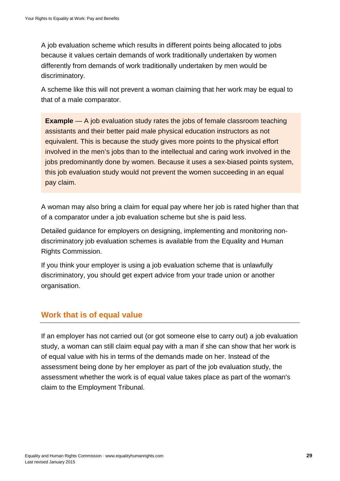A job evaluation scheme which results in different points being allocated to jobs because it values certain demands of work traditionally undertaken by women differently from demands of work traditionally undertaken by men would be discriminatory.

A scheme like this will not prevent a woman claiming that her work may be equal to that of a male comparator.

**Example** — A job evaluation study rates the jobs of female classroom teaching assistants and their better paid male physical education instructors as not equivalent. This is because the study gives more points to the physical effort involved in the men's jobs than to the intellectual and caring work involved in the jobs predominantly done by women. Because it uses a sex-biased points system, this job evaluation study would not prevent the women succeeding in an equal pay claim.

A woman may also bring a claim for equal pay where her job is rated higher than that of a comparator under a job evaluation scheme but she is paid less.

Detailed guidance for employers on designing, implementing and monitoring nondiscriminatory job evaluation schemes is available from the Equality and Human Rights Commission.

If you think your employer is using a job evaluation scheme that is unlawfully discriminatory, you should get expert advice from your trade union or another organisation.

# <span id="page-28-0"></span>**Work that is of equal value**

If an employer has not carried out (or got someone else to carry out) a job evaluation study, a woman can still claim equal pay with a man if she can show that her work is of equal value with his in terms of the demands made on her. Instead of the assessment being done by her employer as part of the job evaluation study, the assessment whether the work is of equal value takes place as part of the woman's claim to the Employment Tribunal.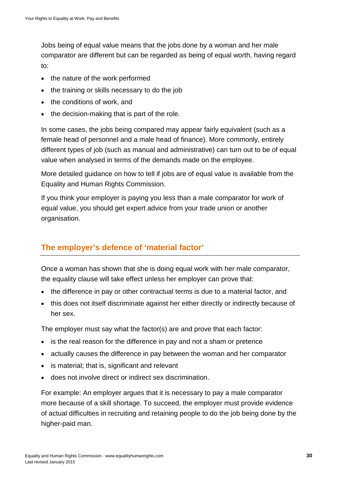Jobs being of equal value means that the jobs done by a woman and her male comparator are different but can be regarded as being of equal worth, having regard to:

- the nature of the work performed
- the training or skills necessary to do the job
- the conditions of work, and
- the decision-making that is part of the role.

In some cases, the jobs being compared may appear fairly equivalent (such as a female head of personnel and a male head of finance). More commonly, entirely different types of job (such as manual and administrative) can turn out to be of equal value when analysed in terms of the demands made on the employee.

More detailed guidance on how to tell if jobs are of equal value is available from the Equality and Human Rights Commission.

If you think your employer is paying you less than a male comparator for work of equal value, you should get expert advice from your trade union or another organisation.

#### <span id="page-29-1"></span><span id="page-29-0"></span>**The employer's defence of 'material factor'**

Once a woman has shown that she is doing equal work with her male comparator, the equality clause will take effect unless her employer can prove that:

- the difference in pay or other contractual terms is due to a material factor, and
- this does not itself discriminate against her either directly or indirectly because of her sex.

The employer must say what the factor(s) are and prove that each factor:

- is the real reason for the difference in pay and not a sham or pretence
- actually causes the difference in pay between the woman and her comparator
- is material; that is, significant and relevant
- does not involve direct or indirect sex discrimination.

For example: An employer argues that it is necessary to pay a male comparator more because of a skill shortage. To succeed, the employer must provide evidence of actual difficulties in recruiting and retaining people to do the job being done by the higher-paid man.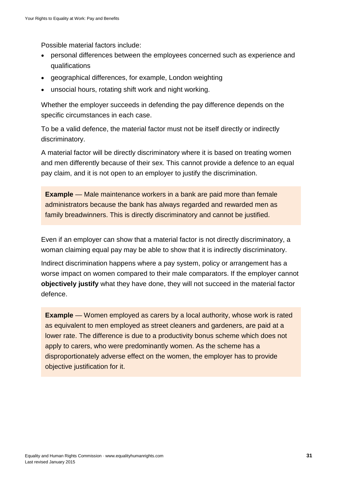Possible material factors include:

- personal differences between the employees concerned such as experience and qualifications
- geographical differences, for example, London weighting
- unsocial hours, rotating shift work and night working.

Whether the employer succeeds in defending the pay difference depends on the specific circumstances in each case.

To be a valid defence, the material factor must not be itself directly or indirectly discriminatory.

A material factor will be directly discriminatory where it is based on treating women and men differently because of their sex. This cannot provide a defence to an equal pay claim, and it is not open to an employer to justify the discrimination.

**Example** — Male maintenance workers in a bank are paid more than female administrators because the bank has always regarded and rewarded men as family breadwinners. This is directly discriminatory and cannot be justified.

Even if an employer can show that a material factor is not directly discriminatory, a woman claiming equal pay may be able to show that it is indirectly discriminatory.

Indirect discrimination happens where a pay system, policy or arrangement has a worse impact on women compared to their male comparators. If the employer cannot **objectively justify** what they have done, they will not succeed in the material factor defence.

**Example** — Women employed as carers by a local authority, whose work is rated as equivalent to men employed as street cleaners and gardeners, are paid at a lower rate. The difference is due to a productivity bonus scheme which does not apply to carers, who were predominantly women. As the scheme has a disproportionately adverse effect on the women, the employer has to provide objective justification for it.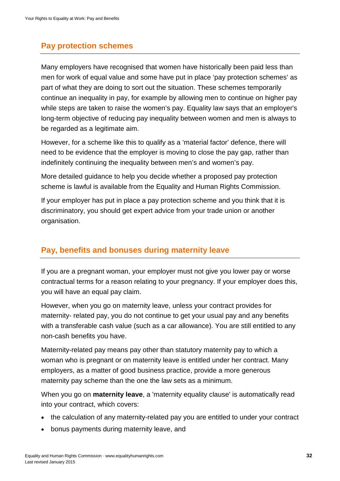#### <span id="page-31-0"></span>**Pay protection schemes**

Many employers have recognised that women have historically been paid less than men for work of equal value and some have put in place 'pay protection schemes' as part of what they are doing to sort out the situation. These schemes temporarily continue an inequality in pay, for example by allowing men to continue on higher pay while steps are taken to raise the women's pay. Equality law says that an employer's long-term objective of reducing pay inequality between women and men is always to be regarded as a legitimate aim.

However, for a scheme like this to qualify as a 'material factor' defence, there will need to be evidence that the employer is moving to close the pay gap, rather than indefinitely continuing the inequality between men's and women's pay.

More detailed guidance to help you decide whether a proposed pay protection scheme is lawful is available from the Equality and Human Rights Commission.

If your employer has put in place a pay protection scheme and you think that it is discriminatory, you should get expert advice from your trade union or another organisation.

#### <span id="page-31-1"></span>**Pay, benefits and bonuses during maternity leave**

If you are a pregnant woman, your employer must not give you lower pay or worse contractual terms for a reason relating to your pregnancy. If your employer does this, you will have an equal pay claim.

However, when you go on maternity leave, unless your contract provides for maternity- related pay, you do not continue to get your usual pay and any benefits with a transferable cash value (such as a car allowance). You are still entitled to any non-cash benefits you have.

Maternity-related pay means pay other than statutory maternity pay to which a woman who is pregnant or on maternity leave is entitled under her contract. Many employers, as a matter of good business practice, provide a more generous maternity pay scheme than the one the law sets as a minimum.

When you go on **maternity leave**, a 'maternity equality clause' is automatically read into your contract, which covers:

- the calculation of any maternity-related pay you are entitled to under your contract
- bonus payments during maternity leave, and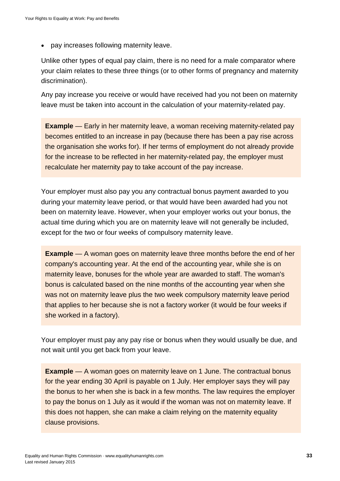• pay increases following maternity leave.

Unlike other types of equal pay claim, there is no need for a male comparator where your claim relates to these three things (or to other forms of pregnancy and maternity discrimination).

Any pay increase you receive or would have received had you not been on maternity leave must be taken into account in the calculation of your maternity-related pay.

**Example** — Early in her maternity leave, a woman receiving maternity-related pay becomes entitled to an increase in pay (because there has been a pay rise across the organisation she works for). If her terms of employment do not already provide for the increase to be reflected in her maternity-related pay, the employer must recalculate her maternity pay to take account of the pay increase.

Your employer must also pay you any contractual bonus payment awarded to you during your maternity leave period, or that would have been awarded had you not been on maternity leave. However, when your employer works out your bonus, the actual time during which you are on maternity leave will not generally be included, except for the two or four weeks of compulsory maternity leave.

**Example** — A woman goes on maternity leave three months before the end of her company's accounting year. At the end of the accounting year, while she is on maternity leave, bonuses for the whole year are awarded to staff. The woman's bonus is calculated based on the nine months of the accounting year when she was not on maternity leave plus the two week compulsory maternity leave period that applies to her because she is not a factory worker (it would be four weeks if she worked in a factory).

Your employer must pay any pay rise or bonus when they would usually be due, and not wait until you get back from your leave.

**Example** — A woman goes on maternity leave on 1 June. The contractual bonus for the year ending 30 April is payable on 1 July. Her employer says they will pay the bonus to her when she is back in a few months. The law requires the employer to pay the bonus on 1 July as it would if the woman was not on maternity leave. If this does not happen, she can make a claim relying on the maternity equality clause provisions.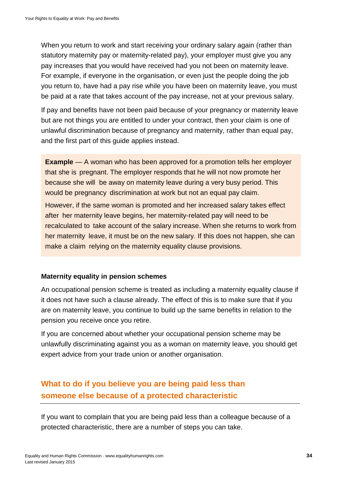When you return to work and start receiving your ordinary salary again (rather than statutory maternity pay or maternity-related pay), your employer must give you any pay increases that you would have received had you not been on maternity leave. For example, if everyone in the organisation, or even just the people doing the job you return to, have had a pay rise while you have been on maternity leave, you must be paid at a rate that takes account of the pay increase, not at your previous salary.

If pay and benefits have not been paid because of your pregnancy or maternity leave but are not things you are entitled to under your contract, then your claim is one of unlawful discrimination because of pregnancy and maternity, rather than equal pay, and the first part of this guide applies instead.

**Example** — A woman who has been approved for a promotion tells her employer that she is pregnant. The employer responds that he will not now promote her because she will be away on maternity leave during a very busy period. This would be pregnancy discrimination at work but not an equal pay claim.

However, if the same woman is promoted and her increased salary takes effect after her maternity leave begins, her maternity-related pay will need to be recalculated to take account of the salary increase. When she returns to work from her maternity leave, it must be on the new salary. If this does not happen, she can make a claim relying on the maternity equality clause provisions.

#### **Maternity equality in pension schemes**

An occupational pension scheme is treated as including a maternity equality clause if it does not have such a clause already. The effect of this is to make sure that if you are on maternity leave, you continue to build up the same benefits in relation to the pension you receive once you retire.

If you are concerned about whether your occupational pension scheme may be unlawfully discriminating against you as a woman on maternity leave, you should get expert advice from your trade union or another organisation.

# <span id="page-33-0"></span>**What to do if you believe you are being paid less than someone else because of a protected characteristic**

If you want to complain that you are being paid less than a colleague because of a protected characteristic, there are a number of steps you can take.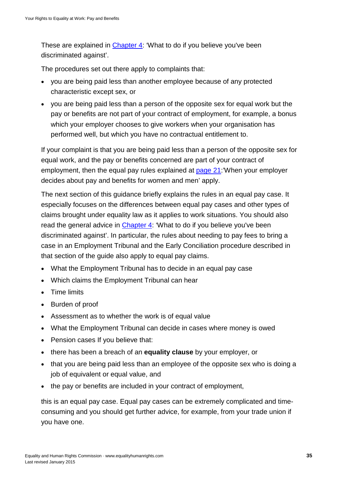These are explained in [Chapter 4:](#page-63-0) 'What to do if you believe you've been discriminated against'.

The procedures set out there apply to complaints that:

- you are being paid less than another employee because of any protected characteristic except sex, or
- you are being paid less than a person of the opposite sex for equal work but the pay or benefits are not part of your contract of employment, for example, a bonus which your employer chooses to give workers when your organisation has performed well, but which you have no contractual entitlement to.

If your complaint is that you are being paid less than a person of the opposite sex for equal work, and the pay or benefits concerned are part of your contract of employment, then the equal pay rules explained at [page 21:](#page-23-0)'When your employer decides about pay and benefits for women and men' apply.

The next section of this guidance briefly explains the rules in an equal pay case. It especially focuses on the differences between equal pay cases and other types of claims brought under equality law as it applies to work situations. You should also read the general advice in [Chapter 4:](#page-63-0) 'What to do if you believe you've been discriminated against'. In particular, the rules about needing to pay fees to bring a case in an Employment Tribunal and the Early Conciliation procedure described in that section of the guide also apply to equal pay claims.

- What the Employment Tribunal has to decide in an equal pay case
- Which claims the Employment Tribunal can hear
- Time limits
- Burden of proof
- Assessment as to whether the work is of equal value
- What the Employment Tribunal can decide in cases where money is owed
- Pension cases If you believe that:
- there has been a breach of an **equality clause** by your employer, or
- that you are being paid less than an employee of the opposite sex who is doing a job of equivalent or equal value, and
- the pay or benefits are included in your contract of employment,

this is an equal pay case. Equal pay cases can be extremely complicated and timeconsuming and you should get further advice, for example, from your trade union if you have one.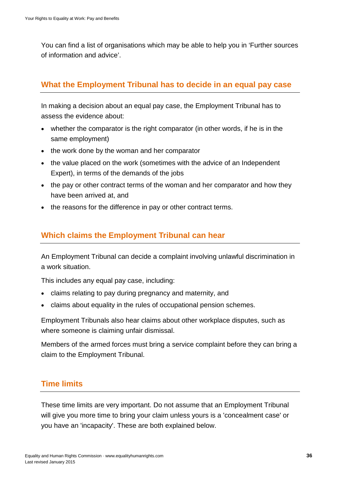You can find a list of organisations which may be able to help you in 'Further sources of information and advice'.

#### <span id="page-35-0"></span>**What the Employment Tribunal has to decide in an equal pay case**

In making a decision about an equal pay case, the Employment Tribunal has to assess the evidence about:

- whether the comparator is the right comparator (in other words, if he is in the same employment)
- the work done by the woman and her comparator
- the value placed on the work (sometimes with the advice of an Independent Expert), in terms of the demands of the jobs
- the pay or other contract terms of the woman and her comparator and how they have been arrived at, and
- the reasons for the difference in pay or other contract terms.

#### <span id="page-35-1"></span>**Which claims the Employment Tribunal can hear**

An Employment Tribunal can decide a complaint involving unlawful discrimination in a work situation.

This includes any equal pay case, including:

- claims relating to pay during pregnancy and maternity, and
- claims about equality in the rules of occupational pension schemes.

Employment Tribunals also hear claims about other workplace disputes, such as where someone is claiming unfair dismissal.

Members of the armed forces must bring a service complaint before they can bring a claim to the Employment Tribunal.

# <span id="page-35-2"></span>**Time limits**

These time limits are very important. Do not assume that an Employment Tribunal will give you more time to bring your claim unless yours is a 'concealment case' or you have an 'incapacity'. These are both explained below.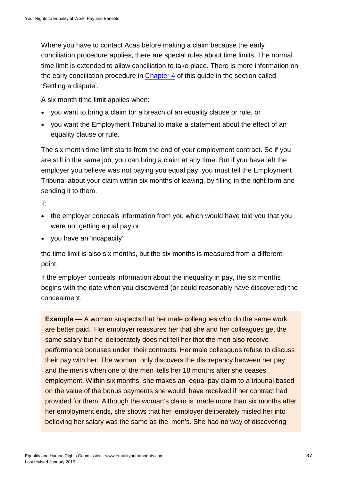Where you have to contact Acas before making a claim because the early conciliation procedure applies, there are special rules about time limits. The normal time limit is extended to allow conciliation to take place. There is more information on the early conciliation procedure in [Chapter 4](#page-63-0) of this guide in the section called 'Settling a dispute'.

A six month time limit applies when:

- you want to bring a claim for a breach of an equality clause or rule, or
- you want the Employment Tribunal to make a statement about the effect of an equality clause or rule.

The six month time limit starts from the end of your employment contract. So if you are still in the same job, you can bring a claim at any time. But if you have left the employer you believe was not paying you equal pay, you must tell the Employment Tribunal about your claim within six months of leaving, by filling in the right form and sending it to them.

If:

- the employer conceals information from you which would have told you that you were not getting equal pay or
- you have an 'incapacity'

the time limit is also six months, but the six months is measured from a different point.

If the employer conceals information about the inequality in pay, the six months begins with the date when you discovered (or could reasonably have discovered) the concealment.

**Example** — A woman suspects that her male colleagues who do the same work are better paid. Her employer reassures her that she and her colleagues get the same salary but he deliberately does not tell her that the men also receive performance bonuses under their contracts. Her male colleagues refuse to discuss their pay with her. The woman only discovers the discrepancy between her pay and the men's when one of the men tells her 18 months after she ceases employment. Within six months, she makes an equal pay claim to a tribunal based on the value of the bonus payments she would have received if her contract had provided for them. Although the woman's claim is made more than six months after her employment ends, she shows that her employer deliberately misled her into believing her salary was the same as the men's. She had no way of discovering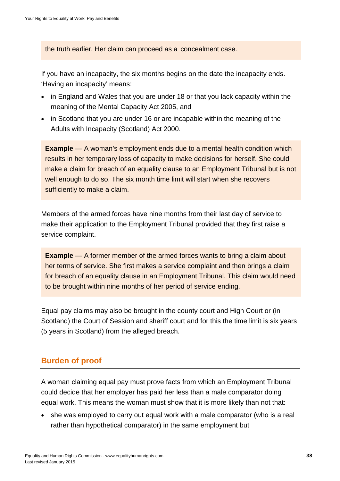the truth earlier. Her claim can proceed as a concealment case.

If you have an incapacity, the six months begins on the date the incapacity ends. 'Having an incapacity' means:

- in England and Wales that you are under 18 or that you lack capacity within the meaning of the Mental Capacity Act 2005, and
- in Scotland that you are under 16 or are incapable within the meaning of the Adults with Incapacity (Scotland) Act 2000.

**Example** — A woman's employment ends due to a mental health condition which results in her temporary loss of capacity to make decisions for herself. She could make a claim for breach of an equality clause to an Employment Tribunal but is not well enough to do so. The six month time limit will start when she recovers sufficiently to make a claim.

Members of the armed forces have nine months from their last day of service to make their application to the Employment Tribunal provided that they first raise a service complaint.

**Example** — A former member of the armed forces wants to bring a claim about her terms of service. She first makes a service complaint and then brings a claim for breach of an equality clause in an Employment Tribunal. This claim would need to be brought within nine months of her period of service ending.

Equal pay claims may also be brought in the county court and High Court or (in Scotland) the Court of Session and sheriff court and for this the time limit is six years (5 years in Scotland) from the alleged breach.

# **Burden of proof**

<span id="page-37-0"></span>A woman claiming equal pay must prove facts from which an Employment Tribunal could decide that her employer has paid her less than a male comparator doing equal work. This means the woman must show that it is more likely than not that:

• she was employed to carry out equal work with a male comparator (who is a real rather than hypothetical comparator) in the same employment but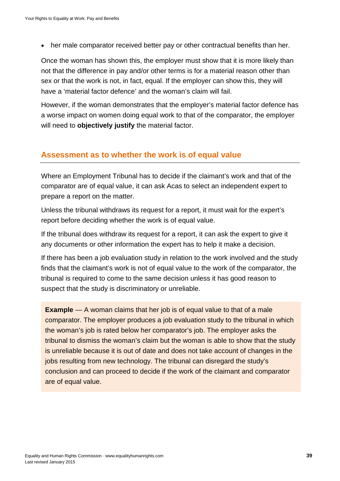• her male comparator received better pay or other contractual benefits than her.

Once the woman has shown this, the employer must show that it is more likely than not that the difference in pay and/or other terms is for a material reason other than sex or that the work is not, in fact, equal. If the employer can show this, they will have a 'material factor defence' and the woman's claim will fail.

However, if the woman demonstrates that the employer's material factor defence has a worse impact on women doing equal work to that of the comparator, the employer will need to **objectively justify** the material factor.

#### **Assessment as to whether the work is of equal value**

Where an Employment Tribunal has to decide if the claimant's work and that of the comparator are of equal value, it can ask Acas to select an independent expert to prepare a report on the matter.

Unless the tribunal withdraws its request for a report, it must wait for the expert's report before deciding whether the work is of equal value.

If the tribunal does withdraw its request for a report, it can ask the expert to give it any documents or other information the expert has to help it make a decision.

If there has been a job evaluation study in relation to the work involved and the study finds that the claimant's work is not of equal value to the work of the comparator, the tribunal is required to come to the same decision unless it has good reason to suspect that the study is discriminatory or unreliable.

**Example** — A woman claims that her job is of equal value to that of a male comparator. The employer produces a job evaluation study to the tribunal in which the woman's job is rated below her comparator's job. The employer asks the tribunal to dismiss the woman's claim but the woman is able to show that the study is unreliable because it is out of date and does not take account of changes in the jobs resulting from new technology. The tribunal can disregard the study's conclusion and can proceed to decide if the work of the claimant and comparator are of equal value.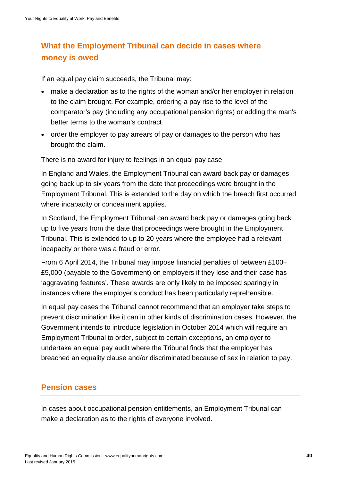# **What the Employment Tribunal can decide in cases where money is owed**

If an equal pay claim succeeds, the Tribunal may:

- make a declaration as to the rights of the woman and/or her employer in relation to the claim brought. For example, ordering a pay rise to the level of the comparator's pay (including any occupational pension rights) or adding the man's better terms to the woman's contract
- order the employer to pay arrears of pay or damages to the person who has brought the claim.

There is no award for injury to feelings in an equal pay case.

In England and Wales, the Employment Tribunal can award back pay or damages going back up to six years from the date that proceedings were brought in the Employment Tribunal. This is extended to the day on which the breach first occurred where incapacity or concealment applies.

In Scotland, the Employment Tribunal can award back pay or damages going back up to five years from the date that proceedings were brought in the Employment Tribunal. This is extended to up to 20 years where the employee had a relevant incapacity or there was a fraud or error.

From 6 April 2014, the Tribunal may impose financial penalties of between £100– £5,000 (payable to the Government) on employers if they lose and their case has 'aggravating features'. These awards are only likely to be imposed sparingly in instances where the employer's conduct has been particularly reprehensible.

In equal pay cases the Tribunal cannot recommend that an employer take steps to prevent discrimination like it can in other kinds of discrimination cases. However, the Government intends to introduce legislation in October 2014 which will require an Employment Tribunal to order, subject to certain exceptions, an employer to undertake an equal pay audit where the Tribunal finds that the employer has breached an equality clause and/or discriminated because of sex in relation to pay.

## **Pension cases**

In cases about occupational pension entitlements, an Employment Tribunal can make a declaration as to the rights of everyone involved.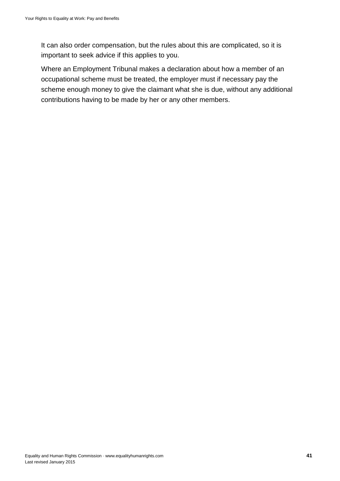It can also order compensation, but the rules about this are complicated, so it is important to seek advice if this applies to you.

Where an Employment Tribunal makes a declaration about how a member of an occupational scheme must be treated, the employer must if necessary pay the scheme enough money to give the claimant what she is due, without any additional contributions having to be made by her or any other members.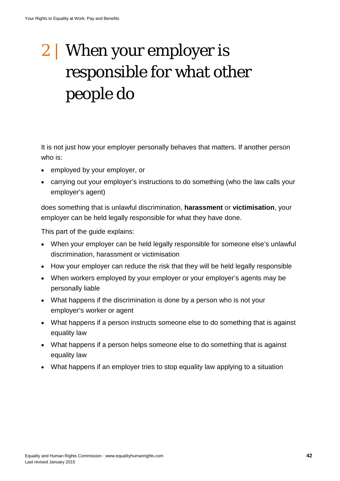# 2 | When your employer is responsible for what other people do

It is not just how your employer personally behaves that matters. If another person who is:

- employed by your employer, or
- carrying out your employer's instructions to do something (who the law calls your employer's agent)

does something that is unlawful discrimination, **harassment** or **victimisation**, your employer can be held legally responsible for what they have done.

This part of the guide explains:

- When your employer can be held legally responsible for someone else's unlawful discrimination, harassment or victimisation
- How your employer can reduce the risk that they will be held legally responsible
- When workers employed by your employer or your employer's agents may be personally liable
- What happens if the discrimination is done by a person who is not your employer's worker or agent
- What happens if a person instructs someone else to do something that is against equality law
- What happens if a person helps someone else to do something that is against equality law
- What happens if an employer tries to stop equality law applying to a situation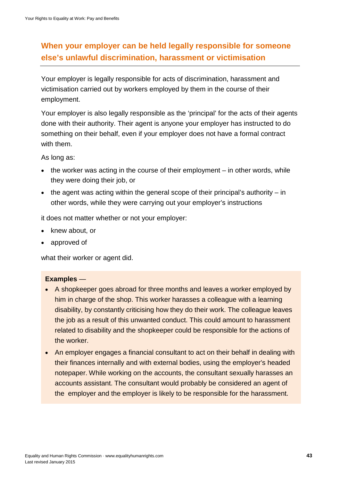# **When your employer can be held legally responsible for someone else's unlawful discrimination, harassment or victimisation**

Your employer is legally responsible for acts of discrimination, harassment and victimisation carried out by workers employed by them in the course of their employment.

Your employer is also legally responsible as the 'principal' for the acts of their agents done with their authority. Their agent is anyone your employer has instructed to do something on their behalf, even if your employer does not have a formal contract with them.

As long as:

- the worker was acting in the course of their employment in other words, while they were doing their job, or
- the agent was acting within the general scope of their principal's authority  $-$  in other words, while they were carrying out your employer's instructions

it does not matter whether or not your employer:

- knew about, or
- approved of

what their worker or agent did.

#### **Examples** —

- A shopkeeper goes abroad for three months and leaves a worker employed by him in charge of the shop. This worker harasses a colleague with a learning disability, by constantly criticising how they do their work. The colleague leaves the job as a result of this unwanted conduct. This could amount to harassment related to disability and the shopkeeper could be responsible for the actions of the worker.
- An employer engages a financial consultant to act on their behalf in dealing with their finances internally and with external bodies, using the employer's headed notepaper. While working on the accounts, the consultant sexually harasses an accounts assistant. The consultant would probably be considered an agent of the employer and the employer is likely to be responsible for the harassment.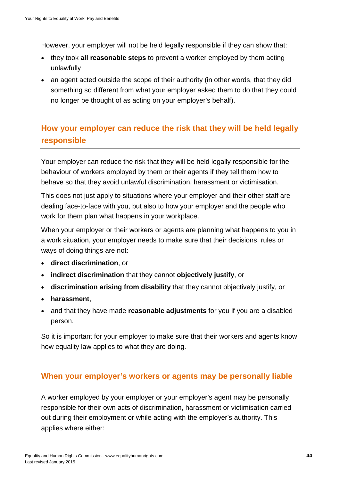However, your employer will not be held legally responsible if they can show that:

- they took **all reasonable steps** to prevent a worker employed by them acting unlawfully
- an agent acted outside the scope of their authority (in other words, that they did something so different from what your employer asked them to do that they could no longer be thought of as acting on your employer's behalf).

# **How your employer can reduce the risk that they will be held legally responsible**

Your employer can reduce the risk that they will be held legally responsible for the behaviour of workers employed by them or their agents if they tell them how to behave so that they avoid unlawful discrimination, harassment or victimisation.

This does not just apply to situations where your employer and their other staff are dealing face-to-face with you, but also to how your employer and the people who work for them plan what happens in your workplace.

When your employer or their workers or agents are planning what happens to you in a work situation, your employer needs to make sure that their decisions, rules or ways of doing things are not:

- **direct discrimination**, or
- **indirect discrimination** that they cannot **objectively justify**, or
- **discrimination arising from disability** that they cannot objectively justify, or
- **harassment**,
- and that they have made **reasonable adjustments** for you if you are a disabled person.

So it is important for your employer to make sure that their workers and agents know how equality law applies to what they are doing.

## **When your employer's workers or agents may be personally liable**

A worker employed by your employer or your employer's agent may be personally responsible for their own acts of discrimination, harassment or victimisation carried out during their employment or while acting with the employer's authority. This applies where either: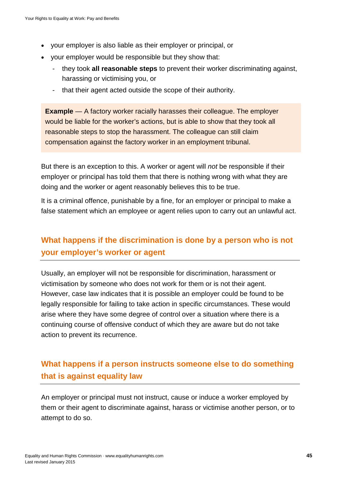- your employer is also liable as their employer or principal, or
- your employer would be responsible but they show that:
	- they took **all reasonable steps** to prevent their worker discriminating against, harassing or victimising you, or
	- that their agent acted outside the scope of their authority.

**Example** — A factory worker racially harasses their colleague. The employer would be liable for the worker's actions, but is able to show that they took all reasonable steps to stop the harassment. The colleague can still claim compensation against the factory worker in an employment tribunal.

But there is an exception to this. A worker or agent will *not* be responsible if their employer or principal has told them that there is nothing wrong with what they are doing and the worker or agent reasonably believes this to be true.

It is a criminal offence, punishable by a fine, for an employer or principal to make a false statement which an employee or agent relies upon to carry out an unlawful act.

# **What happens if the discrimination is done by a person who is not your employer's worker or agent**

Usually, an employer will not be responsible for discrimination, harassment or victimisation by someone who does not work for them or is not their agent. However, case law indicates that it is possible an employer could be found to be legally responsible for failing to take action in specific circumstances. These would arise where they have some degree of control over a situation where there is a continuing course of offensive conduct of which they are aware but do not take action to prevent its recurrence.

# **What happens if a person instructs someone else to do something that is against equality law**

An employer or principal must not instruct, cause or induce a worker employed by them or their agent to discriminate against, harass or victimise another person, or to attempt to do so.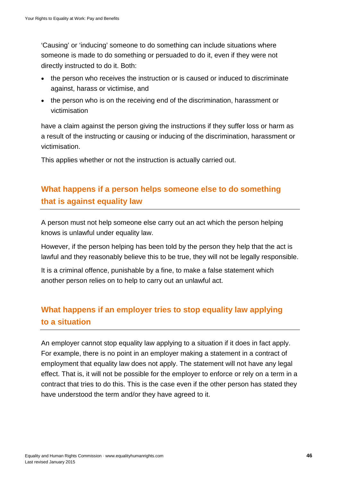'Causing' or 'inducing' someone to do something can include situations where someone is made to do something or persuaded to do it, even if they were not directly instructed to do it. Both:

- the person who receives the instruction or is caused or induced to discriminate against, harass or victimise, and
- the person who is on the receiving end of the discrimination, harassment or victimisation

have a claim against the person giving the instructions if they suffer loss or harm as a result of the instructing or causing or inducing of the discrimination, harassment or victimisation.

This applies whether or not the instruction is actually carried out.

# **What happens if a person helps someone else to do something that is against equality law**

A person must not help someone else carry out an act which the person helping knows is unlawful under equality law.

However, if the person helping has been told by the person they help that the act is lawful and they reasonably believe this to be true, they will not be legally responsible.

It is a criminal offence, punishable by a fine, to make a false statement which another person relies on to help to carry out an unlawful act.

# **What happens if an employer tries to stop equality law applying to a situation**

An employer cannot stop equality law applying to a situation if it does in fact apply. For example, there is no point in an employer making a statement in a contract of employment that equality law does not apply. The statement will not have any legal effect. That is, it will not be possible for the employer to enforce or rely on a term in a contract that tries to do this. This is the case even if the other person has stated they have understood the term and/or they have agreed to it.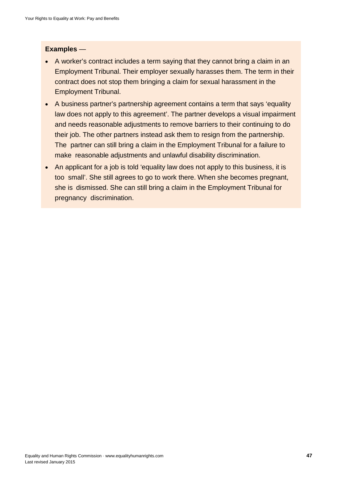#### **Examples** —

- A worker's contract includes a term saying that they cannot bring a claim in an Employment Tribunal. Their employer sexually harasses them. The term in their contract does not stop them bringing a claim for sexual harassment in the Employment Tribunal.
- A business partner's partnership agreement contains a term that says 'equality law does not apply to this agreement'. The partner develops a visual impairment and needs reasonable adjustments to remove barriers to their continuing to do their job. The other partners instead ask them to resign from the partnership. The partner can still bring a claim in the Employment Tribunal for a failure to make reasonable adjustments and unlawful disability discrimination.
- An applicant for a job is told 'equality law does not apply to this business, it is too small'. She still agrees to go to work there. When she becomes pregnant, she is dismissed. She can still bring a claim in the Employment Tribunal for pregnancy discrimination.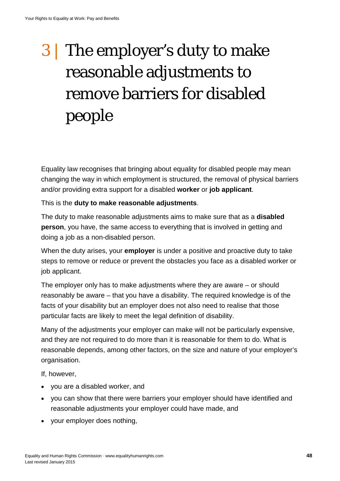# 3 | The employer's duty to make reasonable adjustments to remove barriers for disabled people

Equality law recognises that bringing about equality for disabled people may mean changing the way in which employment is structured, the removal of physical barriers and/or providing extra support for a disabled **worker** or **job applicant**.

#### This is the **duty to make reasonable adjustments**.

The duty to make reasonable adjustments aims to make sure that as a **disabled person**, you have, the same access to everything that is involved in getting and doing a job as a non-disabled person.

When the duty arises, your **employer** is under a positive and proactive duty to take steps to remove or reduce or prevent the obstacles you face as a disabled worker or job applicant.

The employer only has to make adjustments where they are aware – or should reasonably be aware – that you have a disability. The required knowledge is of the facts of your disability but an employer does not also need to realise that those particular facts are likely to meet the legal definition of disability.

Many of the adjustments your employer can make will not be particularly expensive, and they are not required to do more than it is reasonable for them to do. What is reasonable depends, among other factors, on the size and nature of your employer's organisation.

If, however,

- you are a disabled worker, and
- you can show that there were barriers your employer should have identified and reasonable adjustments your employer could have made, and
- your employer does nothing,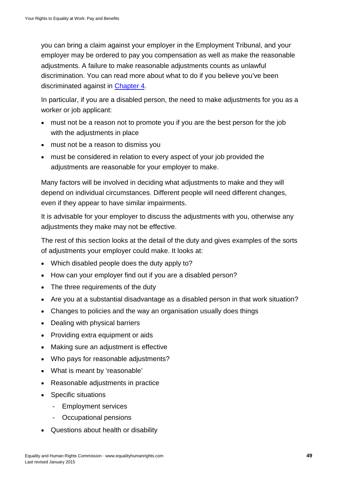you can bring a claim against your employer in the Employment Tribunal, and your employer may be ordered to pay you compensation as well as make the reasonable adjustments. A failure to make reasonable adjustments counts as unlawful discrimination. You can read more about what to do if you believe you've been discriminated against in [Chapter 4.](#page-63-0)

In particular, if you are a disabled person, the need to make adjustments for you as a worker or job applicant:

- must not be a reason not to promote you if you are the best person for the job with the adjustments in place
- must not be a reason to dismiss you
- must be considered in relation to every aspect of your job provided the adjustments are reasonable for your employer to make.

Many factors will be involved in deciding what adjustments to make and they will depend on individual circumstances. Different people will need different changes, even if they appear to have similar impairments.

It is advisable for your employer to discuss the adjustments with you, otherwise any adjustments they make may not be effective.

The rest of this section looks at the detail of the duty and gives examples of the sorts of adjustments your employer could make. It looks at:

- Which disabled people does the duty apply to?
- How can your employer find out if you are a disabled person?
- The three requirements of the duty
- Are you at a substantial disadvantage as a disabled person in that work situation?
- Changes to policies and the way an organisation usually does things
- Dealing with physical barriers
- Providing extra equipment or aids
- Making sure an adjustment is effective
- Who pays for reasonable adjustments?
- What is meant by 'reasonable'
- Reasonable adjustments in practice
- Specific situations
	- Employment services
	- Occupational pensions
- Questions about health or disability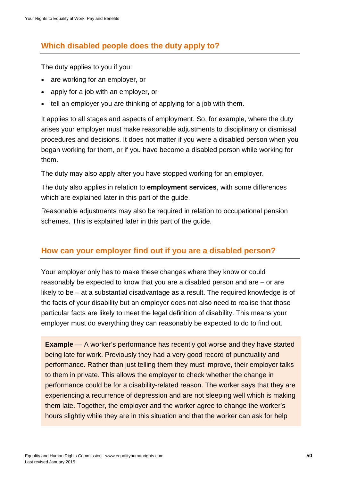# **Which disabled people does the duty apply to?**

The duty applies to you if you:

- are working for an employer, or
- apply for a job with an employer, or
- tell an employer you are thinking of applying for a job with them.

It applies to all stages and aspects of employment. So, for example, where the duty arises your employer must make reasonable adjustments to disciplinary or dismissal procedures and decisions. It does not matter if you were a disabled person when you began working for them, or if you have become a disabled person while working for them.

The duty may also apply after you have stopped working for an employer.

The duty also applies in relation to **employment services**, with some differences which are explained later in this part of the guide.

Reasonable adjustments may also be required in relation to occupational pension schemes. This is explained later in this part of the guide.

# **How can your employer find out if you are a disabled person?**

Your employer only has to make these changes where they know or could reasonably be expected to know that you are a disabled person and are – or are likely to be – at a substantial disadvantage as a result. The required knowledge is of the facts of your disability but an employer does not also need to realise that those particular facts are likely to meet the legal definition of disability. This means your employer must do everything they can reasonably be expected to do to find out.

**Example** — A worker's performance has recently got worse and they have started being late for work. Previously they had a very good record of punctuality and performance. Rather than just telling them they must improve, their employer talks to them in private. This allows the employer to check whether the change in performance could be for a disability-related reason. The worker says that they are experiencing a recurrence of depression and are not sleeping well which is making them late. Together, the employer and the worker agree to change the worker's hours slightly while they are in this situation and that the worker can ask for help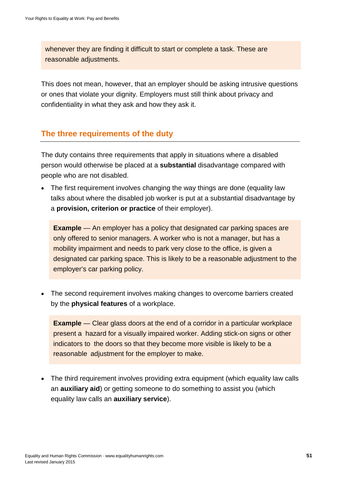whenever they are finding it difficult to start or complete a task. These are reasonable adjustments.

This does not mean, however, that an employer should be asking intrusive questions or ones that violate your dignity. Employers must still think about privacy and confidentiality in what they ask and how they ask it.

## **The three requirements of the duty**

The duty contains three requirements that apply in situations where a disabled person would otherwise be placed at a **substantial** disadvantage compared with people who are not disabled.

• The first requirement involves changing the way things are done (equality law talks about where the disabled job worker is put at a substantial disadvantage by a **provision, criterion or practice** of their employer).

**Example** — An employer has a policy that designated car parking spaces are only offered to senior managers. A worker who is not a manager, but has a mobility impairment and needs to park very close to the office, is given a designated car parking space. This is likely to be a reasonable adjustment to the employer's car parking policy.

• The second requirement involves making changes to overcome barriers created by the **physical features** of a workplace.

**Example** — Clear glass doors at the end of a corridor in a particular workplace present a hazard for a visually impaired worker. Adding stick-on signs or other indicators to the doors so that they become more visible is likely to be a reasonable adjustment for the employer to make.

• The third requirement involves providing extra equipment (which equality law calls an **auxiliary aid**) or getting someone to do something to assist you (which equality law calls an **auxiliary service**).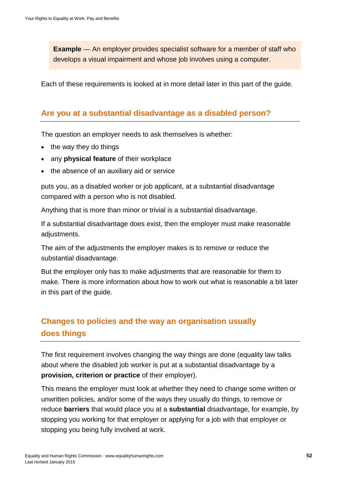**Example** — An employer provides specialist software for a member of staff who develops a visual impairment and whose job involves using a computer.

Each of these requirements is looked at in more detail later in this part of the guide.

# **Are you at a substantial disadvantage as a disabled person?**

The question an employer needs to ask themselves is whether:

- the way they do things
- any **physical feature** of their workplace
- the absence of an auxiliary aid or service

puts you, as a disabled worker or job applicant, at a substantial disadvantage compared with a person who is not disabled.

Anything that is more than minor or trivial is a substantial disadvantage.

If a substantial disadvantage does exist, then the employer must make reasonable adjustments.

The aim of the adjustments the employer makes is to remove or reduce the substantial disadvantage.

But the employer only has to make adjustments that are reasonable for them to make. There is more information about how to work out what is reasonable a bit later in this part of the guide.

# **Changes to policies and the way an organisation usually does things**

The first requirement involves changing the way things are done (equality law talks about where the disabled job worker is put at a substantial disadvantage by a **provision, criterion or practice** of their employer).

This means the employer must look at whether they need to change some written or unwritten policies, and/or some of the ways they usually do things, to remove or reduce **barriers** that would place you at a **substantial** disadvantage, for example, by stopping you working for that employer or applying for a job with that employer or stopping you being fully involved at work.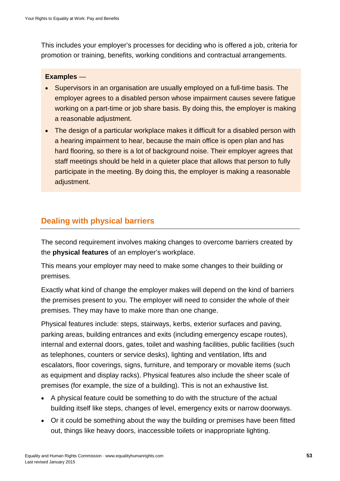This includes your employer's processes for deciding who is offered a job, criteria for promotion or training, benefits, working conditions and contractual arrangements.

#### **Examples** —

- Supervisors in an organisation are usually employed on a full-time basis. The employer agrees to a disabled person whose impairment causes severe fatigue working on a part-time or job share basis. By doing this, the employer is making a reasonable adjustment.
- The design of a particular workplace makes it difficult for a disabled person with a hearing impairment to hear, because the main office is open plan and has hard flooring, so there is a lot of background noise. Their employer agrees that staff meetings should be held in a quieter place that allows that person to fully participate in the meeting. By doing this, the employer is making a reasonable adjustment.

# **Dealing with physical barriers**

The second requirement involves making changes to overcome barriers created by the **physical features** of an employer's workplace.

This means your employer may need to make some changes to their building or premises.

Exactly what kind of change the employer makes will depend on the kind of barriers the premises present to you. The employer will need to consider the whole of their premises. They may have to make more than one change.

Physical features include: steps, stairways, kerbs, exterior surfaces and paving, parking areas, building entrances and exits (including emergency escape routes), internal and external doors, gates, toilet and washing facilities, public facilities (such as telephones, counters or service desks), lighting and ventilation, lifts and escalators, floor coverings, signs, furniture, and temporary or movable items (such as equipment and display racks). Physical features also include the sheer scale of premises (for example, the size of a building). This is not an exhaustive list.

- A physical feature could be something to do with the structure of the actual building itself like steps, changes of level, emergency exits or narrow doorways.
- Or it could be something about the way the building or premises have been fitted out, things like heavy doors, inaccessible toilets or inappropriate lighting.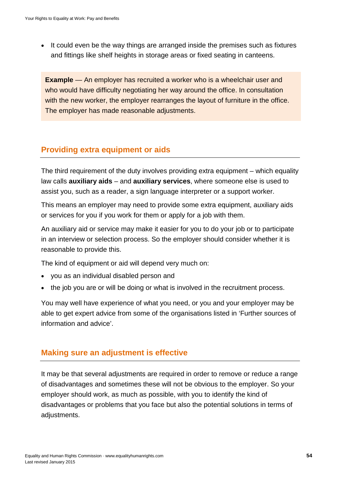• It could even be the way things are arranged inside the premises such as fixtures and fittings like shelf heights in storage areas or fixed seating in canteens.

**Example** — An employer has recruited a worker who is a wheelchair user and who would have difficulty negotiating her way around the office. In consultation with the new worker, the employer rearranges the layout of furniture in the office. The employer has made reasonable adjustments.

# **Providing extra equipment or aids**

The third requirement of the duty involves providing extra equipment – which equality law calls **auxiliary aids** – and **auxiliary services**, where someone else is used to assist you, such as a reader, a sign language interpreter or a support worker.

This means an employer may need to provide some extra equipment, auxiliary aids or services for you if you work for them or apply for a job with them.

An auxiliary aid or service may make it easier for you to do your job or to participate in an interview or selection process. So the employer should consider whether it is reasonable to provide this.

The kind of equipment or aid will depend very much on:

- you as an individual disabled person and
- the job you are or will be doing or what is involved in the recruitment process.

You may well have experience of what you need, or you and your employer may be able to get expert advice from some of the organisations listed in 'Further sources of information and advice'.

# **Making sure an adjustment is effective**

It may be that several adjustments are required in order to remove or reduce a range of disadvantages and sometimes these will not be obvious to the employer. So your employer should work, as much as possible, with you to identify the kind of disadvantages or problems that you face but also the potential solutions in terms of adjustments.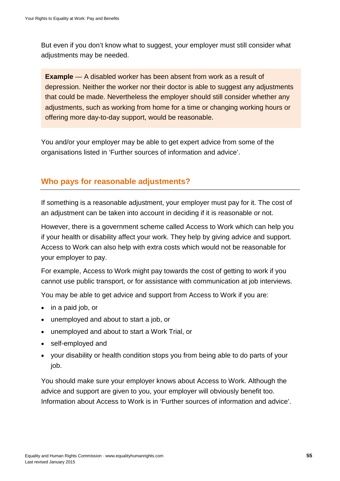But even if you don't know what to suggest, your employer must still consider what adjustments may be needed.

**Example** — A disabled worker has been absent from work as a result of depression. Neither the worker nor their doctor is able to suggest any adjustments that could be made. Nevertheless the employer should still consider whether any adjustments, such as working from home for a time or changing working hours or offering more day-to-day support, would be reasonable.

You and/or your employer may be able to get expert advice from some of the organisations listed in 'Further sources of information and advice'.

# **Who pays for reasonable adjustments?**

If something is a reasonable adjustment, your employer must pay for it. The cost of an adjustment can be taken into account in deciding if it is reasonable or not.

However, there is a government scheme called Access to Work which can help you if your health or disability affect your work. They help by giving advice and support. Access to Work can also help with extra costs which would not be reasonable for your employer to pay.

For example, Access to Work might pay towards the cost of getting to work if you cannot use public transport, or for assistance with communication at job interviews.

You may be able to get advice and support from Access to Work if you are:

- in a paid job, or
- unemployed and about to start a job, or
- unemployed and about to start a Work Trial, or
- self-employed and
- your disability or health condition stops you from being able to do parts of your job.

You should make sure your employer knows about Access to Work. Although the advice and support are given to you, your employer will obviously benefit too. Information about Access to Work is in 'Further sources of information and advice'.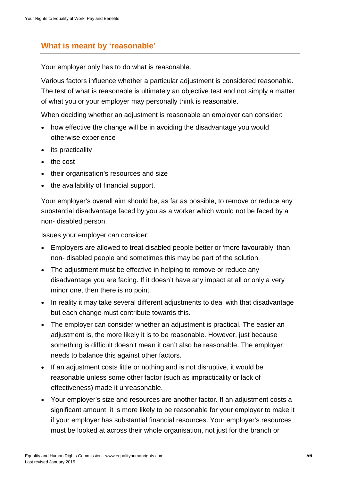# **What is meant by 'reasonable'**

Your employer only has to do what is reasonable.

Various factors influence whether a particular adjustment is considered reasonable. The test of what is reasonable is ultimately an objective test and not simply a matter of what you or your employer may personally think is reasonable.

When deciding whether an adjustment is reasonable an employer can consider:

- how effective the change will be in avoiding the disadvantage you would otherwise experience
- its practicality
- the cost
- their organisation's resources and size
- the availability of financial support.

Your employer's overall aim should be, as far as possible, to remove or reduce any substantial disadvantage faced by you as a worker which would not be faced by a non- disabled person.

Issues your employer can consider:

- Employers are allowed to treat disabled people better or 'more favourably' than non- disabled people and sometimes this may be part of the solution.
- The adjustment must be effective in helping to remove or reduce any disadvantage you are facing. If it doesn't have any impact at all or only a very minor one, then there is no point.
- In reality it may take several different adjustments to deal with that disadvantage but each change must contribute towards this.
- The employer can consider whether an adjustment is practical. The easier an adjustment is, the more likely it is to be reasonable. However, just because something is difficult doesn't mean it can't also be reasonable. The employer needs to balance this against other factors.
- If an adjustment costs little or nothing and is not disruptive, it would be reasonable unless some other factor (such as impracticality or lack of effectiveness) made it unreasonable.
- Your employer's size and resources are another factor. If an adjustment costs a significant amount, it is more likely to be reasonable for your employer to make it if your employer has substantial financial resources. Your employer's resources must be looked at across their whole organisation, not just for the branch or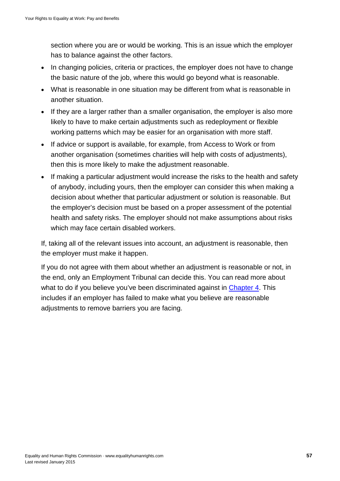section where you are or would be working. This is an issue which the employer has to balance against the other factors.

- In changing policies, criteria or practices, the employer does not have to change the basic nature of the job, where this would go beyond what is reasonable.
- What is reasonable in one situation may be different from what is reasonable in another situation.
- If they are a larger rather than a smaller organisation, the employer is also more likely to have to make certain adjustments such as redeployment or flexible working patterns which may be easier for an organisation with more staff.
- If advice or support is available, for example, from Access to Work or from another organisation (sometimes charities will help with costs of adjustments), then this is more likely to make the adjustment reasonable.
- If making a particular adjustment would increase the risks to the health and safety of anybody, including yours, then the employer can consider this when making a decision about whether that particular adjustment or solution is reasonable. But the employer's decision must be based on a proper assessment of the potential health and safety risks. The employer should not make assumptions about risks which may face certain disabled workers.

If, taking all of the relevant issues into account, an adjustment is reasonable, then the employer must make it happen.

If you do not agree with them about whether an adjustment is reasonable or not, in the end, only an Employment Tribunal can decide this. You can read more about what to do if you believe you've been discriminated against in [Chapter 4.](#page-63-0) This includes if an employer has failed to make what you believe are reasonable adjustments to remove barriers you are facing.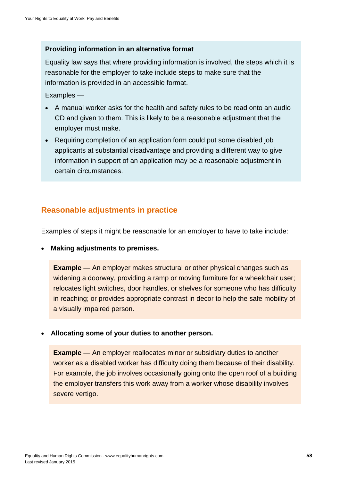#### **Providing information in an alternative format**

Equality law says that where providing information is involved, the steps which it is reasonable for the employer to take include steps to make sure that the information is provided in an accessible format.

Examples —

- A manual worker asks for the health and safety rules to be read onto an audio CD and given to them. This is likely to be a reasonable adjustment that the employer must make.
- Requiring completion of an application form could put some disabled job applicants at substantial disadvantage and providing a different way to give information in support of an application may be a reasonable adjustment in certain circumstances.

# **Reasonable adjustments in practice**

Examples of steps it might be reasonable for an employer to have to take include:

• **Making adjustments to premises.**

**Example** — An employer makes structural or other physical changes such as widening a doorway, providing a ramp or moving furniture for a wheelchair user; relocates light switches, door handles, or shelves for someone who has difficulty in reaching; or provides appropriate contrast in decor to help the safe mobility of a visually impaired person.

• **Allocating some of your duties to another person.**

**Example** — An employer reallocates minor or subsidiary duties to another worker as a disabled worker has difficulty doing them because of their disability. For example, the job involves occasionally going onto the open roof of a building the employer transfers this work away from a worker whose disability involves severe vertigo.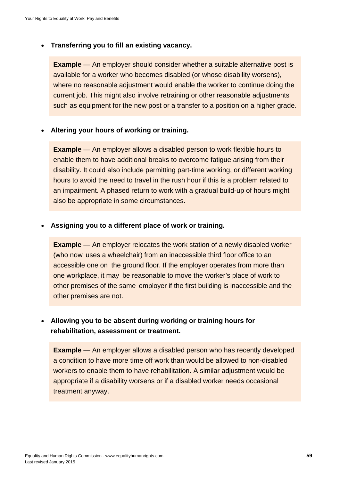#### • **Transferring you to fill an existing vacancy.**

**Example** — An employer should consider whether a suitable alternative post is available for a worker who becomes disabled (or whose disability worsens), where no reasonable adjustment would enable the worker to continue doing the current job. This might also involve retraining or other reasonable adjustments such as equipment for the new post or a transfer to a position on a higher grade.

#### • **Altering your hours of working or training.**

**Example** — An employer allows a disabled person to work flexible hours to enable them to have additional breaks to overcome fatigue arising from their disability. It could also include permitting part-time working, or different working hours to avoid the need to travel in the rush hour if this is a problem related to an impairment. A phased return to work with a gradual build-up of hours might also be appropriate in some circumstances.

#### • **Assigning you to a different place of work or training.**

**Example** — An employer relocates the work station of a newly disabled worker (who now uses a wheelchair) from an inaccessible third floor office to an accessible one on the ground floor. If the employer operates from more than one workplace, it may be reasonable to move the worker's place of work to other premises of the same employer if the first building is inaccessible and the other premises are not.

## • **Allowing you to be absent during working or training hours for rehabilitation, assessment or treatment.**

**Example** — An employer allows a disabled person who has recently developed a condition to have more time off work than would be allowed to non-disabled workers to enable them to have rehabilitation. A similar adjustment would be appropriate if a disability worsens or if a disabled worker needs occasional treatment anyway.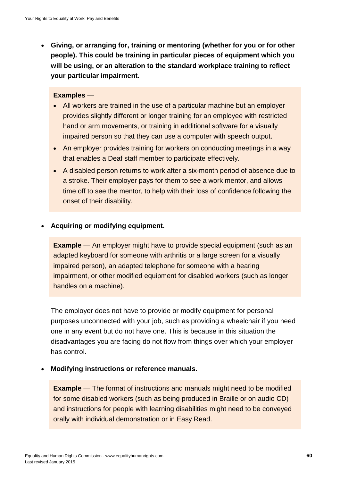• **Giving, or arranging for, training or mentoring (whether for you or for other people). This could be training in particular pieces of equipment which you will be using, or an alteration to the standard workplace training to reflect your particular impairment.**

#### **Examples** —

- All workers are trained in the use of a particular machine but an employer provides slightly different or longer training for an employee with restricted hand or arm movements, or training in additional software for a visually impaired person so that they can use a computer with speech output.
- An employer provides training for workers on conducting meetings in a way that enables a Deaf staff member to participate effectively.
- A disabled person returns to work after a six-month period of absence due to a stroke. Their employer pays for them to see a work mentor, and allows time off to see the mentor, to help with their loss of confidence following the onset of their disability.

#### • **Acquiring or modifying equipment.**

**Example** — An employer might have to provide special equipment (such as an adapted keyboard for someone with arthritis or a large screen for a visually impaired person), an adapted telephone for someone with a hearing impairment, or other modified equipment for disabled workers (such as longer handles on a machine).

The employer does not have to provide or modify equipment for personal purposes unconnected with your job, such as providing a wheelchair if you need one in any event but do not have one. This is because in this situation the disadvantages you are facing do not flow from things over which your employer has control.

#### • **Modifying instructions or reference manuals.**

**Example** — The format of instructions and manuals might need to be modified for some disabled workers (such as being produced in Braille or on audio CD) and instructions for people with learning disabilities might need to be conveyed orally with individual demonstration or in Easy Read.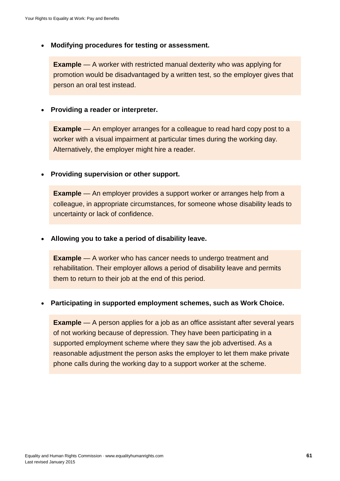• **Modifying procedures for testing or assessment.**

**Example** — A worker with restricted manual dexterity who was applying for promotion would be disadvantaged by a written test, so the employer gives that person an oral test instead.

• **Providing a reader or interpreter.**

**Example** — An employer arranges for a colleague to read hard copy post to a worker with a visual impairment at particular times during the working day. Alternatively, the employer might hire a reader.

• **Providing supervision or other support.**

**Example** — An employer provides a support worker or arranges help from a colleague, in appropriate circumstances, for someone whose disability leads to uncertainty or lack of confidence.

• **Allowing you to take a period of disability leave.**

**Example** — A worker who has cancer needs to undergo treatment and rehabilitation. Their employer allows a period of disability leave and permits them to return to their job at the end of this period.

#### • **Participating in supported employment schemes, such as Work Choice.**

**Example** — A person applies for a job as an office assistant after several years of not working because of depression. They have been participating in a supported employment scheme where they saw the job advertised. As a reasonable adjustment the person asks the employer to let them make private phone calls during the working day to a support worker at the scheme.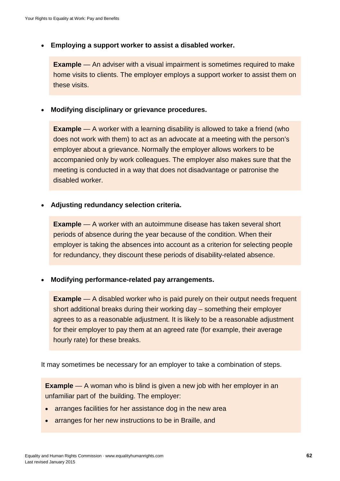• **Employing a support worker to assist a disabled worker.**

**Example** — An adviser with a visual impairment is sometimes required to make home visits to clients. The employer employs a support worker to assist them on these visits.

• **Modifying disciplinary or grievance procedures.**

**Example** — A worker with a learning disability is allowed to take a friend (who does not work with them) to act as an advocate at a meeting with the person's employer about a grievance. Normally the employer allows workers to be accompanied only by work colleagues. The employer also makes sure that the meeting is conducted in a way that does not disadvantage or patronise the disabled worker.

• **Adjusting redundancy selection criteria.**

**Example** — A worker with an autoimmune disease has taken several short periods of absence during the year because of the condition. When their employer is taking the absences into account as a criterion for selecting people for redundancy, they discount these periods of disability-related absence.

• **Modifying performance-related pay arrangements.**

**Example** — A disabled worker who is paid purely on their output needs frequent short additional breaks during their working day – something their employer agrees to as a reasonable adjustment. It is likely to be a reasonable adjustment for their employer to pay them at an agreed rate (for example, their average hourly rate) for these breaks.

It may sometimes be necessary for an employer to take a combination of steps.

**Example** — A woman who is blind is given a new job with her employer in an unfamiliar part of the building. The employer:

- arranges facilities for her assistance dog in the new area
- arranges for her new instructions to be in Braille, and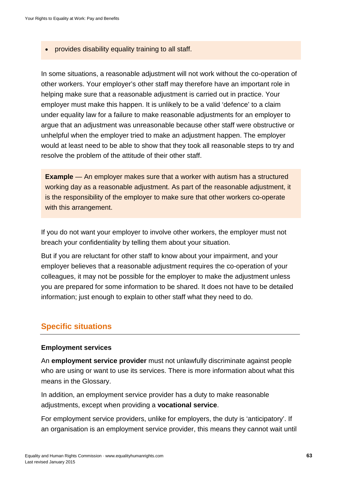provides disability equality training to all staff.

In some situations, a reasonable adjustment will not work without the co-operation of other workers. Your employer's other staff may therefore have an important role in helping make sure that a reasonable adjustment is carried out in practice. Your employer must make this happen. It is unlikely to be a valid 'defence' to a claim under equality law for a failure to make reasonable adjustments for an employer to argue that an adjustment was unreasonable because other staff were obstructive or unhelpful when the employer tried to make an adjustment happen. The employer would at least need to be able to show that they took all reasonable steps to try and resolve the problem of the attitude of their other staff.

**Example** — An employer makes sure that a worker with autism has a structured working day as a reasonable adjustment. As part of the reasonable adjustment, it is the responsibility of the employer to make sure that other workers co-operate with this arrangement.

If you do not want your employer to involve other workers, the employer must not breach your confidentiality by telling them about your situation.

But if you are reluctant for other staff to know about your impairment, and your employer believes that a reasonable adjustment requires the co-operation of your colleagues, it may not be possible for the employer to make the adjustment unless you are prepared for some information to be shared. It does not have to be detailed information; just enough to explain to other staff what they need to do.

## **Specific situations**

#### **Employment services**

An **employment service provider** must not unlawfully discriminate against people who are using or want to use its services. There is more information about what this means in the Glossary.

In addition, an employment service provider has a duty to make reasonable adjustments, except when providing a **vocational service**.

For employment service providers, unlike for employers, the duty is 'anticipatory'. If an organisation is an employment service provider, this means they cannot wait until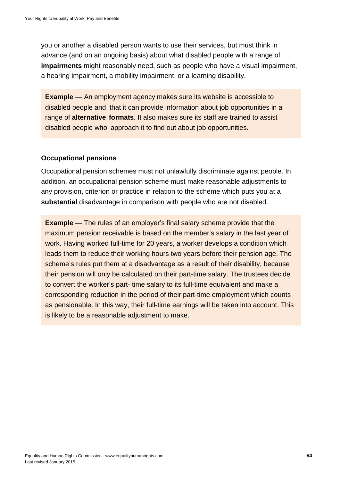you or another a disabled person wants to use their services, but must think in advance (and on an ongoing basis) about what disabled people with a range of **impairments** might reasonably need, such as people who have a visual impairment, a hearing impairment, a mobility impairment, or a learning disability.

**Example** — An employment agency makes sure its website is accessible to disabled people and that it can provide information about job opportunities in a range of **alternative formats**. It also makes sure its staff are trained to assist disabled people who approach it to find out about job opportunities.

#### **Occupational pensions**

Occupational pension schemes must not unlawfully discriminate against people. In addition, an occupational pension scheme must make reasonable adjustments to any provision, criterion or practice in relation to the scheme which puts you at a **substantial** disadvantage in comparison with people who are not disabled.

<span id="page-63-0"></span>**Example** — The rules of an employer's final salary scheme provide that the maximum pension receivable is based on the member's salary in the last year of work. Having worked full-time for 20 years, a worker develops a condition which leads them to reduce their working hours two years before their pension age. The scheme's rules put them at a disadvantage as a result of their disability, because their pension will only be calculated on their part-time salary. The trustees decide to convert the worker's part- time salary to its full-time equivalent and make a corresponding reduction in the period of their part-time employment which counts as pensionable. In this way, their full-time earnings will be taken into account. This is likely to be a reasonable adjustment to make.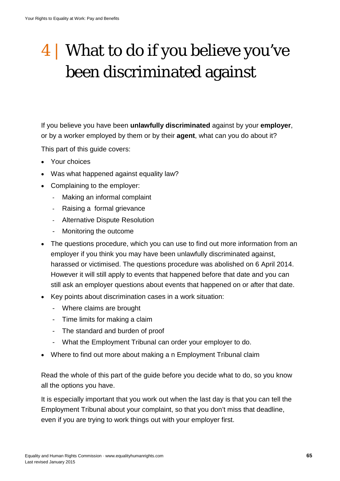# 4 | What to do if you believe you've been discriminated against

If you believe you have been **unlawfully discriminated** against by your **employer**, or by a worker employed by them or by their **agent**, what can you do about it?

This part of this guide covers:

- Your choices
- Was what happened against equality law?
- Complaining to the employer:
	- Making an informal complaint
	- Raising a formal grievance
	- Alternative Dispute Resolution
	- Monitoring the outcome
- The questions procedure, which you can use to find out more information from an employer if you think you may have been unlawfully discriminated against, harassed or victimised. The questions procedure was abolished on 6 April 2014. However it will still apply to events that happened before that date and you can still ask an employer questions about events that happened on or after that date.
- Key points about discrimination cases in a work situation:
	- Where claims are brought
	- Time limits for making a claim
	- The standard and burden of proof
	- What the Employment Tribunal can order your employer to do.
- Where to find out more about making a n Employment Tribunal claim

Read the whole of this part of the guide before you decide what to do, so you know all the options you have.

It is especially important that you work out when the last day is that you can tell the Employment Tribunal about your complaint, so that you don't miss that deadline, even if you are trying to work things out with your employer first.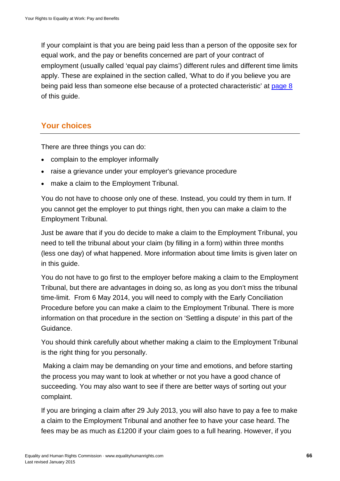If your complaint is that you are being paid less than a person of the opposite sex for equal work, and the pay or benefits concerned are part of your contract of employment (usually called 'equal pay claims') different rules and different time limits apply. These are explained in the section called, 'What to do if you believe you are being paid less than someone else because of a protected characteristic' at [page 8](#page-33-0) of this guide.

# **Your choices**

There are three things you can do:

- complain to the employer informally
- raise a grievance under your employer's grievance procedure
- make a claim to the Employment Tribunal.

You do not have to choose only one of these. Instead, you could try them in turn. If you cannot get the employer to put things right, then you can make a claim to the Employment Tribunal.

Just be aware that if you do decide to make a claim to the Employment Tribunal, you need to tell the tribunal about your claim (by filling in a form) within three months (less one day) of what happened. More information about time limits is given later on in this guide.

You do not have to go first to the employer before making a claim to the Employment Tribunal, but there are advantages in doing so, as long as you don't miss the tribunal time-limit. From 6 May 2014, you will need to comply with the Early Conciliation Procedure before you can make a claim to the Employment Tribunal. There is more information on that procedure in the section on 'Settling a dispute' in this part of the Guidance.

You should think carefully about whether making a claim to the Employment Tribunal is the right thing for you personally.

Making a claim may be demanding on your time and emotions, and before starting the process you may want to look at whether or not you have a good chance of succeeding. You may also want to see if there are better ways of sorting out your complaint.

If you are bringing a claim after 29 July 2013, you will also have to pay a fee to make a claim to the Employment Tribunal and another fee to have your case heard. The fees may be as much as £1200 if your claim goes to a full hearing. However, if you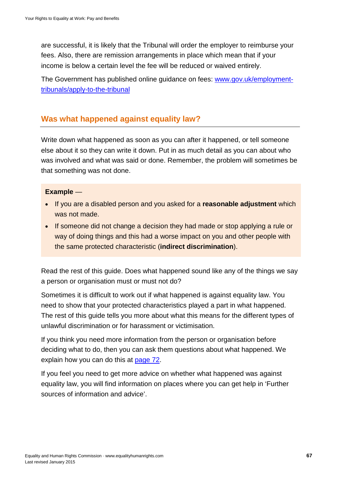are successful, it is likely that the Tribunal will order the employer to reimburse your fees. Also, there are remission arrangements in place which mean that if your income is below a certain level the fee will be reduced or waived entirely.

The Government has published online guidance on fees: [www.gov.uk/employment](http://www.gov.uk/employment-tribunals/apply-to-the-tribunal)[tribunals/apply-to-the-tribunal](http://www.gov.uk/employment-tribunals/apply-to-the-tribunal)

## **Was what happened against equality law?**

Write down what happened as soon as you can after it happened, or tell someone else about it so they can write it down. Put in as much detail as you can about who was involved and what was said or done. Remember, the problem will sometimes be that something was not done.

#### **Example** —

- If you are a disabled person and you asked for a **reasonable adjustment** which was not made.
- If someone did not change a decision they had made or stop applying a rule or way of doing things and this had a worse impact on you and other people with the same protected characteristic (**indirect discrimination**).

Read the rest of this guide. Does what happened sound like any of the things we say a person or organisation must or must not do?

Sometimes it is difficult to work out if what happened is against equality law. You need to show that your protected characteristics played a part in what happened. The rest of this guide tells you more about what this means for the different types of unlawful discrimination or for harassment or victimisation.

If you think you need more information from the person or organisation before deciding what to do, then you can ask them questions about what happened. We explain how you can do this at [page 72.](#page-80-0)

If you feel you need to get more advice on whether what happened was against equality law, you will find information on places where you can get help in 'Further sources of information and advice'.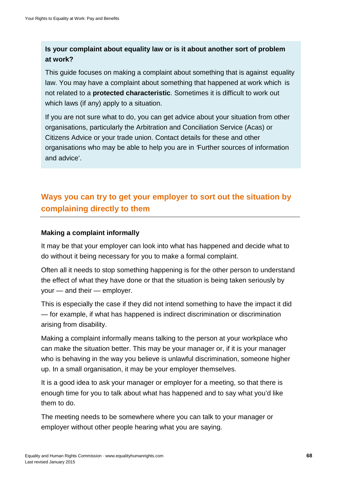## **Is your complaint about equality law or is it about another sort of problem at work?**

This guide focuses on making a complaint about something that is against equality law. You may have a complaint about something that happened at work which is not related to a **protected characteristic**. Sometimes it is difficult to work out which laws (if any) apply to a situation.

If you are not sure what to do, you can get advice about your situation from other organisations, particularly the Arbitration and Conciliation Service (Acas) or Citizens Advice or your trade union. Contact details for these and other organisations who may be able to help you are in *'*Further sources of information and advice'.

# **Ways you can try to get your employer to sort out the situation by complaining directly to them**

#### **Making a complaint informally**

It may be that your employer can look into what has happened and decide what to do without it being necessary for you to make a formal complaint.

Often all it needs to stop something happening is for the other person to understand the effect of what they have done or that the situation is being taken seriously by your — and their — employer.

This is especially the case if they did not intend something to have the impact it did — for example, if what has happened is indirect discrimination or discrimination arising from disability.

Making a complaint informally means talking to the person at your workplace who can make the situation better. This may be your manager or, if it is your manager who is behaving in the way you believe is unlawful discrimination, someone higher up. In a small organisation, it may be your employer themselves.

It is a good idea to ask your manager or employer for a meeting, so that there is enough time for you to talk about what has happened and to say what you'd like them to do.

The meeting needs to be somewhere where you can talk to your manager or employer without other people hearing what you are saying.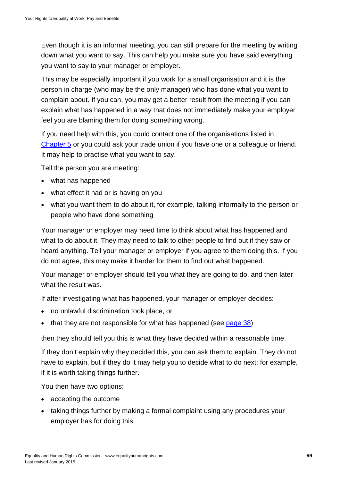Even though it is an informal meeting, you can still prepare for the meeting by writing down what you want to say. This can help you make sure you have said everything you want to say to your manager or employer.

This may be especially important if you work for a small organisation and it is the person in charge (who may be the only manager) who has done what you want to complain about. If you can, you may get a better result from the meeting if you can explain what has happened in a way that does not immediately make your employer feel you are blaming them for doing something wrong.

If you need help with this, you could contact one of the organisations listed in [Chapter 5](#page-80-0) or you could ask your trade union if you have one or a colleague or friend. It may help to practise what you want to say.

Tell the person you are meeting:

- what has happened
- what effect it had or is having on you
- what you want them to do about it, for example, talking informally to the person or people who have done something

Your manager or employer may need time to think about what has happened and what to do about it. They may need to talk to other people to find out if they saw or heard anything. Tell your manager or employer if you agree to them doing this. If you do not agree, this may make it harder for them to find out what happened.

Your manager or employer should tell you what they are going to do, and then later what the result was.

If after investigating what has happened, your manager or employer decides:

- no unlawful discrimination took place, or
- that they are not responsible for what has happened (see [page 38\)](#page-37-0)

then they should tell you this is what they have decided within a reasonable time.

If they don't explain why they decided this, you can ask them to explain. They do not have to explain, but if they do it may help you to decide what to do next: for example, if it is worth taking things further.

You then have two options:

- accepting the outcome
- taking things further by making a formal complaint using any procedures your employer has for doing this.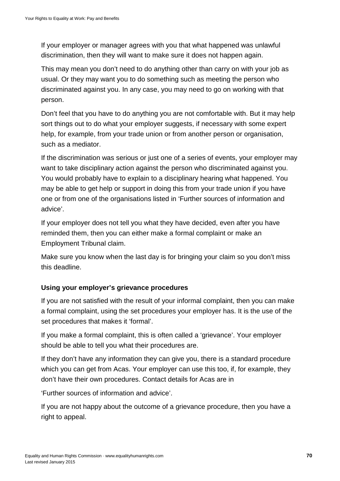If your employer or manager agrees with you that what happened was unlawful discrimination, then they will want to make sure it does not happen again.

This may mean you don't need to do anything other than carry on with your job as usual. Or they may want you to do something such as meeting the person who discriminated against you. In any case, you may need to go on working with that person.

Don't feel that you have to do anything you are not comfortable with. But it may help sort things out to do what your employer suggests, if necessary with some expert help, for example, from your trade union or from another person or organisation, such as a mediator.

If the discrimination was serious or just one of a series of events, your employer may want to take disciplinary action against the person who discriminated against you. You would probably have to explain to a disciplinary hearing what happened. You may be able to get help or support in doing this from your trade union if you have one or from one of the organisations listed in 'Further sources of information and advice'.

If your employer does not tell you what they have decided, even after you have reminded them, then you can either make a formal complaint or make an Employment Tribunal claim.

Make sure you know when the last day is for bringing your claim so you don't miss this deadline.

### **Using your employer's grievance procedures**

If you are not satisfied with the result of your informal complaint, then you can make a formal complaint, using the set procedures your employer has. It is the use of the set procedures that makes it 'formal'.

If you make a formal complaint, this is often called a 'grievance'. Your employer should be able to tell you what their procedures are.

If they don't have any information they can give you, there is a standard procedure which you can get from Acas. Your employer can use this too, if, for example, they don't have their own procedures. Contact details for Acas are in

'Further sources of information and advice'.

If you are not happy about the outcome of a grievance procedure, then you have a right to appeal.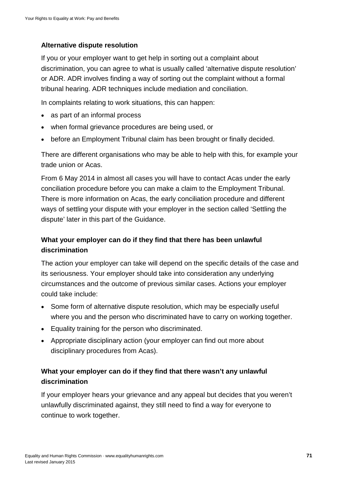### **Alternative dispute resolution**

If you or your employer want to get help in sorting out a complaint about discrimination, you can agree to what is usually called 'alternative dispute resolution' or ADR. ADR involves finding a way of sorting out the complaint without a formal tribunal hearing. ADR techniques include mediation and conciliation.

In complaints relating to work situations, this can happen:

- as part of an informal process
- when formal grievance procedures are being used, or
- before an Employment Tribunal claim has been brought or finally decided.

There are different organisations who may be able to help with this, for example your trade union or Acas.

From 6 May 2014 in almost all cases you will have to contact Acas under the early conciliation procedure before you can make a claim to the Employment Tribunal. There is more information on Acas, the early conciliation procedure and different ways of settling your dispute with your employer in the section called 'Settling the dispute' later in this part of the Guidance.

## **What your employer can do if they find that there has been unlawful discrimination**

The action your employer can take will depend on the specific details of the case and its seriousness. Your employer should take into consideration any underlying circumstances and the outcome of previous similar cases. Actions your employer could take include:

- Some form of alternative dispute resolution, which may be especially useful where you and the person who discriminated have to carry on working together.
- Equality training for the person who discriminated.
- Appropriate disciplinary action (your employer can find out more about disciplinary procedures from Acas).

## **What your employer can do if they find that there wasn't any unlawful discrimination**

If your employer hears your grievance and any appeal but decides that you weren't unlawfully discriminated against, they still need to find a way for everyone to continue to work together.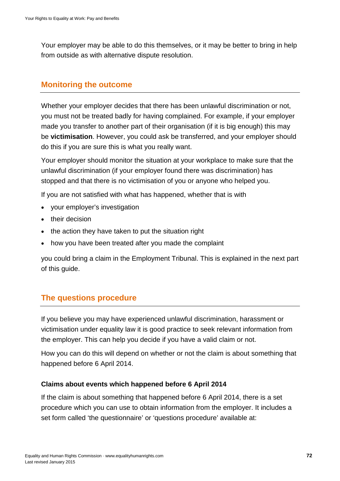Your employer may be able to do this themselves, or it may be better to bring in help from outside as with alternative dispute resolution.

## **Monitoring the outcome**

Whether your employer decides that there has been unlawful discrimination or not, you must not be treated badly for having complained. For example, if your employer made you transfer to another part of their organisation (if it is big enough) this may be **victimisation**. However, you could ask be transferred, and your employer should do this if you are sure this is what you really want.

Your employer should monitor the situation at your workplace to make sure that the unlawful discrimination (if your employer found there was discrimination) has stopped and that there is no victimisation of you or anyone who helped you.

If you are not satisfied with what has happened, whether that is with

- your employer's investigation
- their decision
- the action they have taken to put the situation right
- how you have been treated after you made the complaint

you could bring a claim in the Employment Tribunal. This is explained in the next part of this guide.

# **The questions procedure**

If you believe you may have experienced unlawful discrimination, harassment or victimisation under equality law it is good practice to seek relevant information from the employer. This can help you decide if you have a valid claim or not.

How you can do this will depend on whether or not the claim is about something that happened before 6 April 2014.

#### **Claims about events which happened before 6 April 2014**

If the claim is about something that happened before 6 April 2014, there is a set procedure which you can use to obtain information from the employer. It includes a set form called 'the questionnaire' or 'questions procedure' available at: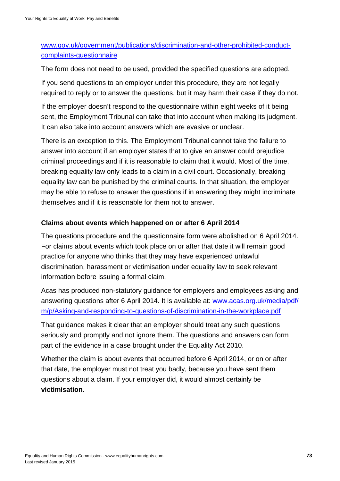# [www.gov.uk/government/publications/discrimination-and-other-prohibited-conduct](http://www.gov.uk/government/publications/discrimination-and-other-prohibited-conduct-complaints-questionnaire)[complaints-questionnaire](http://www.gov.uk/government/publications/discrimination-and-other-prohibited-conduct-complaints-questionnaire)

The form does not need to be used, provided the specified questions are adopted.

If you send questions to an employer under this procedure, they are not legally required to reply or to answer the questions, but it may harm their case if they do not.

If the employer doesn't respond to the questionnaire within eight weeks of it being sent, the Employment Tribunal can take that into account when making its judgment. It can also take into account answers which are evasive or unclear.

There is an exception to this. The Employment Tribunal cannot take the failure to answer into account if an employer states that to give an answer could prejudice criminal proceedings and if it is reasonable to claim that it would. Most of the time, breaking equality law only leads to a claim in a civil court. Occasionally, breaking equality law can be punished by the criminal courts. In that situation, the employer may be able to refuse to answer the questions if in answering they might incriminate themselves and if it is reasonable for them not to answer.

## **Claims about events which happened on or after 6 April 2014**

The questions procedure and the questionnaire form were abolished on 6 April 2014. For claims about events which took place on or after that date it will remain good practice for anyone who thinks that they may have experienced unlawful discrimination, harassment or victimisation under equality law to seek relevant information before issuing a formal claim.

Acas has produced non-statutory guidance for employers and employees asking and answering questions after 6 April 2014. It is available at: [www.acas.org.uk/media/pdf/](http://www.acas.org.uk/media/pdf/m/p/Asking-and-responding-to-questions-of-discrimination-in-the-workplace.pdf) [m/p/Asking-and-responding-to-questions-of-discrimination-in-the-workplace.pdf](http://www.acas.org.uk/media/pdf/m/p/Asking-and-responding-to-questions-of-discrimination-in-the-workplace.pdf)

That guidance makes it clear that an employer should treat any such questions seriously and promptly and not ignore them. The questions and answers can form part of the evidence in a case brought under the Equality Act 2010.

Whether the claim is about events that occurred before 6 April 2014, or on or after that date, the employer must not treat you badly, because you have sent them questions about a claim. If your employer did, it would almost certainly be **victimisation**.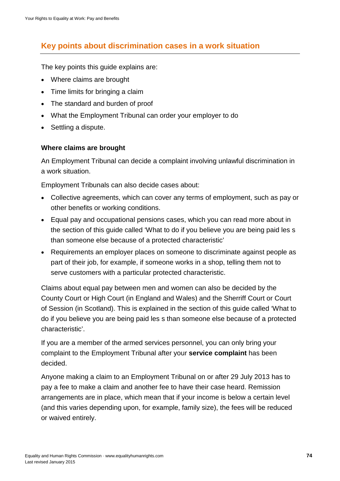# **Key points about discrimination cases in a work situation**

The key points this guide explains are:

- Where claims are brought
- Time limits for bringing a claim
- The standard and burden of proof
- What the Employment Tribunal can order your employer to do
- Settling a dispute.

#### **Where claims are brought**

An Employment Tribunal can decide a complaint involving unlawful discrimination in a work situation.

Employment Tribunals can also decide cases about:

- Collective agreements, which can cover any terms of employment, such as pay or other benefits or working conditions.
- Equal pay and occupational pensions cases, which you can read more about in the section of this guide called 'What to do if you believe you are being paid les s than someone else because of a protected characteristic'
- Requirements an employer places on someone to discriminate against people as part of their job, for example, if someone works in a shop, telling them not to serve customers with a particular protected characteristic.

Claims about equal pay between men and women can also be decided by the County Court or High Court (in England and Wales) and the Sherriff Court or Court of Session (in Scotland). This is explained in the section of this guide called 'What to do if you believe you are being paid les s than someone else because of a protected characteristic'.

If you are a member of the armed services personnel, you can only bring your complaint to the Employment Tribunal after your **service complaint** has been decided.

Anyone making a claim to an Employment Tribunal on or after 29 July 2013 has to pay a fee to make a claim and another fee to have their case heard. Remission arrangements are in place, which mean that if your income is below a certain level (and this varies depending upon, for example, family size), the fees will be reduced or waived entirely.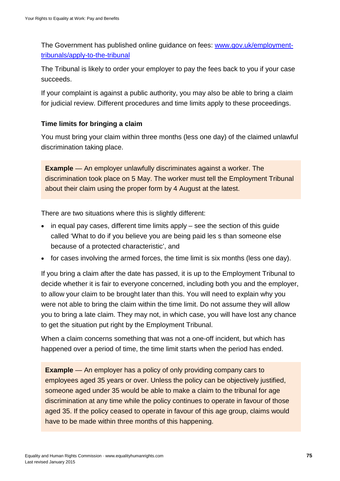The Government has published online guidance on fees: [www.gov.uk/employment](http://www.gov.uk/employment-tribunals/apply-to-the-tribunal)[tribunals/apply-to-the-tribunal](http://www.gov.uk/employment-tribunals/apply-to-the-tribunal)

The Tribunal is likely to order your employer to pay the fees back to you if your case succeeds.

If your complaint is against a public authority, you may also be able to bring a claim for judicial review. Different procedures and time limits apply to these proceedings.

#### **Time limits for bringing a claim**

You must bring your claim within three months (less one day) of the claimed unlawful discrimination taking place.

**Example** — An employer unlawfully discriminates against a worker. The discrimination took place on 5 May. The worker must tell the Employment Tribunal about their claim using the proper form by 4 August at the latest.

There are two situations where this is slightly different:

- in equal pay cases, different time limits apply see the section of this guide called 'What to do if you believe you are being paid les s than someone else because of a protected characteristic', and
- for cases involving the armed forces, the time limit is six months (less one day).

If you bring a claim after the date has passed, it is up to the Employment Tribunal to decide whether it is fair to everyone concerned, including both you and the employer, to allow your claim to be brought later than this. You will need to explain why you were not able to bring the claim within the time limit. Do not assume they will allow you to bring a late claim. They may not, in which case, you will have lost any chance to get the situation put right by the Employment Tribunal.

When a claim concerns something that was not a one-off incident, but which has happened over a period of time, the time limit starts when the period has ended.

**Example** — An employer has a policy of only providing company cars to employees aged 35 years or over. Unless the policy can be objectively justified, someone aged under 35 would be able to make a claim to the tribunal for age discrimination at any time while the policy continues to operate in favour of those aged 35. If the policy ceased to operate in favour of this age group, claims would have to be made within three months of this happening.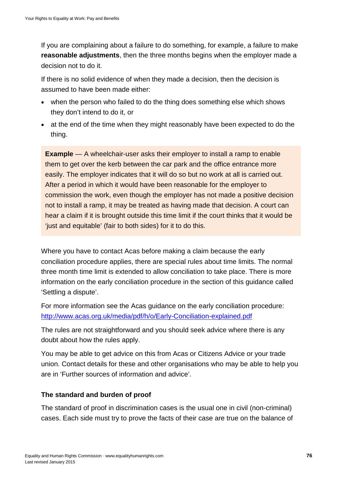If you are complaining about a failure to do something, for example, a failure to make **reasonable adjustments**, then the three months begins when the employer made a decision not to do it.

If there is no solid evidence of when they made a decision, then the decision is assumed to have been made either:

- when the person who failed to do the thing does something else which shows they don't intend to do it, or
- at the end of the time when they might reasonably have been expected to do the thing.

**Example** — A wheelchair-user asks their employer to install a ramp to enable them to get over the kerb between the car park and the office entrance more easily. The employer indicates that it will do so but no work at all is carried out. After a period in which it would have been reasonable for the employer to commission the work, even though the employer has not made a positive decision not to install a ramp, it may be treated as having made that decision. A court can hear a claim if it is brought outside this time limit if the court thinks that it would be 'just and equitable' (fair to both sides) for it to do this.

Where you have to contact Acas before making a claim because the early conciliation procedure applies, there are special rules about time limits. The normal three month time limit is extended to allow conciliation to take place. There is more information on the early conciliation procedure in the section of this guidance called 'Settling a dispute'.

For more information see the Acas guidance on the early conciliation procedure: <http://www.acas.org.uk/media/pdf/h/o/Early-Conciliation-explained.pdf>

The rules are not straightforward and you should seek advice where there is any doubt about how the rules apply.

You may be able to get advice on this from Acas or Citizens Advice or your trade union. Contact details for these and other organisations who may be able to help you are in 'Further sources of information and advice'.

#### **The standard and burden of proof**

The standard of proof in discrimination cases is the usual one in civil (non-criminal) cases. Each side must try to prove the facts of their case are true on the balance of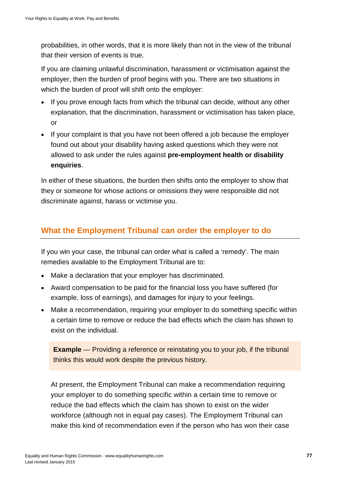probabilities, in other words, that it is more likely than not in the view of the tribunal that their version of events is true.

If you are claiming unlawful discrimination, harassment or victimisation against the employer, then the burden of proof begins with you. There are two situations in which the burden of proof will shift onto the employer:

- If you prove enough facts from which the tribunal can decide, without any other explanation, that the discrimination, harassment or victimisation has taken place, or
- If your complaint is that you have not been offered a job because the employer found out about your disability having asked questions which they were not allowed to ask under the rules against **pre-employment health or disability enquiries**.

In either of these situations, the burden then shifts onto the employer to show that they or someone for whose actions or omissions they were responsible did not discriminate against, harass or victimise you.

# **What the Employment Tribunal can order the employer to do**

If you win your case, the tribunal can order what is called a 'remedy'. The main remedies available to the Employment Tribunal are to:

- Make a declaration that your employer has discriminated.
- Award compensation to be paid for the financial loss you have suffered (for example, loss of earnings), and damages for injury to your feelings.
- Make a recommendation, requiring your employer to do something specific within a certain time to remove or reduce the bad effects which the claim has shown to exist on the individual.

**Example** — Providing a reference or reinstating you to your job, if the tribunal thinks this would work despite the previous history.

At present, the Employment Tribunal can make a recommendation requiring your employer to do something specific within a certain time to remove or reduce the bad effects which the claim has shown to exist on the wider workforce (although not in equal pay cases). The Employment Tribunal can make this kind of recommendation even if the person who has won their case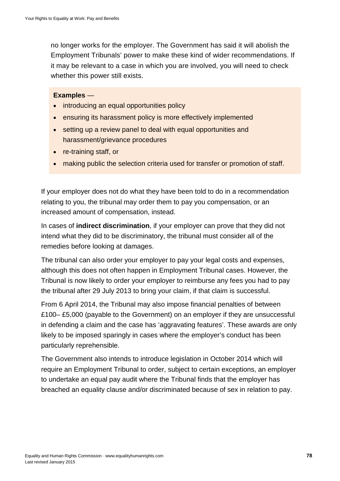no longer works for the employer. The Government has said it will abolish the Employment Tribunals' power to make these kind of wider recommendations. If it may be relevant to a case in which you are involved, you will need to check whether this power still exists.

#### **Examples** —

- introducing an equal opportunities policy
- ensuring its harassment policy is more effectively implemented
- setting up a review panel to deal with equal opportunities and harassment/grievance procedures
- re-training staff, or
- making public the selection criteria used for transfer or promotion of staff.

If your employer does not do what they have been told to do in a recommendation relating to you, the tribunal may order them to pay you compensation, or an increased amount of compensation, instead.

In cases of **indirect discrimination**, if your employer can prove that they did not intend what they did to be discriminatory, the tribunal must consider all of the remedies before looking at damages.

The tribunal can also order your employer to pay your legal costs and expenses, although this does not often happen in Employment Tribunal cases. However, the Tribunal is now likely to order your employer to reimburse any fees you had to pay the tribunal after 29 July 2013 to bring your claim, if that claim is successful.

From 6 April 2014, the Tribunal may also impose financial penalties of between £100– £5,000 (payable to the Government) on an employer if they are unsuccessful in defending a claim and the case has 'aggravating features'. These awards are only likely to be imposed sparingly in cases where the employer's conduct has been particularly reprehensible.

The Government also intends to introduce legislation in October 2014 which will require an Employment Tribunal to order, subject to certain exceptions, an employer to undertake an equal pay audit where the Tribunal finds that the employer has breached an equality clause and/or discriminated because of sex in relation to pay.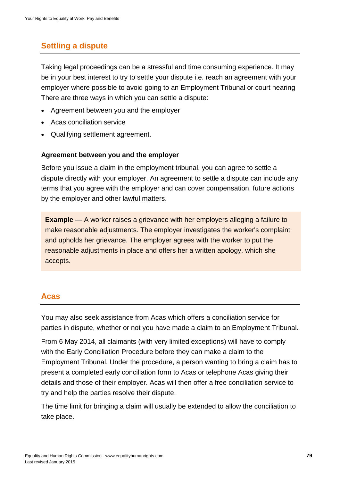# **Settling a dispute**

Taking legal proceedings can be a stressful and time consuming experience. It may be in your best interest to try to settle your dispute i.e. reach an agreement with your employer where possible to avoid going to an Employment Tribunal or court hearing There are three ways in which you can settle a dispute:

- Agreement between you and the employer
- Acas conciliation service
- Qualifying settlement agreement.

#### **Agreement between you and the employer**

Before you issue a claim in the employment tribunal, you can agree to settle a dispute directly with your employer. An agreement to settle a dispute can include any terms that you agree with the employer and can cover compensation, future actions by the employer and other lawful matters.

**Example** — A worker raises a grievance with her employers alleging a failure to make reasonable adjustments. The employer investigates the worker's complaint and upholds her grievance. The employer agrees with the worker to put the reasonable adjustments in place and offers her a written apology, which she accepts.

## **Acas**

You may also seek assistance from Acas which offers a conciliation service for parties in dispute, whether or not you have made a claim to an Employment Tribunal.

From 6 May 2014, all claimants (with very limited exceptions) will have to comply with the Early Conciliation Procedure before they can make a claim to the Employment Tribunal. Under the procedure, a person wanting to bring a claim has to present a completed early conciliation form to Acas or telephone Acas giving their details and those of their employer. Acas will then offer a free conciliation service to try and help the parties resolve their dispute.

The time limit for bringing a claim will usually be extended to allow the conciliation to take place.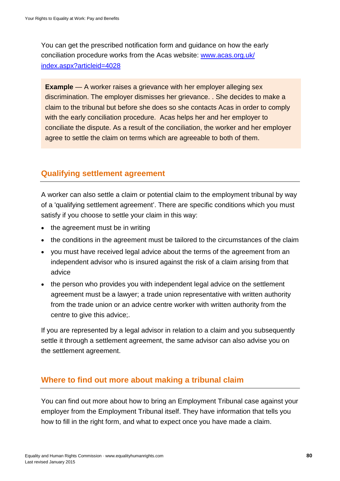You can get the prescribed notification form and guidance on how the early conciliation procedure works from the Acas website: [www.acas.org.uk/](http://www.acas.org.uk/index.aspx?articleid=4028) [index.aspx?articleid=4028](http://www.acas.org.uk/index.aspx?articleid=4028)

**Example** — A worker raises a grievance with her employer alleging sex discrimination. The employer dismisses her grievance. . She decides to make a claim to the tribunal but before she does so she contacts Acas in order to comply with the early conciliation procedure. Acas helps her and her employer to conciliate the dispute. As a result of the conciliation, the worker and her employer agree to settle the claim on terms which are agreeable to both of them.

# **Qualifying settlement agreement**

A worker can also settle a claim or potential claim to the employment tribunal by way of a 'qualifying settlement agreement'. There are specific conditions which you must satisfy if you choose to settle your claim in this way:

- the agreement must be in writing
- the conditions in the agreement must be tailored to the circumstances of the claim
- you must have received legal advice about the terms of the agreement from an independent advisor who is insured against the risk of a claim arising from that advice
- the person who provides you with independent legal advice on the settlement agreement must be a lawyer; a trade union representative with written authority from the trade union or an advice centre worker with written authority from the centre to give this advice;.

If you are represented by a legal advisor in relation to a claim and you subsequently settle it through a settlement agreement, the same advisor can also advise you on the settlement agreement.

# **Where to find out more about making a tribunal claim**

You can find out more about how to bring an Employment Tribunal case against your employer from the Employment Tribunal itself. They have information that tells you how to fill in the right form, and what to expect once you have made a claim.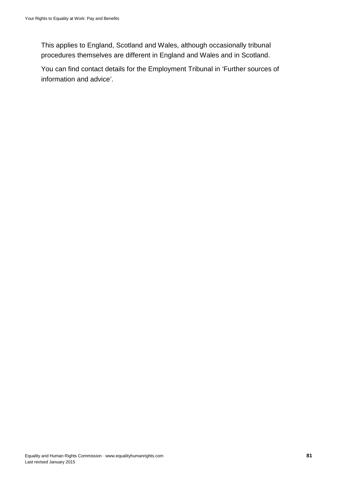This applies to England, Scotland and Wales, although occasionally tribunal procedures themselves are different in England and Wales and in Scotland.

You can find contact details for the Employment Tribunal in 'Further sources of information and advice'.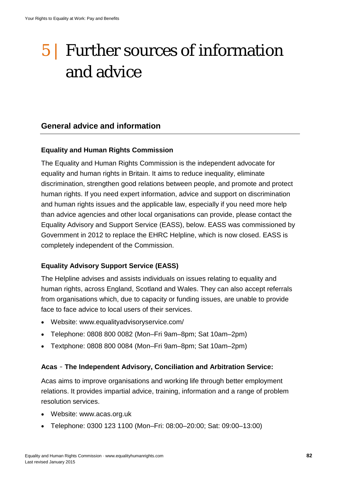# 5 | Further sources of information and advice

# **General advice and information**

#### **Equality and Human Rights Commission**

The Equality and Human Rights Commission is the independent advocate for equality and human rights in Britain. It aims to reduce inequality, eliminate discrimination, strengthen good relations between people, and promote and protect human rights. If you need expert information, advice and support on discrimination and human rights issues and the applicable law, especially if you need more help than advice agencies and other local organisations can provide, please contact the Equality Advisory and Support Service (EASS), below. EASS was commissioned by Government in 2012 to replace the EHRC Helpline, which is now closed. EASS is completely independent of the Commission.

#### **Equality Advisory Support Service (EASS)**

The Helpline advises and assists individuals on issues relating to equality and human rights, across England, Scotland and Wales. They can also accept referrals from organisations which, due to capacity or funding issues, are unable to provide face to face advice to local users of their services.

- Website: www.equalityadvisoryservice.com/
- Telephone: 0808 800 0082 (Mon–Fri 9am–8pm; Sat 10am–2pm)
- Textphone: 0808 800 0084 (Mon–Fri 9am–8pm; Sat 10am–2pm)

#### **Acas** – **The Independent Advisory, Conciliation and Arbitration Service:**

Acas aims to improve organisations and working life through better employment relations. It provides impartial advice, training, information and a range of problem resolution services.

- Website: www.acas.org.uk
- Telephone: 0300 123 1100 (Mon–Fri: 08:00–20:00; Sat: 09:00–13:00)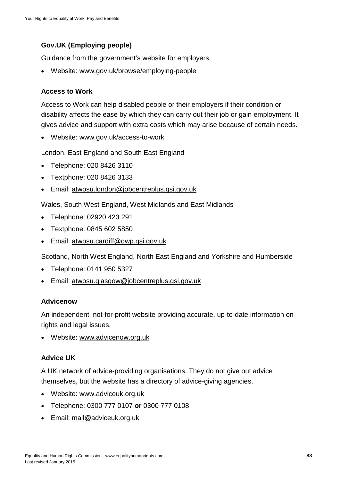## **Gov.UK (Employing people)**

Guidance from the government's website for employers.

• Website: www.gov.uk/browse/employing-people

#### **Access to Work**

Access to Work can help disabled people or their employers if their condition or disability affects the ease by which they can carry out their job or gain employment. It gives advice and support with extra costs which may arise because of certain needs.

• Website: www.gov.uk/access-to-work

London, East England and South East England

- Telephone: 020 8426 3110
- Textphone: 020 8426 3133
- Email: [atwosu.london@jobcentreplus.gsi.gov.uk](mailto:atwosu.london@jobcentreplus.gsi.gov.uk)

Wales, South West England, West Midlands and East Midlands

- Telephone: 02920 423 291
- Textphone: 0845 602 5850
- Email: [atwosu.cardiff@dwp.gsi.gov.uk](mailto:atwosu.cardiff@dwp.gsi.gov.uk)

Scotland, North West England, North East England and Yorkshire and Humberside

- Telephone: 0141 950 5327
- Email: [atwosu.glasgow@jobcentreplus.gsi.gov.uk](mailto:atwosu.glasgow@jobcentreplus.gsi.gov.uk)

#### **Advicenow**

An independent, not-for-profit website providing accurate, up-to-date information on rights and legal issues.

• Website: [www.advicenow.org.uk](http://www.advicenow.org.uk/)

#### **Advice UK**

A UK network of advice-providing organisations. They do not give out advice themselves, but the website has a directory of advice-giving agencies.

- Website: [www.adviceuk.org.uk](http://www.adviceuk.org.uk/)
- Telephone: 0300 777 0107 **or** 0300 777 0108
- Email: [mail@adviceuk.org.uk](mailto:mail@adviceuk.org.uk)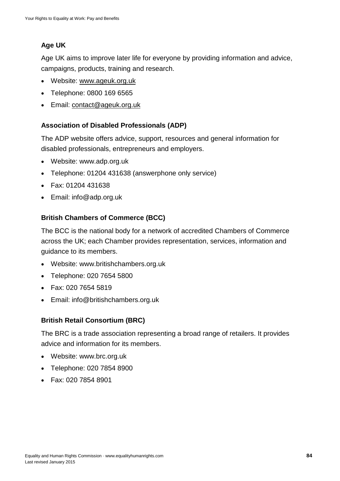# **Age UK**

Age UK aims to improve later life for everyone by providing information and advice, campaigns, products, training and research.

- Website: [www.ageuk.org.uk](http://www.ageuk.org.uk/)
- Telephone: 0800 169 6565
- Email: [contact@ageuk.org.uk](mailto:contact@ageuk.org.uk)

## **Association of Disabled Professionals (ADP)**

The ADP website offers advice, support, resources and general information for disabled professionals, entrepreneurs and employers.

- Website: www.adp.org.uk
- Telephone: 01204 431638 (answerphone only service)
- Fax: 01204 431638
- Email: info@adp.org.uk

## **British Chambers of Commerce (BCC)**

The BCC is the national body for a network of accredited Chambers of Commerce across the UK; each Chamber provides representation, services, information and guidance to its members.

- Website: www.britishchambers.org.uk
- Telephone: 020 7654 5800
- Fax: 020 7654 5819
- Email: info@britishchambers.org.uk

## **British Retail Consortium (BRC)**

The BRC is a trade association representing a broad range of retailers. It provides advice and information for its members.

- Website: www.brc.org.uk
- Telephone: 020 7854 8900
- Fax: 020 7854 8901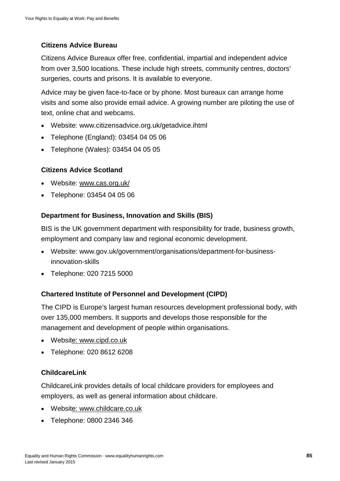# **Citizens Advice Bureau**

Citizens Advice Bureaux offer free, confidential, impartial and independent advice from over 3,500 locations. These include high streets, community centres, doctors' surgeries, courts and prisons. It is available to everyone.

Advice may be given face-to-face or by phone. Most bureaux can arrange home visits and some also provide email advice. A growing number are piloting the use of text, online chat and webcams.

- Website: www.citizensadvice.org.uk/getadvice.ihtml
- Telephone (England): 03454 04 05 06
- Telephone (Wales): 03454 04 05 05

#### **Citizens Advice Scotland**

- Website: www.cas.org.uk/
- Telephone: 03454 04 05 06

#### **Department for Business, Innovation and Skills (BIS)**

BIS is the UK government department with responsibility for trade, business growth, employment and company law and regional economic development.

- Website: www.gov.uk/government/organisations/department-for-businessinnovation-skills
- Telephone: 020 7215 5000

## **Chartered Institute of Personnel and Development (CIPD)**

The CIPD is Europe's largest human resources development professional body, with over 135,000 members. It supports and develops those responsible for the management and development of people within organisations.

- Websi[te: www.cipd.co.uk](http://www.cipd.co.uk/)
- Telephone: 020 8612 6208

#### **ChildcareLink**

ChildcareLink provides details of local childcare providers for employees and employers, as well as general information about childcare.

- Websi[te: www.childcare.co.uk](http://e:%20www.childcare.co.uk)
- Telephone: 0800 2346 346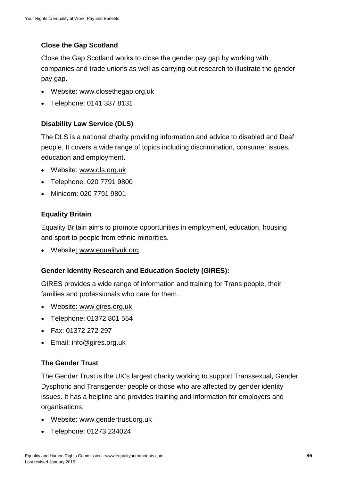# **Close the Gap Scotland**

Close the Gap Scotland works to close the gender pay gap by working with companies and trade unions as well as carrying out research to illustrate the gender pay gap.

- Websi[te: www.closethegap.org.uk](http://www.closethegap.org.uk/)
- Telephone: 0141 337 8131

## **Disability Law Service (DLS)**

The DLS is a national charity providing information and advice to disabled and Deaf people. It covers a wide range of topics including discrimination, consumer issues, education and employment.

- Website: [www.dls.org.uk](http://www.dls.org.uk/)
- Telephone: 020 7791 9800
- Minicom: 020 7791 9801

#### **Equality Britain**

Equality Britain aims to promote opportunities in employment, education, housing and sport to people from ethnic minorities.

• Websit[e:](http://www.equalitybritain.co.uk/) [www.equalityuk.org](http://www.equalityuk.org/)

#### **Gender Identity Research and Education Society (GIRES):**

GIRES provides a wide range of information and training for Trans people, their families and professionals who care for them.

- Websi[te: www.gires.org.uk](http://www.gires.org.uk/)
- Telephone: 01372 801 554
- Fax: 01372 272 297
- Emai[l: info@gires.org.uk](mailto:info@gires.org.uk)

#### **The Gender Trust**

The Gender Trust is the UK's largest charity working to support Transsexual, Gender Dysphoric and Transgender people or those who are affected by gender identity issues. It has a helpline and provides training and information for employers and organisations.

- Websi[te: www.gendertrust.org.uk](http://www.gendertrust.org.uk/)
- Telephone: 01273 234024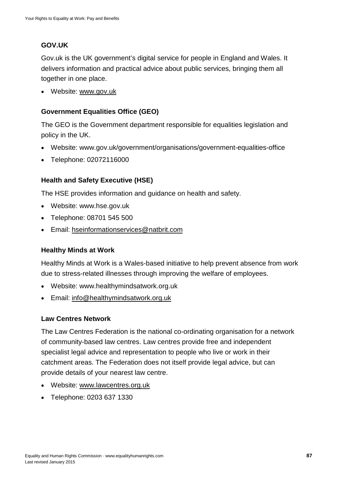# **GOV.UK**

Gov.uk is the UK government's digital service for people in England and Wales. It delivers information and practical advice about public services, bringing them all together in one place.

• Website: www.gov.uk

# **Government Equalities Office (GEO)**

The GEO is the Government department responsible for equalities legislation and policy in the UK.

- Website: www.gov.uk/government/organisations/government-equalities-office
- Telephone: 02072116000

# **Health and Safety Executive (HSE)**

The HSE provides information and guidance on health and safety.

- Website: www.hse.gov.uk
- Telephone: 08701 545 500
- Email: [hseinformationservices@natbrit.com](mailto:hseinformationservices@natbrit.com)

## **Healthy Minds at Work**

Healthy Minds at Work is a Wales-based initiative to help prevent absence from work due to stress-related illnesses through improving the welfare of employees.

- Website: www.healthymindsatwork.org.uk
- Email: [info@healthymindsatwork.org.uk](mailto:info@healthymindsatwork.org.uk)

#### **Law Centres Network**

The Law Centres Federation is the national co-ordinating organisation for a network of community-based law centres. Law centres provide free and independent specialist legal advice and representation to people who live or work in their catchment areas. The Federation does not itself provide legal advice, but can provide details of your nearest law centre.

- Website: [www.lawcentres.org.uk](http://www.lawcentres.org.uk/)
- Telephone: 0203 637 1330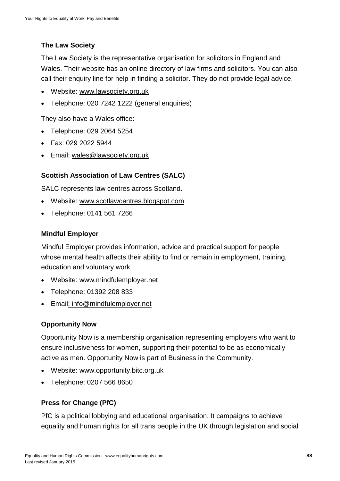# **The Law Society**

The Law Society is the representative organisation for solicitors in England and Wales. Their website has an online directory of law firms and solicitors. You can also call their enquiry line for help in finding a solicitor. They do not provide legal advice.

- Website: [www.lawsociety.org.uk](http://www.lawsociety.org.uk/)
- Telephone: 020 7242 1222 (general enquiries)

They also have a Wales office:

- Telephone: 029 2064 5254
- Fax: 029 2022 5944
- Email: [wales@lawsociety.org.uk](mailto:wales@lawsociety.org.uk)

## **Scottish Association of Law Centres (SALC)**

SALC represents law centres across Scotland.

- Website: [www.scotlawcentres.blogspot.com](http://www.scotlawcentres.blogspot.com/)
- Telephone: 0141 561 7266

#### **Mindful Employer**

Mindful Employer provides information, advice and practical support for people whose mental health affects their ability to find or remain in employment, training, education and voluntary work.

- Website: www.mindfulemployer.net
- Telephone: 01392 208 833
- Emai[l: info@mindfulemployer.net](mailto:info@mindfulemployer.net)

## **Opportunity Now**

Opportunity Now is a membership organisation representing employers who want to ensure inclusiveness for women, supporting their potential to be as economically active as men. Opportunity Now is part of Business in the Community.

- Website: www.opportunity.bitc.org.uk
- Telephone: 0207 566 8650

## **Press for Change (PfC)**

PfC is a political lobbying and educational organisation. It campaigns to achieve equality and human rights for all trans people in the UK through legislation and social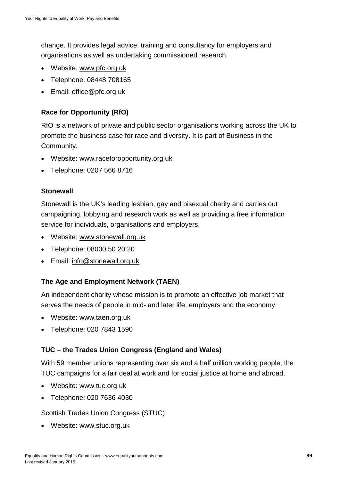change. It provides legal advice, training and consultancy for employers and organisations as well as undertaking commissioned research.

- Website: [www.pfc.org.uk](http://www.pfc.org.uk/)
- Telephone: 08448 708165
- Email: office@pfc.org.uk

# **Race for Opportunity (RfO)**

RfO is a network of private and public sector organisations working across the UK to promote the business case for race and diversity. It is part of Business in the Community.

- Website: www.raceforopportunity.org.uk
- Telephone: 0207 566 8716

#### **Stonewall**

Stonewall is the UK's leading lesbian, gay and bisexual charity and carries out campaigning, lobbying and research work as well as providing a free information service for individuals, organisations and employers.

- Website: [www.stonewall.org.uk](http://www.stonewall.org.uk/)
- Telephone: 08000 50 20 20
- Email: [info@stonewall.org.uk](mailto:info@stonewall.org.uk)

## **The Age and Employment Network (TAEN)**

An independent charity whose mission is to promote an effective job market that serves the needs of people in mid- and later life, employers and the economy.

- Website: www.taen.org.uk
- Telephone: 020 7843 1590

## **TUC – the Trades Union Congress (England and Wales)**

With 59 member unions representing over six and a half million working people, the TUC campaigns for a fair deal at work and for social justice at home and abroad.

- Website: www.tuc.org.uk
- Telephone: 020 7636 4030

Scottish Trades Union Congress (STUC)

• Website: www.stuc.org.uk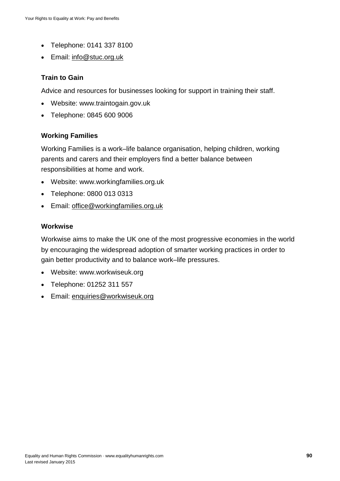- Telephone: 0141 337 8100
- Email: [info@stuc.org.uk](mailto:info@stuc.org.uk)

#### **Train to Gain**

Advice and resources for businesses looking for support in training their staff.

- Website: www.traintogain.gov.uk
- Telephone: 0845 600 9006

#### **Working Families**

Working Families is a work–life balance organisation, helping children, working parents and carers and their employers find a better balance between responsibilities at home and work.

- Website: www.workingfamilies.org.uk
- Telephone: 0800 013 0313
- Email: [office@workingfamilies.org.uk](mailto:office@workingfamilies.org.uk)

#### **Workwise**

Workwise aims to make the UK one of the most progressive economies in the world by encouraging the widespread adoption of smarter working practices in order to gain better productivity and to balance work–life pressures.

- Website: www.workwiseuk.org
- Telephone: 01252 311 557
- Email: [enquiries@workwiseuk.org](mailto:enquiries@workwiseuk.org)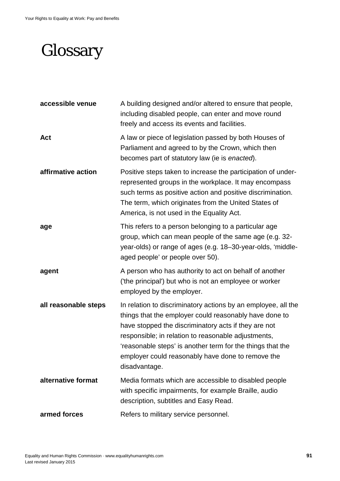# **Glossary**

| accessible venue     | A building designed and/or altered to ensure that people,<br>including disabled people, can enter and move round<br>freely and access its events and facilities.                                                                                                                                                                                                           |
|----------------------|----------------------------------------------------------------------------------------------------------------------------------------------------------------------------------------------------------------------------------------------------------------------------------------------------------------------------------------------------------------------------|
| <b>Act</b>           | A law or piece of legislation passed by both Houses of<br>Parliament and agreed to by the Crown, which then<br>becomes part of statutory law (ie is enacted).                                                                                                                                                                                                              |
| affirmative action   | Positive steps taken to increase the participation of under-<br>represented groups in the workplace. It may encompass<br>such terms as positive action and positive discrimination.<br>The term, which originates from the United States of<br>America, is not used in the Equality Act.                                                                                   |
| age                  | This refers to a person belonging to a particular age<br>group, which can mean people of the same age (e.g. 32-<br>year-olds) or range of ages (e.g. 18-30-year-olds, 'middle-<br>aged people' or people over 50).                                                                                                                                                         |
| agent                | A person who has authority to act on behalf of another<br>('the principal') but who is not an employee or worker<br>employed by the employer.                                                                                                                                                                                                                              |
| all reasonable steps | In relation to discriminatory actions by an employee, all the<br>things that the employer could reasonably have done to<br>have stopped the discriminatory acts if they are not<br>responsible; in relation to reasonable adjustments,<br>'reasonable steps' is another term for the things that the<br>employer could reasonably have done to remove the<br>disadvantage. |
| alternative format   | Media formats which are accessible to disabled people<br>with specific impairments, for example Braille, audio<br>description, subtitles and Easy Read.                                                                                                                                                                                                                    |
| armed forces         | Refers to military service personnel.                                                                                                                                                                                                                                                                                                                                      |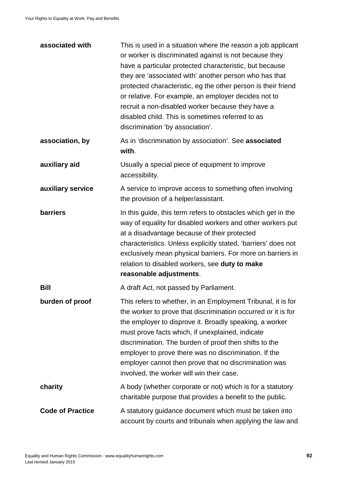| associated with         | This is used in a situation where the reason a job applicant<br>or worker is discriminated against is not because they<br>have a particular protected characteristic, but because<br>they are 'associated with' another person who has that<br>protected characteristic, eg the other person is their friend<br>or relative. For example, an employer decides not to<br>recruit a non-disabled worker because they have a<br>disabled child. This is sometimes referred to as<br>discrimination 'by association'. |
|-------------------------|-------------------------------------------------------------------------------------------------------------------------------------------------------------------------------------------------------------------------------------------------------------------------------------------------------------------------------------------------------------------------------------------------------------------------------------------------------------------------------------------------------------------|
| association, by         | As in 'discrimination by association'. See associated<br>with.                                                                                                                                                                                                                                                                                                                                                                                                                                                    |
| auxiliary aid           | Usually a special piece of equipment to improve<br>accessibility.                                                                                                                                                                                                                                                                                                                                                                                                                                                 |
| auxiliary service       | A service to improve access to something often involving<br>the provision of a helper/assistant.                                                                                                                                                                                                                                                                                                                                                                                                                  |
| <b>barriers</b>         | In this guide, this term refers to obstacles which get in the<br>way of equality for disabled workers and other workers put<br>at a disadvantage because of their protected<br>characteristics. Unless explicitly stated, 'barriers' does not<br>exclusively mean physical barriers. For more on barriers in<br>relation to disabled workers, see duty to make<br>reasonable adjustments.                                                                                                                         |
| Bill                    | A draft Act, not passed by Parliament.                                                                                                                                                                                                                                                                                                                                                                                                                                                                            |
| burden of proof         | This refers to whether, in an Employment Tribunal, it is for<br>the worker to prove that discrimination occurred or it is for<br>the employer to disprove it. Broadly speaking, a worker<br>must prove facts which, if unexplained, indicate<br>discrimination. The burden of proof then shifts to the<br>employer to prove there was no discrimination. If the<br>employer cannot then prove that no discrimination was<br>involved, the worker will win their case.                                             |
| charity                 | A body (whether corporate or not) which is for a statutory<br>charitable purpose that provides a benefit to the public.                                                                                                                                                                                                                                                                                                                                                                                           |
| <b>Code of Practice</b> | A statutory guidance document which must be taken into<br>account by courts and tribunals when applying the law and                                                                                                                                                                                                                                                                                                                                                                                               |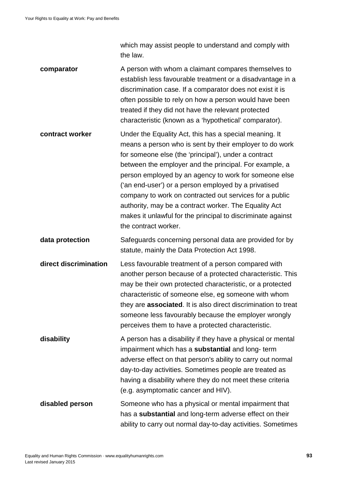which may assist people to understand and comply with the law.

- **comparator** A person with whom a claimant compares themselves to establish less favourable treatment or a disadvantage in a discrimination case. If a comparator does not exist it is often possible to rely on how a person would have been treated if they did not have the relevant protected characteristic (known as a 'hypothetical' comparator).
- **contract worker** Under the Equality Act, this has a special meaning. It means a person who is sent by their employer to do work for someone else (the 'principal'), under a contract between the employer and the principal. For example, a person employed by an agency to work for someone else ('an end-user') or a person employed by a privatised company to work on contracted out services for a public authority, may be a contract worker. The Equality Act makes it unlawful for the principal to discriminate against the contract worker.
- **data protection** Safeguards concerning personal data are provided for by statute, mainly the Data Protection Act 1998.
- **direct discrimination** Less favourable treatment of a person compared with another person because of a protected characteristic. This may be their own protected characteristic, or a protected characteristic of someone else, eg someone with whom they are **associated**. It is also direct discrimination to treat someone less favourably because the employer wrongly perceives them to have a protected characteristic.
- **disability** A person has a disability if they have a physical or mental impairment which has a **substantial** and long- term adverse effect on that person's ability to carry out normal day-to-day activities. Sometimes people are treated as having a disability where they do not meet these criteria (e.g. asymptomatic cancer and HIV).
- **disabled person** Someone who has a physical or mental impairment that has a **substantial** and long-term adverse effect on their ability to carry out normal day-to-day activities. Sometimes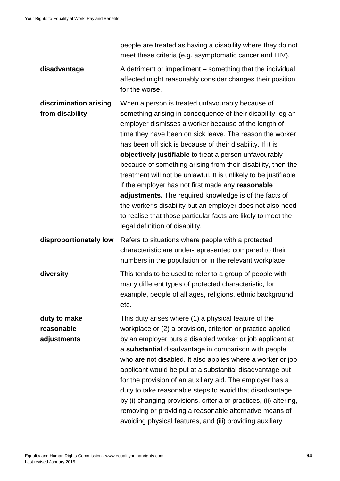people are treated as having a disability where they do not meet these criteria (e.g. asymptomatic cancer and HIV).

**disadvantage** A detriment or impediment – something that the individual affected might reasonably consider changes their position for the worse.

**discrimination arising from disability** When a person is treated unfavourably because of something arising in consequence of their disability, eg an employer dismisses a worker because of the length of time they have been on sick leave. The reason the worker has been off sick is because of their disability. If it is **objectively justifiable** to treat a person unfavourably because of something arising from their disability, then the treatment will not be unlawful. It is unlikely to be justifiable if the employer has not first made any **reasonable adjustments.** The required knowledge is of the facts of the worker's disability but an employer does not also need to realise that those particular facts are likely to meet the legal definition of disability.

**disproportionately low** Refers to situations where people with a protected characteristic are under-represented compared to their numbers in the population or in the relevant workplace.

**diversity** This tends to be used to refer to a group of people with many different types of protected characteristic; for example, people of all ages, religions, ethnic background, etc.

**duty to make reasonable adjustments** This duty arises where (1) a physical feature of the workplace or (2) a provision, criterion or practice applied by an employer puts a disabled worker or job applicant at a **substantial** disadvantage in comparison with people who are not disabled. It also applies where a worker or job applicant would be put at a substantial disadvantage but for the provision of an auxiliary aid. The employer has a duty to take reasonable steps to avoid that disadvantage by (i) changing provisions, criteria or practices, (ii) altering, removing or providing a reasonable alternative means of avoiding physical features, and (iii) providing auxiliary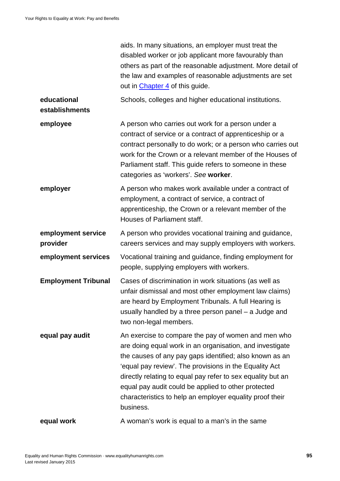|                                | aids. In many situations, an employer must treat the<br>disabled worker or job applicant more favourably than<br>others as part of the reasonable adjustment. More detail of<br>the law and examples of reasonable adjustments are set<br>out in <i>Chapter 4</i> of this guide.                                                                                                                                                    |
|--------------------------------|-------------------------------------------------------------------------------------------------------------------------------------------------------------------------------------------------------------------------------------------------------------------------------------------------------------------------------------------------------------------------------------------------------------------------------------|
| educational<br>establishments  | Schools, colleges and higher educational institutions.                                                                                                                                                                                                                                                                                                                                                                              |
| employee                       | A person who carries out work for a person under a<br>contract of service or a contract of apprenticeship or a<br>contract personally to do work; or a person who carries out<br>work for the Crown or a relevant member of the Houses of<br>Parliament staff. This guide refers to someone in these<br>categories as 'workers'. See worker.                                                                                        |
| employer                       | A person who makes work available under a contract of<br>employment, a contract of service, a contract of<br>apprenticeship, the Crown or a relevant member of the<br>Houses of Parliament staff.                                                                                                                                                                                                                                   |
| employment service<br>provider | A person who provides vocational training and guidance,<br>careers services and may supply employers with workers.                                                                                                                                                                                                                                                                                                                  |
| employment services            | Vocational training and guidance, finding employment for<br>people, supplying employers with workers.                                                                                                                                                                                                                                                                                                                               |
| <b>Employment Tribunal</b>     | Cases of discrimination in work situations (as well as<br>unfair dismissal and most other employment law claims)<br>are heard by Employment Tribunals. A full Hearing is<br>usually handled by a three person panel - a Judge and<br>two non-legal members.                                                                                                                                                                         |
| equal pay audit                | An exercise to compare the pay of women and men who<br>are doing equal work in an organisation, and investigate<br>the causes of any pay gaps identified; also known as an<br>'equal pay review'. The provisions in the Equality Act<br>directly relating to equal pay refer to sex equality but an<br>equal pay audit could be applied to other protected<br>characteristics to help an employer equality proof their<br>business. |
| equal work                     | A woman's work is equal to a man's in the same                                                                                                                                                                                                                                                                                                                                                                                      |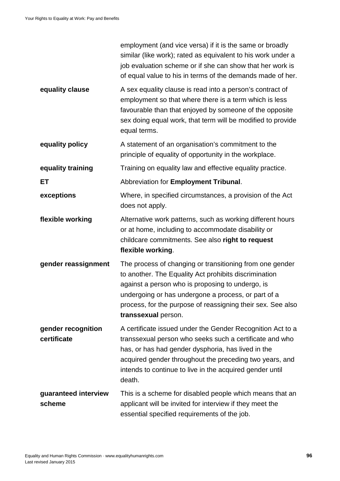|                                   | employment (and vice versa) if it is the same or broadly<br>similar (like work); rated as equivalent to his work under a<br>job evaluation scheme or if she can show that her work is<br>of equal value to his in terms of the demands made of her.                                                                |
|-----------------------------------|--------------------------------------------------------------------------------------------------------------------------------------------------------------------------------------------------------------------------------------------------------------------------------------------------------------------|
| equality clause                   | A sex equality clause is read into a person's contract of<br>employment so that where there is a term which is less<br>favourable than that enjoyed by someone of the opposite<br>sex doing equal work, that term will be modified to provide<br>equal terms.                                                      |
| equality policy                   | A statement of an organisation's commitment to the<br>principle of equality of opportunity in the workplace.                                                                                                                                                                                                       |
| equality training                 | Training on equality law and effective equality practice.                                                                                                                                                                                                                                                          |
| ET                                | Abbreviation for Employment Tribunal.                                                                                                                                                                                                                                                                              |
| exceptions                        | Where, in specified circumstances, a provision of the Act<br>does not apply.                                                                                                                                                                                                                                       |
| flexible working                  | Alternative work patterns, such as working different hours<br>or at home, including to accommodate disability or<br>childcare commitments. See also right to request<br>flexible working.                                                                                                                          |
| gender reassignment               | The process of changing or transitioning from one gender<br>to another. The Equality Act prohibits discrimination<br>against a person who is proposing to undergo, is<br>undergoing or has undergone a process, or part of a<br>process, for the purpose of reassigning their sex. See also<br>transsexual person. |
| gender recognition<br>certificate | A certificate issued under the Gender Recognition Act to a<br>transsexual person who seeks such a certificate and who<br>has, or has had gender dysphoria, has lived in the<br>acquired gender throughout the preceding two years, and<br>intends to continue to live in the acquired gender until<br>death.       |
| guaranteed interview<br>scheme    | This is a scheme for disabled people which means that an<br>applicant will be invited for interview if they meet the<br>essential specified requirements of the job.                                                                                                                                               |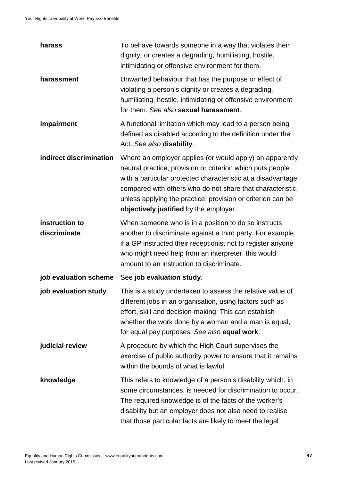| harass                         | To behave towards someone in a way that violates their<br>dignity, or creates a degrading, humiliating, hostile,<br>intimidating or offensive environment for them.                                                                                                                                                                                           |
|--------------------------------|---------------------------------------------------------------------------------------------------------------------------------------------------------------------------------------------------------------------------------------------------------------------------------------------------------------------------------------------------------------|
| harassment                     | Unwanted behaviour that has the purpose or effect of<br>violating a person's dignity or creates a degrading,<br>humiliating, hostile, intimidating or offensive environment<br>for them. See also sexual harassment.                                                                                                                                          |
| impairment                     | A functional limitation which may lead to a person being<br>defined as disabled according to the definition under the<br>Act. See also disability.                                                                                                                                                                                                            |
| indirect discrimination        | Where an employer applies (or would apply) an apparently<br>neutral practice, provision or criterion which puts people<br>with a particular protected characteristic at a disadvantage<br>compared with others who do not share that characteristic,<br>unless applying the practice, provision or criterion can be<br>objectively justified by the employer. |
| instruction to<br>discriminate | When someone who is in a position to do so instructs<br>another to discriminate against a third party. For example,<br>if a GP instructed their receptionist not to register anyone<br>who might need help from an interpreter, this would<br>amount to an instruction to discriminate.                                                                       |
| job evaluation scheme          | See job evaluation study.                                                                                                                                                                                                                                                                                                                                     |
| job evaluation study           | This is a study undertaken to assess the relative value of<br>different jobs in an organisation, using factors such as<br>effort, skill and decision-making. This can establish<br>whether the work done by a woman and a man is equal,<br>for equal pay purposes. See also equal work.                                                                       |
| judicial review                | A procedure by which the High Court supervises the<br>exercise of public authority power to ensure that it remains<br>within the bounds of what is lawful.                                                                                                                                                                                                    |
| knowledge                      | This refers to knowledge of a person's disability which, in<br>some circumstances, is needed for discrimination to occur.<br>The required knowledge is of the facts of the worker's<br>disability but an employer does not also need to realise<br>that those particular facts are likely to meet the legal                                                   |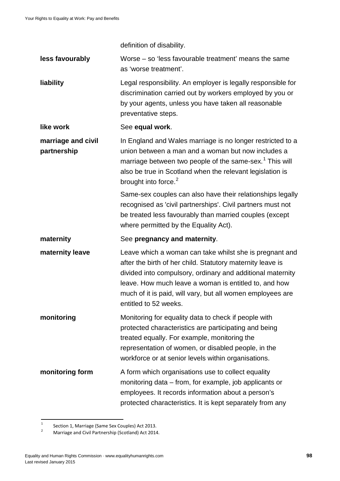definition of disability.

| less favourably                   | Worse – so 'less favourable treatment' means the same<br>as 'worse treatment'.                                                                                                                                                                                                                                                      |
|-----------------------------------|-------------------------------------------------------------------------------------------------------------------------------------------------------------------------------------------------------------------------------------------------------------------------------------------------------------------------------------|
| liability                         | Legal responsibility. An employer is legally responsible for<br>discrimination carried out by workers employed by you or<br>by your agents, unless you have taken all reasonable<br>preventative steps.                                                                                                                             |
| like work                         | See equal work.                                                                                                                                                                                                                                                                                                                     |
| marriage and civil<br>partnership | In England and Wales marriage is no longer restricted to a<br>union between a man and a woman but now includes a<br>marriage between two people of the same-sex. <sup>1</sup> This will<br>also be true in Scotland when the relevant legislation is<br>brought into force. <sup>2</sup>                                            |
|                                   | Same-sex couples can also have their relationships legally<br>recognised as 'civil partnerships'. Civil partners must not<br>be treated less favourably than married couples (except<br>where permitted by the Equality Act).                                                                                                       |
|                                   |                                                                                                                                                                                                                                                                                                                                     |
| maternity                         | See pregnancy and maternity.                                                                                                                                                                                                                                                                                                        |
| maternity leave                   | Leave which a woman can take whilst she is pregnant and<br>after the birth of her child. Statutory maternity leave is<br>divided into compulsory, ordinary and additional maternity<br>leave. How much leave a woman is entitled to, and how<br>much of it is paid, will vary, but all women employees are<br>entitled to 52 weeks. |
| monitoring                        | Monitoring for equality data to check if people with<br>protected characteristics are participating and being<br>treated equally. For example, monitoring the<br>representation of women, or disabled people, in the<br>workforce or at senior levels within organisations.                                                         |

<span id="page-97-0"></span> $\frac{1}{2}$  Section 1, Marriage (Same Sex Couples) Act 2013.<br>Marriage and Civil Partnership (Scotland) Act 2014  $\mathbf{1}$ 

<span id="page-97-1"></span><sup>2</sup> Marriage and Civil Partnership (Scotland) Act 2014.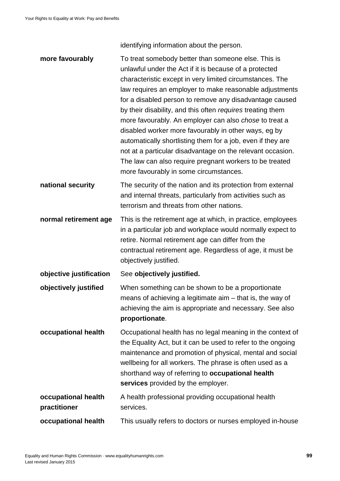identifying information about the person.

| more favourably                     | To treat somebody better than someone else. This is<br>unlawful under the Act if it is because of a protected<br>characteristic except in very limited circumstances. The<br>law requires an employer to make reasonable adjustments<br>for a disabled person to remove any disadvantage caused<br>by their disability, and this often requires treating them<br>more favourably. An employer can also chose to treat a<br>disabled worker more favourably in other ways, eg by<br>automatically shortlisting them for a job, even if they are<br>not at a particular disadvantage on the relevant occasion.<br>The law can also require pregnant workers to be treated<br>more favourably in some circumstances. |
|-------------------------------------|-------------------------------------------------------------------------------------------------------------------------------------------------------------------------------------------------------------------------------------------------------------------------------------------------------------------------------------------------------------------------------------------------------------------------------------------------------------------------------------------------------------------------------------------------------------------------------------------------------------------------------------------------------------------------------------------------------------------|
| national security                   | The security of the nation and its protection from external<br>and internal threats, particularly from activities such as<br>terrorism and threats from other nations.                                                                                                                                                                                                                                                                                                                                                                                                                                                                                                                                            |
| normal retirement age               | This is the retirement age at which, in practice, employees<br>in a particular job and workplace would normally expect to<br>retire. Normal retirement age can differ from the<br>contractual retirement age. Regardless of age, it must be<br>objectively justified.                                                                                                                                                                                                                                                                                                                                                                                                                                             |
| objective justification             | See objectively justified.                                                                                                                                                                                                                                                                                                                                                                                                                                                                                                                                                                                                                                                                                        |
| objectively justified               | When something can be shown to be a proportionate<br>means of achieving a legitimate aim - that is, the way of<br>achieving the aim is appropriate and necessary. See also<br>proportionate.                                                                                                                                                                                                                                                                                                                                                                                                                                                                                                                      |
| occupational health                 | Occupational health has no legal meaning in the context of<br>the Equality Act, but it can be used to refer to the ongoing<br>maintenance and promotion of physical, mental and social<br>wellbeing for all workers. The phrase is often used as a<br>shorthand way of referring to occupational health<br>services provided by the employer.                                                                                                                                                                                                                                                                                                                                                                     |
| occupational health<br>practitioner | A health professional providing occupational health<br>services.                                                                                                                                                                                                                                                                                                                                                                                                                                                                                                                                                                                                                                                  |
| occupational health                 | This usually refers to doctors or nurses employed in-house                                                                                                                                                                                                                                                                                                                                                                                                                                                                                                                                                                                                                                                        |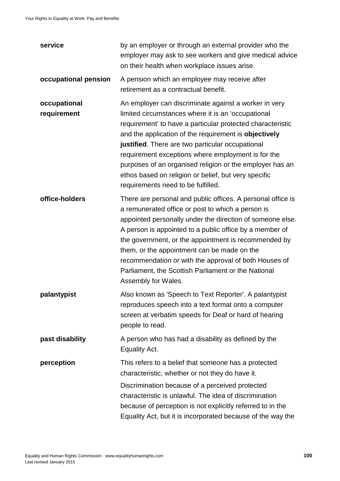| service                     | by an employer or through an external provider who the<br>employer may ask to see workers and give medical advice<br>on their health when workplace issues arise.                                                                                                                                                                                                                                                                                                                                      |
|-----------------------------|--------------------------------------------------------------------------------------------------------------------------------------------------------------------------------------------------------------------------------------------------------------------------------------------------------------------------------------------------------------------------------------------------------------------------------------------------------------------------------------------------------|
| occupational pension        | A pension which an employee may receive after<br>retirement as a contractual benefit.                                                                                                                                                                                                                                                                                                                                                                                                                  |
| occupational<br>requirement | An employer can discriminate against a worker in very<br>limited circumstances where it is an 'occupational<br>requirement' to have a particular protected characteristic<br>and the application of the requirement is objectively<br>justified. There are two particular occupational<br>requirement exceptions where employment is for the<br>purposes of an organised religion or the employer has an<br>ethos based on religion or belief, but very specific<br>requirements need to be fulfilled. |
| office-holders              | There are personal and public offices. A personal office is<br>a remunerated office or post to which a person is<br>appointed personally under the direction of someone else.<br>A person is appointed to a public office by a member of<br>the government, or the appointment is recommended by<br>them, or the appointment can be made on the<br>recommendation or with the approval of both Houses of<br>Parliament, the Scottish Parliament or the National<br>Assembly for Wales.                 |
| palantypist                 | Also known as 'Speech to Text Reporter'. A palantypist<br>reproduces speech into a text format onto a computer<br>screen at verbatim speeds for Deaf or hard of hearing<br>people to read.                                                                                                                                                                                                                                                                                                             |
| past disability             | A person who has had a disability as defined by the<br>Equality Act.                                                                                                                                                                                                                                                                                                                                                                                                                                   |
| perception                  | This refers to a belief that someone has a protected<br>characteristic, whether or not they do have it.<br>Discrimination because of a perceived protected<br>characteristic is unlawful. The idea of discrimination<br>because of perception is not explicitly referred to in the<br>Equality Act, but it is incorporated because of the way the                                                                                                                                                      |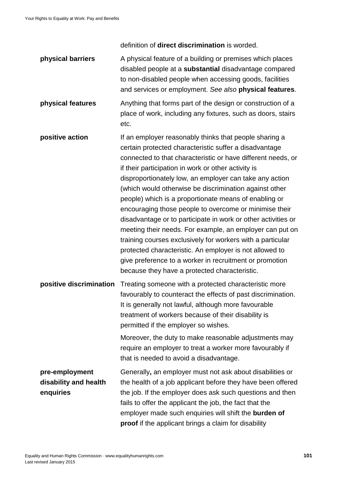definition of **direct discrimination** is worded.

**physical barriers** A physical feature of a building or premises which places disabled people at a **substantial** disadvantage compared to non-disabled people when accessing goods, facilities and services or employment. *See also* **physical features**. **physical features** Anything that forms part of the design or construction of a place of work, including any fixtures, such as doors, stairs etc. **positive action** If an employer reasonably thinks that people sharing a certain protected characteristic suffer a disadvantage connected to that characteristic or have different needs, or if their participation in work or other activity is disproportionately low, an employer can take any action (which would otherwise be discrimination against other people) which is a proportionate means of enabling or encouraging those people to overcome or minimise their disadvantage or to participate in work or other activities or meeting their needs. For example, an employer can put on training courses exclusively for workers with a particular protected characteristic. An employer is not allowed to give preference to a worker in recruitment or promotion because they have a protected characteristic. **positive discrimination** Treating someone with a protected characteristic more favourably to counteract the effects of past discrimination. It is generally not lawful, although more favourable

treatment of workers because of their disability is permitted if the employer so wishes. Moreover, the duty to make reasonable adjustments may require an employer to treat a worker more favourably if that is needed to avoid a disadvantage. **pre-employment disability and health enquiries** Generally**,** an employer must not ask about disabilities or the health of a job applicant before they have been offered the job. If the employer does ask such questions and then fails to offer the applicant the job, the fact that the

employer made such enquiries will shift the **burden of** 

**proof** if the applicant brings a claim for disability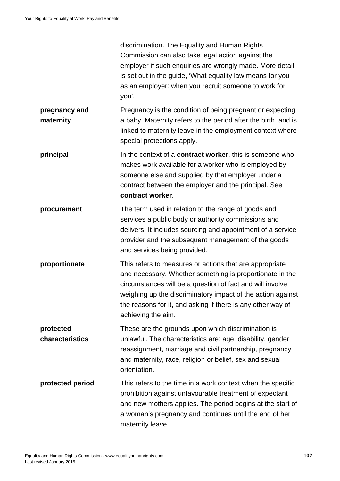|                              | discrimination. The Equality and Human Rights<br>Commission can also take legal action against the<br>employer if such enquiries are wrongly made. More detail<br>is set out in the guide, 'What equality law means for you<br>as an employer: when you recruit someone to work for<br>you'.                                         |
|------------------------------|--------------------------------------------------------------------------------------------------------------------------------------------------------------------------------------------------------------------------------------------------------------------------------------------------------------------------------------|
| pregnancy and<br>maternity   | Pregnancy is the condition of being pregnant or expecting<br>a baby. Maternity refers to the period after the birth, and is<br>linked to maternity leave in the employment context where<br>special protections apply.                                                                                                               |
| principal                    | In the context of a <b>contract worker</b> , this is someone who<br>makes work available for a worker who is employed by<br>someone else and supplied by that employer under a<br>contract between the employer and the principal. See<br>contract worker.                                                                           |
| procurement                  | The term used in relation to the range of goods and<br>services a public body or authority commissions and<br>delivers. It includes sourcing and appointment of a service<br>provider and the subsequent management of the goods<br>and services being provided.                                                                     |
| proportionate                | This refers to measures or actions that are appropriate<br>and necessary. Whether something is proportionate in the<br>circumstances will be a question of fact and will involve<br>weighing up the discriminatory impact of the action against<br>the reasons for it, and asking if there is any other way of<br>achieving the aim. |
| protected<br>characteristics | These are the grounds upon which discrimination is<br>unlawful. The characteristics are: age, disability, gender<br>reassignment, marriage and civil partnership, pregnancy<br>and maternity, race, religion or belief, sex and sexual<br>orientation.                                                                               |
| protected period             | This refers to the time in a work context when the specific<br>prohibition against unfavourable treatment of expectant<br>and new mothers applies. The period begins at the start of<br>a woman's pregnancy and continues until the end of her<br>maternity leave.                                                                   |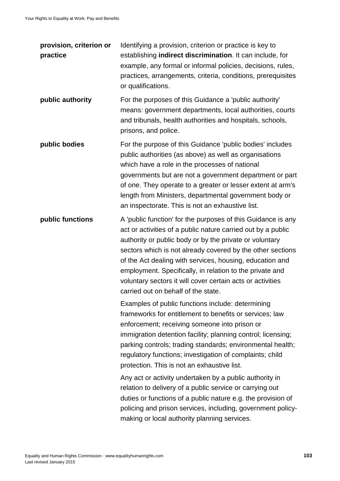| provision, criterion or<br>practice | Identifying a provision, criterion or practice is key to<br>establishing indirect discrimination. It can include, for<br>example, any formal or informal policies, decisions, rules,<br>practices, arrangements, criteria, conditions, prerequisites<br>or qualifications.                                                                                                                                                                                                         |
|-------------------------------------|------------------------------------------------------------------------------------------------------------------------------------------------------------------------------------------------------------------------------------------------------------------------------------------------------------------------------------------------------------------------------------------------------------------------------------------------------------------------------------|
| public authority                    | For the purposes of this Guidance a 'public authority'<br>means: government departments, local authorities, courts<br>and tribunals, health authorities and hospitals, schools,<br>prisons, and police.                                                                                                                                                                                                                                                                            |
| public bodies                       | For the purpose of this Guidance 'public bodies' includes<br>public authorities (as above) as well as organisations<br>which have a role in the processes of national<br>governments but are not a government department or part<br>of one. They operate to a greater or lesser extent at arm's<br>length from Ministers, departmental government body or<br>an inspectorate. This is not an exhaustive list.                                                                      |
| public functions                    | A 'public function' for the purposes of this Guidance is any<br>act or activities of a public nature carried out by a public<br>authority or public body or by the private or voluntary<br>sectors which is not already covered by the other sections<br>of the Act dealing with services, housing, education and<br>employment. Specifically, in relation to the private and<br>voluntary sectors it will cover certain acts or activities<br>carried out on behalf of the state. |
|                                     | Examples of public functions include: determining<br>frameworks for entitlement to benefits or services; law<br>enforcement; receiving someone into prison or<br>immigration detention facility; planning control; licensing;<br>parking controls; trading standards; environmental health;<br>regulatory functions; investigation of complaints; child<br>protection. This is not an exhaustive list.                                                                             |
|                                     | Any act or activity undertaken by a public authority in<br>relation to delivery of a public service or carrying out<br>duties or functions of a public nature e.g. the provision of<br>policing and prison services, including, government policy-<br>making or local authority planning services.                                                                                                                                                                                 |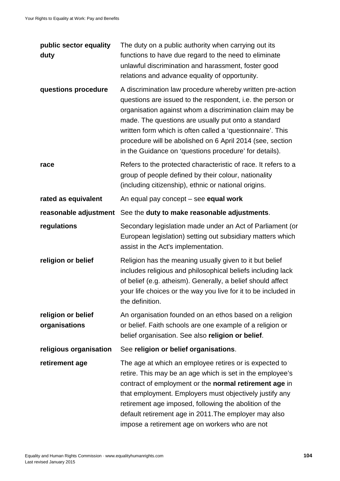| public sector equality<br>duty      | The duty on a public authority when carrying out its<br>functions to have due regard to the need to eliminate<br>unlawful discrimination and harassment, foster good<br>relations and advance equality of opportunity.                                                                                                                                                                                                         |
|-------------------------------------|--------------------------------------------------------------------------------------------------------------------------------------------------------------------------------------------------------------------------------------------------------------------------------------------------------------------------------------------------------------------------------------------------------------------------------|
| questions procedure                 | A discrimination law procedure whereby written pre-action<br>questions are issued to the respondent, i.e. the person or<br>organisation against whom a discrimination claim may be<br>made. The questions are usually put onto a standard<br>written form which is often called a 'questionnaire'. This<br>procedure will be abolished on 6 April 2014 (see, section<br>in the Guidance on 'questions procedure' for details). |
| race                                | Refers to the protected characteristic of race. It refers to a<br>group of people defined by their colour, nationality<br>(including citizenship), ethnic or national origins.                                                                                                                                                                                                                                                 |
| rated as equivalent                 | An equal pay concept - see equal work                                                                                                                                                                                                                                                                                                                                                                                          |
|                                     | reasonable adjustment See the duty to make reasonable adjustments.                                                                                                                                                                                                                                                                                                                                                             |
| regulations                         | Secondary legislation made under an Act of Parliament (or<br>European legislation) setting out subsidiary matters which<br>assist in the Act's implementation.                                                                                                                                                                                                                                                                 |
| religion or belief                  | Religion has the meaning usually given to it but belief<br>includes religious and philosophical beliefs including lack<br>of belief (e.g. atheism). Generally, a belief should affect<br>your life choices or the way you live for it to be included in<br>the definition.                                                                                                                                                     |
| religion or belief<br>organisations | An organisation founded on an ethos based on a religion<br>or belief. Faith schools are one example of a religion or<br>belief organisation. See also religion or belief.                                                                                                                                                                                                                                                      |
| religious organisation              | See religion or belief organisations.                                                                                                                                                                                                                                                                                                                                                                                          |
| retirement age                      | The age at which an employee retires or is expected to<br>retire. This may be an age which is set in the employee's<br>contract of employment or the normal retirement age in<br>that employment. Employers must objectively justify any<br>retirement age imposed, following the abolition of the<br>default retirement age in 2011. The employer may also<br>impose a retirement age on workers who are not                  |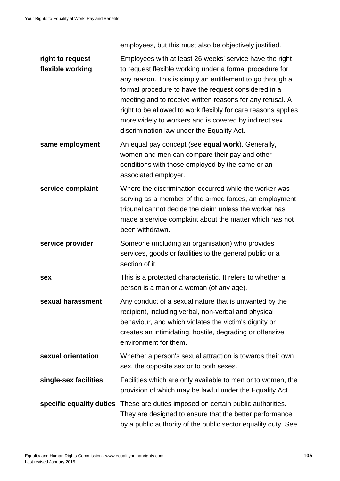employees, but this must also be objectively justified.

| right to request<br>flexible working | Employees with at least 26 weeks' service have the right<br>to request flexible working under a formal procedure for<br>any reason. This is simply an entitlement to go through a<br>formal procedure to have the request considered in a<br>meeting and to receive written reasons for any refusal. A<br>right to be allowed to work flexibly for care reasons applies<br>more widely to workers and is covered by indirect sex<br>discrimination law under the Equality Act. |
|--------------------------------------|--------------------------------------------------------------------------------------------------------------------------------------------------------------------------------------------------------------------------------------------------------------------------------------------------------------------------------------------------------------------------------------------------------------------------------------------------------------------------------|
| same employment                      | An equal pay concept (see equal work). Generally,<br>women and men can compare their pay and other<br>conditions with those employed by the same or an<br>associated employer.                                                                                                                                                                                                                                                                                                 |
| service complaint                    | Where the discrimination occurred while the worker was<br>serving as a member of the armed forces, an employment<br>tribunal cannot decide the claim unless the worker has<br>made a service complaint about the matter which has not<br>been withdrawn.                                                                                                                                                                                                                       |
| service provider                     | Someone (including an organisation) who provides<br>services, goods or facilities to the general public or a<br>section of it.                                                                                                                                                                                                                                                                                                                                                 |
| sex                                  | This is a protected characteristic. It refers to whether a<br>person is a man or a woman (of any age).                                                                                                                                                                                                                                                                                                                                                                         |
| sexual harassment                    | Any conduct of a sexual nature that is unwanted by the<br>recipient, including verbal, non-verbal and physical<br>behaviour, and which violates the victim's dignity or<br>creates an intimidating, hostile, degrading or offensive<br>environment for them.                                                                                                                                                                                                                   |
| sexual orientation                   | Whether a person's sexual attraction is towards their own<br>sex, the opposite sex or to both sexes.                                                                                                                                                                                                                                                                                                                                                                           |
| single-sex facilities                | Facilities which are only available to men or to women, the<br>provision of which may be lawful under the Equality Act.                                                                                                                                                                                                                                                                                                                                                        |
| specific equality duties             | These are duties imposed on certain public authorities.<br>They are designed to ensure that the better performance<br>by a public authority of the public sector equality duty. See                                                                                                                                                                                                                                                                                            |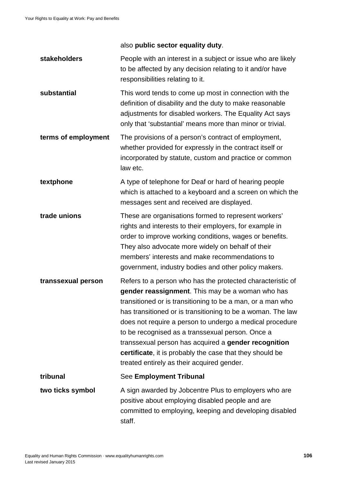also **public sector equality duty**.

**stakeholders** People with an interest in a subject or issue who are likely to be affected by any decision relating to it and/or have responsibilities relating to it. **substantial** This word tends to come up most in connection with the definition of disability and the duty to make reasonable adjustments for disabled workers. The Equality Act says only that 'substantial' means more than minor or trivial. **terms of employment** The provisions of a person's contract of employment, whether provided for expressly in the contract itself or incorporated by statute, custom and practice or common law etc. **textphone** A type of telephone for Deaf or hard of hearing people which is attached to a keyboard and a screen on which the messages sent and received are displayed. **trade unions** These are organisations formed to represent workers' rights and interests to their employers, for example in order to improve working conditions, wages or benefits. They also advocate more widely on behalf of their members' interests and make recommendations to government, industry bodies and other policy makers. **transsexual person** Refers to a person who has the protected characteristic of **gender reassignment**. This may be a woman who has transitioned or is transitioning to be a man, or a man who has transitioned or is transitioning to be a woman. The law does not require a person to undergo a medical procedure to be recognised as a transsexual person. Once a transsexual person has acquired a **gender recognition certificate**, it is probably the case that they should be treated entirely as their acquired gender. **tribunal** See **Employment Tribunal two ticks symbol** A sign awarded by Jobcentre Plus to employers who are positive about employing disabled people and are committed to employing, keeping and developing disabled staff.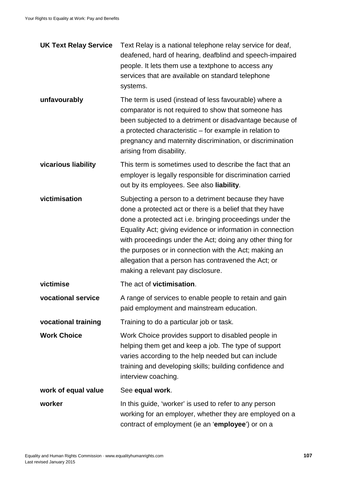| <b>UK Text Relay Service</b> | Text Relay is a national telephone relay service for deaf,<br>deafened, hard of hearing, deafblind and speech-impaired<br>people. It lets them use a textphone to access any<br>services that are available on standard telephone<br>systems.                                                                                                                                                                                                                 |
|------------------------------|---------------------------------------------------------------------------------------------------------------------------------------------------------------------------------------------------------------------------------------------------------------------------------------------------------------------------------------------------------------------------------------------------------------------------------------------------------------|
| unfavourably                 | The term is used (instead of less favourable) where a<br>comparator is not required to show that someone has<br>been subjected to a detriment or disadvantage because of<br>a protected characteristic – for example in relation to<br>pregnancy and maternity discrimination, or discrimination<br>arising from disability.                                                                                                                                  |
| vicarious liability          | This term is sometimes used to describe the fact that an<br>employer is legally responsible for discrimination carried<br>out by its employees. See also liability.                                                                                                                                                                                                                                                                                           |
| victimisation                | Subjecting a person to a detriment because they have<br>done a protected act or there is a belief that they have<br>done a protected act i.e. bringing proceedings under the<br>Equality Act; giving evidence or information in connection<br>with proceedings under the Act; doing any other thing for<br>the purposes or in connection with the Act; making an<br>allegation that a person has contravened the Act; or<br>making a relevant pay disclosure. |
| victimise                    | The act of victimisation.                                                                                                                                                                                                                                                                                                                                                                                                                                     |
| vocational service           | A range of services to enable people to retain and gain<br>paid employment and mainstream education.                                                                                                                                                                                                                                                                                                                                                          |
| vocational training          | Training to do a particular job or task.                                                                                                                                                                                                                                                                                                                                                                                                                      |
| <b>Work Choice</b>           | Work Choice provides support to disabled people in<br>helping them get and keep a job. The type of support<br>varies according to the help needed but can include<br>training and developing skills; building confidence and<br>interview coaching.                                                                                                                                                                                                           |
| work of equal value          | See equal work.                                                                                                                                                                                                                                                                                                                                                                                                                                               |
| worker                       | In this guide, 'worker' is used to refer to any person<br>working for an employer, whether they are employed on a<br>contract of employment (ie an 'employee') or on a                                                                                                                                                                                                                                                                                        |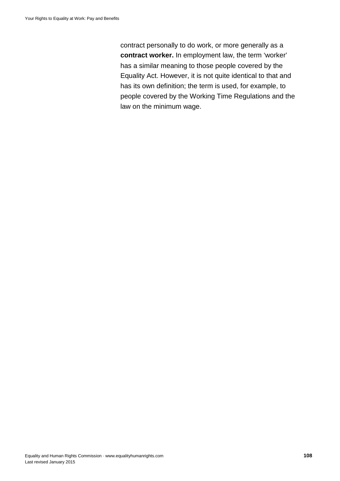contract personally to do work, or more generally as a **contract worker.** In employment law, the term 'worker' has a similar meaning to those people covered by the Equality Act. However, it is not quite identical to that and has its own definition; the term is used, for example, to people covered by the Working Time Regulations and the law on the minimum wage.